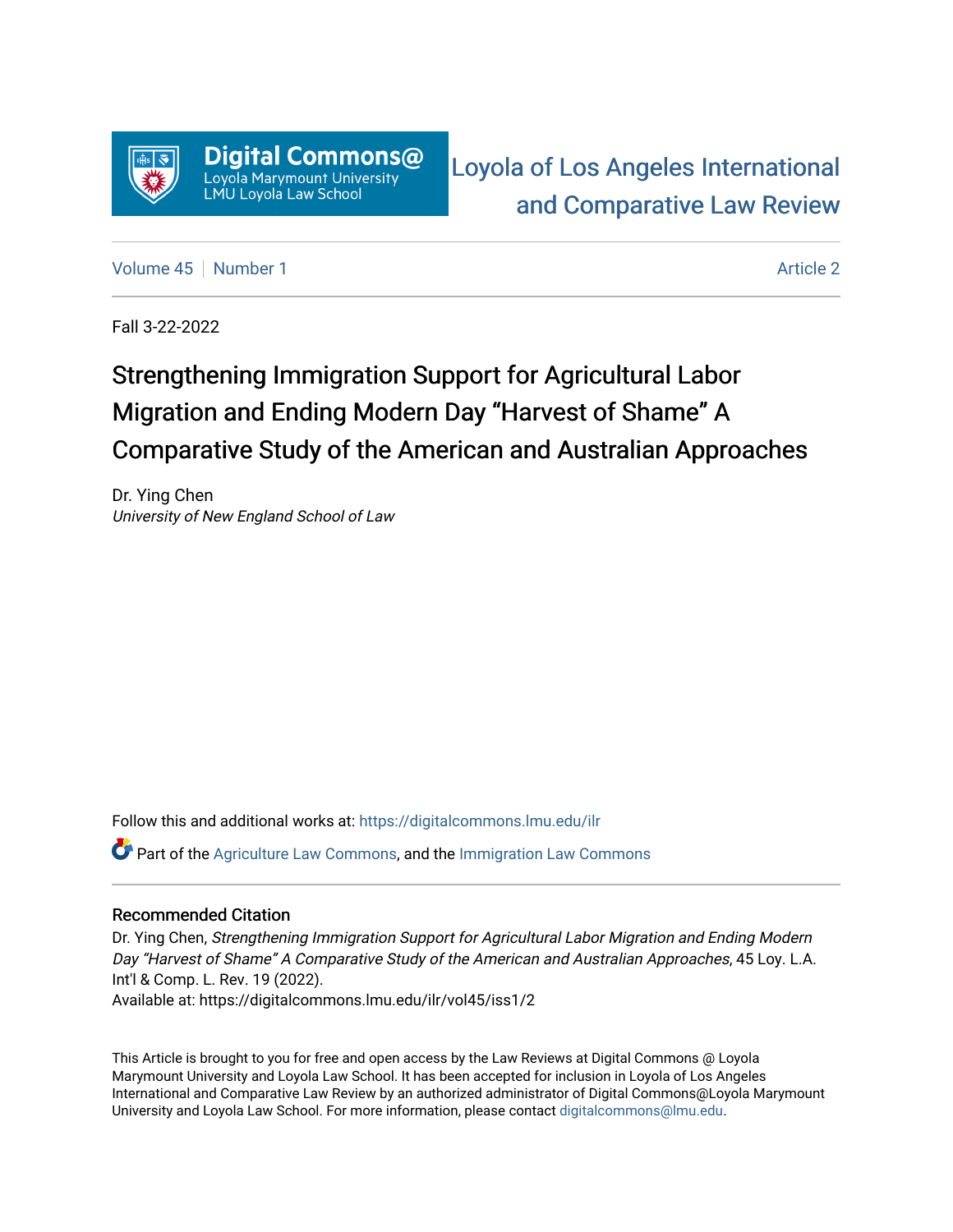

[Loyola of Los Angeles International](https://digitalcommons.lmu.edu/ilr)  [and Comparative Law Review](https://digitalcommons.lmu.edu/ilr) 

[Volume 45](https://digitalcommons.lmu.edu/ilr/vol45) [Number 1](https://digitalcommons.lmu.edu/ilr/vol45/iss1) [Article 2](https://digitalcommons.lmu.edu/ilr/vol45/iss1/2) Article 2

Fall 3-22-2022

# Strengthening Immigration Support for Agricultural Labor Migration and Ending Modern Day "Harvest of Shame" A Comparative Study of the American and Australian Approaches

Dr. Ying Chen University of New England School of Law

Follow this and additional works at: [https://digitalcommons.lmu.edu/ilr](https://digitalcommons.lmu.edu/ilr?utm_source=digitalcommons.lmu.edu%2Filr%2Fvol45%2Fiss1%2F2&utm_medium=PDF&utm_campaign=PDFCoverPages) 

 $\bullet$  Part of the [Agriculture Law Commons](http://network.bepress.com/hgg/discipline/581?utm_source=digitalcommons.lmu.edu%2Filr%2Fvol45%2Fiss1%2F2&utm_medium=PDF&utm_campaign=PDFCoverPages), and the [Immigration Law Commons](http://network.bepress.com/hgg/discipline/604?utm_source=digitalcommons.lmu.edu%2Filr%2Fvol45%2Fiss1%2F2&utm_medium=PDF&utm_campaign=PDFCoverPages)

## Recommended Citation

Dr. Ying Chen, Strengthening Immigration Support for Agricultural Labor Migration and Ending Modern Day "Harvest of Shame" A Comparative Study of the American and Australian Approaches, 45 Loy. L.A. Int'l & Comp. L. Rev. 19 (2022). Available at: https://digitalcommons.lmu.edu/ilr/vol45/iss1/2

This Article is brought to you for free and open access by the Law Reviews at Digital Commons @ Loyola Marymount University and Loyola Law School. It has been accepted for inclusion in Loyola of Los Angeles International and Comparative Law Review by an authorized administrator of Digital Commons@Loyola Marymount University and Loyola Law School. For more information, please contact [digitalcommons@lmu.edu.](mailto:digitalcommons@lmu.edu)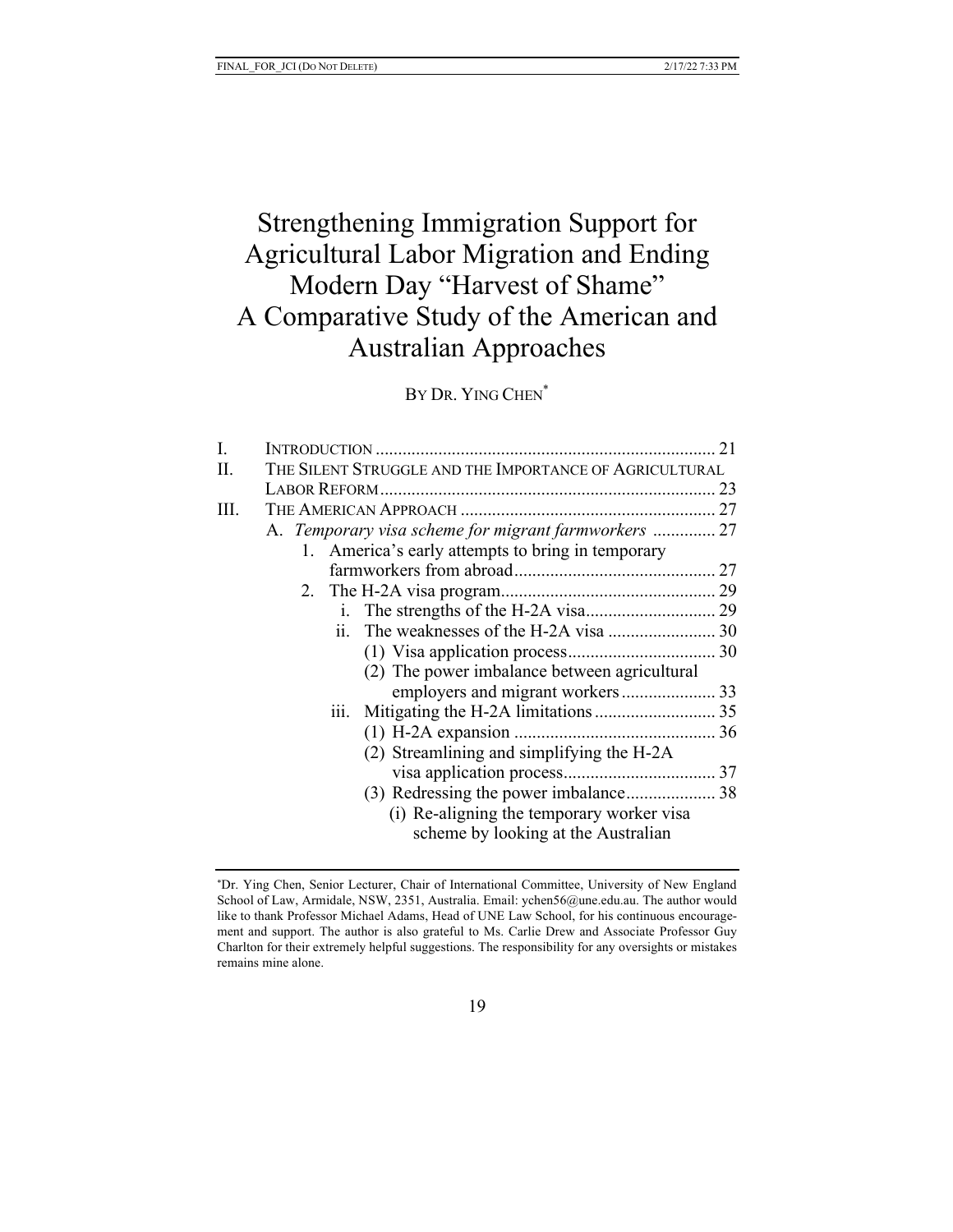## Strengthening Immigration Support for Agricultural Labor Migration and Ending Modern Day "Harvest of Shame" A Comparative Study of the American and Australian Approaches

BY DR. YING CHEN<sup>\*</sup>

|                                                   | 21                                                                                                             |
|---------------------------------------------------|----------------------------------------------------------------------------------------------------------------|
|                                                   |                                                                                                                |
|                                                   | 23                                                                                                             |
|                                                   |                                                                                                                |
|                                                   |                                                                                                                |
| 1. America's early attempts to bring in temporary |                                                                                                                |
|                                                   |                                                                                                                |
|                                                   |                                                                                                                |
|                                                   |                                                                                                                |
| ii.                                               |                                                                                                                |
|                                                   |                                                                                                                |
| (2) The power imbalance between agricultural      |                                                                                                                |
|                                                   |                                                                                                                |
| 111.                                              |                                                                                                                |
|                                                   |                                                                                                                |
| (2) Streamlining and simplifying the H-2A         |                                                                                                                |
|                                                   |                                                                                                                |
|                                                   |                                                                                                                |
| (i) Re-aligning the temporary worker visa         |                                                                                                                |
| scheme by looking at the Australian               |                                                                                                                |
|                                                   | THE SILENT STRUGGLE AND THE IMPORTANCE OF AGRICULTURAL<br>A. Temporary visa scheme for migrant farmworkers  27 |

<sup>\*</sup>Dr. Ying Chen, Senior Lecturer, Chair of International Committee, University of New England School of Law, Armidale, NSW, 2351, Australia. Email: ychen56@une.edu.au. The author would like to thank Professor Michael Adams, Head of UNE Law School, for his continuous encouragement and support. The author is also grateful to Ms. Carlie Drew and Associate Professor Guy Charlton for their extremely helpful suggestions. The responsibility for any oversights or mistakes remains mine alone.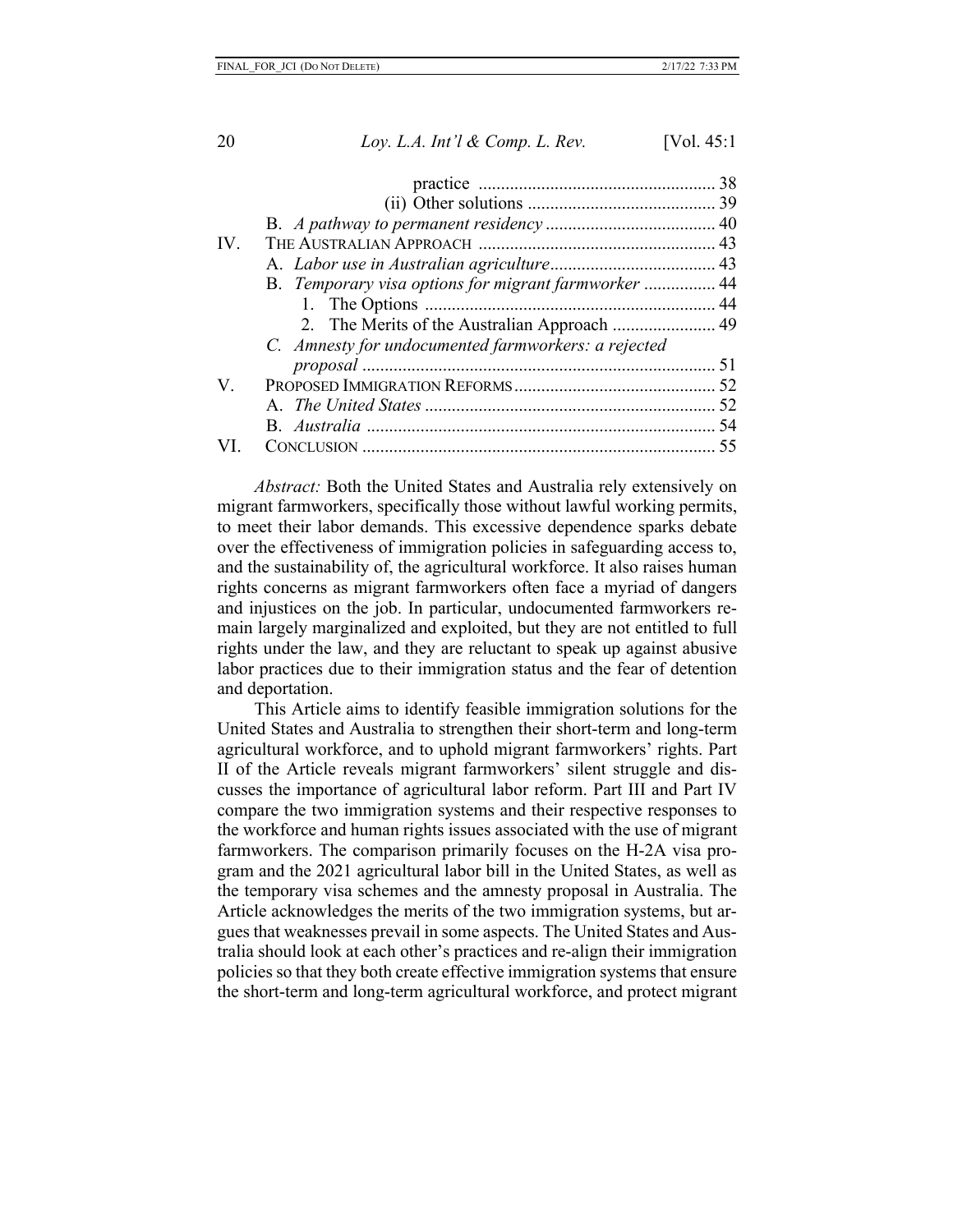| B. Temporary visa options for migrant farmworker  44 |  |
|------------------------------------------------------|--|
|                                                      |  |
|                                                      |  |
| C. Amnesty for undocumented farmworkers: a rejected  |  |
|                                                      |  |
|                                                      |  |
|                                                      |  |
|                                                      |  |
|                                                      |  |
|                                                      |  |

*Abstract:* Both the United States and Australia rely extensively on migrant farmworkers, specifically those without lawful working permits, to meet their labor demands. This excessive dependence sparks debate over the effectiveness of immigration policies in safeguarding access to, and the sustainability of, the agricultural workforce. It also raises human rights concerns as migrant farmworkers often face a myriad of dangers and injustices on the job. In particular, undocumented farmworkers remain largely marginalized and exploited, but they are not entitled to full rights under the law, and they are reluctant to speak up against abusive labor practices due to their immigration status and the fear of detention and deportation.

This Article aims to identify feasible immigration solutions for the United States and Australia to strengthen their short-term and long-term agricultural workforce, and to uphold migrant farmworkers' rights. Part II of the Article reveals migrant farmworkers' silent struggle and discusses the importance of agricultural labor reform. Part III and Part IV compare the two immigration systems and their respective responses to the workforce and human rights issues associated with the use of migrant farmworkers. The comparison primarily focuses on the H-2A visa program and the 2021 agricultural labor bill in the United States, as well as the temporary visa schemes and the amnesty proposal in Australia. The Article acknowledges the merits of the two immigration systems, but argues that weaknesses prevail in some aspects. The United States and Australia should look at each other's practices and re-align their immigration policies so that they both create effective immigration systems that ensure the short-term and long-term agricultural workforce, and protect migrant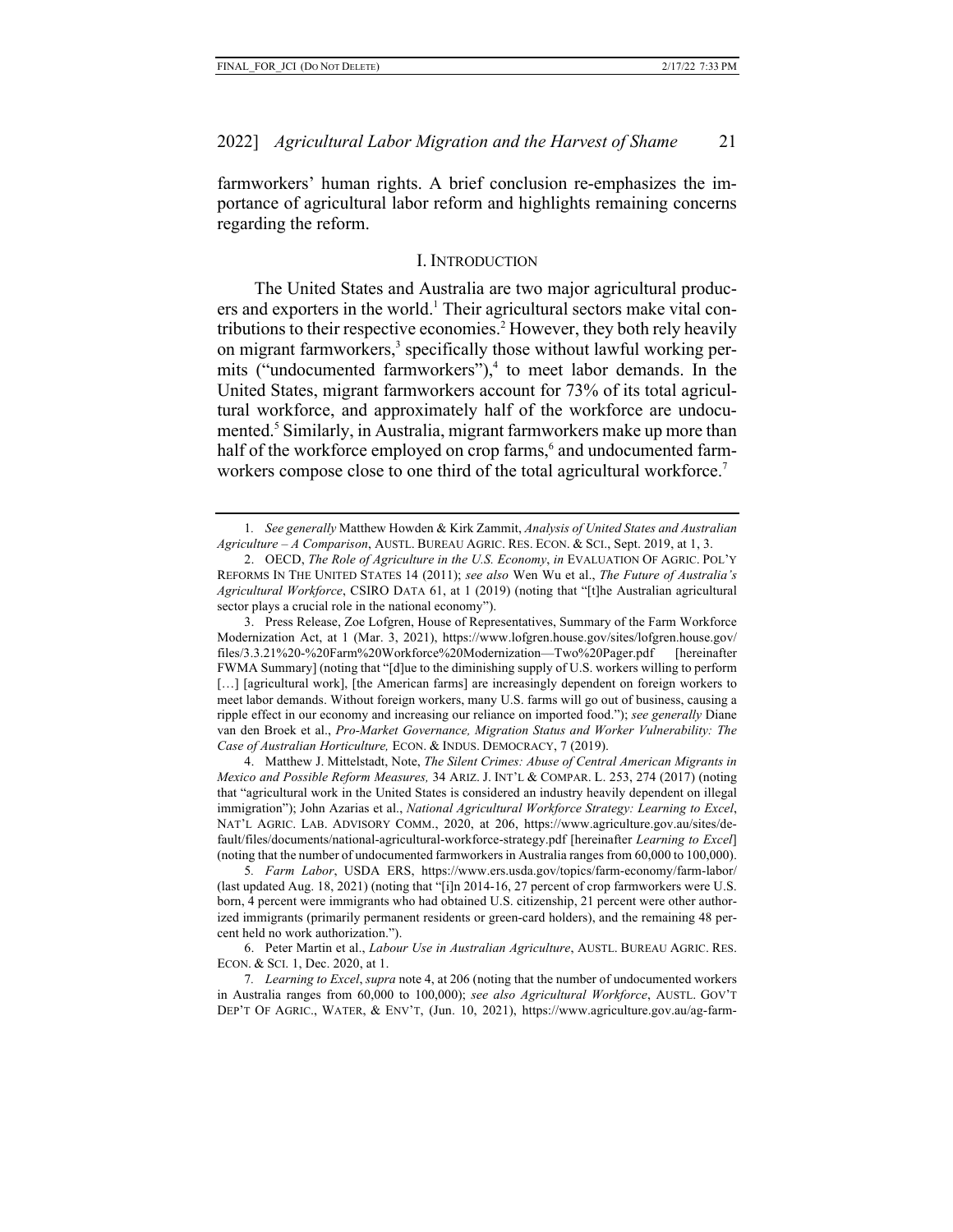farmworkers' human rights. A brief conclusion re-emphasizes the importance of agricultural labor reform and highlights remaining concerns regarding the reform.

#### I. INTRODUCTION

The United States and Australia are two major agricultural producers and exporters in the world.<sup>1</sup> Their agricultural sectors make vital contributions to their respective economies.2 However, they both rely heavily on migrant farmworkers,<sup>3</sup> specifically those without lawful working permits ("undocumented farmworkers"),<sup>4</sup> to meet labor demands. In the United States, migrant farmworkers account for 73% of its total agricultural workforce, and approximately half of the workforce are undocumented.<sup>5</sup> Similarly, in Australia, migrant farmworkers make up more than half of the workforce employed on crop farms,<sup>6</sup> and undocumented farmworkers compose close to one third of the total agricultural workforce.<sup>7</sup>

4. Matthew J. Mittelstadt, Note, *The Silent Crimes: Abuse of Central American Migrants in Mexico and Possible Reform Measures,* 34 ARIZ. J. INT'L & COMPAR. L. 253, 274 (2017) (noting that "agricultural work in the United States is considered an industry heavily dependent on illegal immigration"); John Azarias et al., *National Agricultural Workforce Strategy: Learning to Excel*, NAT'L AGRIC. LAB. ADVISORY COMM., 2020, at 206, https://www.agriculture.gov.au/sites/default/files/documents/national-agricultural-workforce-strategy.pdf [hereinafter *Learning to Excel*] (noting that the number of undocumented farmworkers in Australia ranges from 60,000 to 100,000).

5*. Farm Labor*, USDA ERS, https://www.ers.usda.gov/topics/farm-economy/farm-labor/ (last updated Aug. 18, 2021) (noting that "[i]n 2014-16, 27 percent of crop farmworkers were U.S. born, 4 percent were immigrants who had obtained U.S. citizenship, 21 percent were other authorized immigrants (primarily permanent residents or green-card holders), and the remaining 48 percent held no work authorization.").

6. Peter Martin et al., *Labour Use in Australian Agriculture*, AUSTL. BUREAU AGRIC. RES. ECON. & SCI. 1, Dec. 2020, at 1.

7*. Learning to Excel*, *supra* note 4, at 206 (noting that the number of undocumented workers in Australia ranges from 60,000 to 100,000); *see also Agricultural Workforce*, AUSTL. GOV'T DEP'T OF AGRIC., WATER, & ENV'T, (Jun. 10, 2021), https://www.agriculture.gov.au/ag-farm-

<sup>1</sup>*. See generally* Matthew Howden & Kirk Zammit, *Analysis of United States and Australian Agriculture – A Comparison*, AUSTL. BUREAU AGRIC. RES. ECON. & SCI., Sept. 2019, at 1, 3.

<sup>2.</sup> OECD, *The Role of Agriculture in the U.S. Economy*, *in* EVALUATION OF AGRIC. POL'Y REFORMS IN THE UNITED STATES 14 (2011); *see also* Wen Wu et al., *The Future of Australia's Agricultural Workforce*, CSIRO DATA 61, at 1 (2019) (noting that "[t]he Australian agricultural sector plays a crucial role in the national economy").

<sup>3.</sup> Press Release, Zoe Lofgren, House of Representatives, Summary of the Farm Workforce Modernization Act, at 1 (Mar. 3, 2021), https://www.lofgren.house.gov/sites/lofgren.house.gov/ files/3.3.21%20-%20Farm%20Workforce%20Modernization—Two%20Pager.pdf [hereinafter FWMA Summary] (noting that "[d]ue to the diminishing supply of U.S. workers willing to perform [...] [agricultural work], [the American farms] are increasingly dependent on foreign workers to meet labor demands. Without foreign workers, many U.S. farms will go out of business, causing a ripple effect in our economy and increasing our reliance on imported food."); *see generally* Diane van den Broek et al., *Pro-Market Governance, Migration Status and Worker Vulnerability: The Case of Australian Horticulture,* ECON. & INDUS. DEMOCRACY, 7 (2019).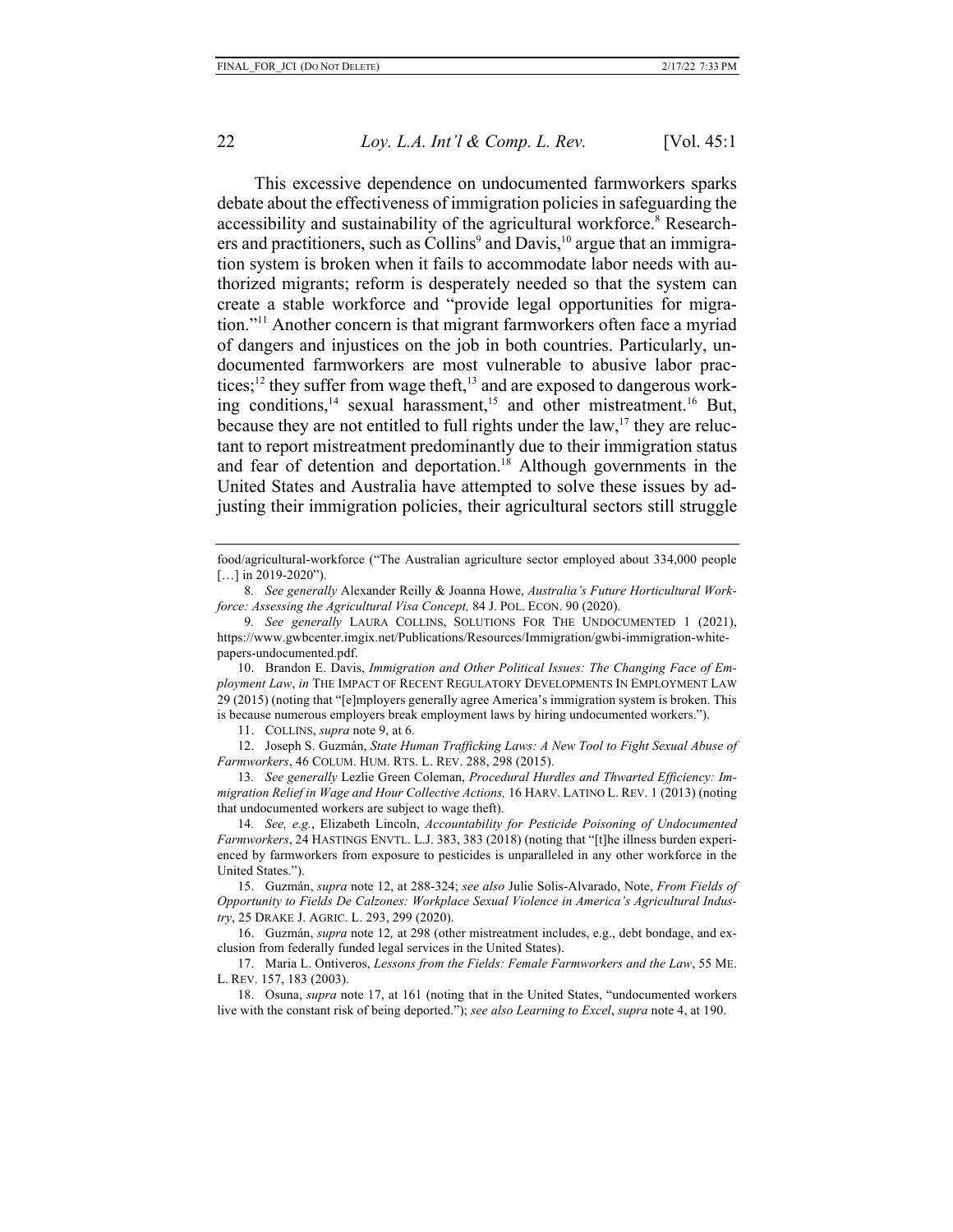This excessive dependence on undocumented farmworkers sparks debate about the effectiveness of immigration policies in safeguarding the accessibility and sustainability of the agricultural workforce. <sup>8</sup> Researchers and practitioners, such as Collins<sup>9</sup> and Davis,<sup>10</sup> argue that an immigration system is broken when it fails to accommodate labor needs with authorized migrants; reform is desperately needed so that the system can create a stable workforce and "provide legal opportunities for migration."11 Another concern is that migrant farmworkers often face a myriad of dangers and injustices on the job in both countries. Particularly, undocumented farmworkers are most vulnerable to abusive labor practices;<sup>12</sup> they suffer from wage theft,<sup>13</sup> and are exposed to dangerous working conditions,<sup>14</sup> sexual harassment,<sup>15</sup> and other mistreatment.<sup>16</sup> But, because they are not entitled to full rights under the  $law$ ,<sup>17</sup> they are reluctant to report mistreatment predominantly due to their immigration status and fear of detention and deportation.<sup>18</sup> Although governments in the United States and Australia have attempted to solve these issues by adjusting their immigration policies, their agricultural sectors still struggle

10. Brandon E. Davis, *Immigration and Other Political Issues: The Changing Face of Employment Law*, *in* THE IMPACT OF RECENT REGULATORY DEVELOPMENTS IN EMPLOYMENT LAW 29 (2015) (noting that "[e]mployers generally agree America's immigration system is broken. This is because numerous employers break employment laws by hiring undocumented workers.").

11. COLLINS, *supra* note 9, at 6.

12. Joseph S. Guzmán, *State Human Trafficking Laws: A New Tool to Fight Sexual Abuse of Farmworkers*, 46 COLUM. HUM. RTS. L. REV. 288, 298 (2015).

13*. See generally* Lezlie Green Coleman, *Procedural Hurdles and Thwarted Efficiency: Immigration Relief in Wage and Hour Collective Actions,* 16 HARV. LATINO L. REV. 1 (2013) (noting that undocumented workers are subject to wage theft).

14*. See, e.g.*, Elizabeth Lincoln, *Accountability for Pesticide Poisoning of Undocumented Farmworkers*, 24 HASTINGS ENVTL. L.J. 383, 383 (2018) (noting that "[t]he illness burden experienced by farmworkers from exposure to pesticides is unparalleled in any other workforce in the United States.").

15. Guzmán, *supra* note 12, at 288-324; *see also* Julie Solis-Alvarado, Note, *From Fields of Opportunity to Fields De Calzones: Workplace Sexual Violence in America's Agricultural Industry*, 25 DRAKE J. AGRIC. L. 293, 299 (2020).

16. Guzmán, *supra* note 12*,* at 298 (other mistreatment includes, e.g., debt bondage, and exclusion from federally funded legal services in the United States).

17. Maria L. Ontiveros, *Lessons from the Fields: Female Farmworkers and the Law*, 55 ME. L. REV. 157, 183 (2003).

18. Osuna, *supra* note 17, at 161 (noting that in the United States, "undocumented workers live with the constant risk of being deported."); *see also Learning to Excel*, *supra* note 4, at 190.

food/agricultural-workforce ("The Australian agriculture sector employed about 334,000 people [...] in 2019-2020").

<sup>8</sup>*. See generally* Alexander Reilly & Joanna Howe, *Australia's Future Horticultural Workforce: Assessing the Agricultural Visa Concept,* 84 J. POL. ECON. 90 (2020).

<sup>9</sup>*. See generally* LAURA COLLINS, SOLUTIONS FOR THE UNDOCUMENTED 1 (2021), https://www.gwbcenter.imgix.net/Publications/Resources/Immigration/gwbi-immigration-whitepapers-undocumented.pdf.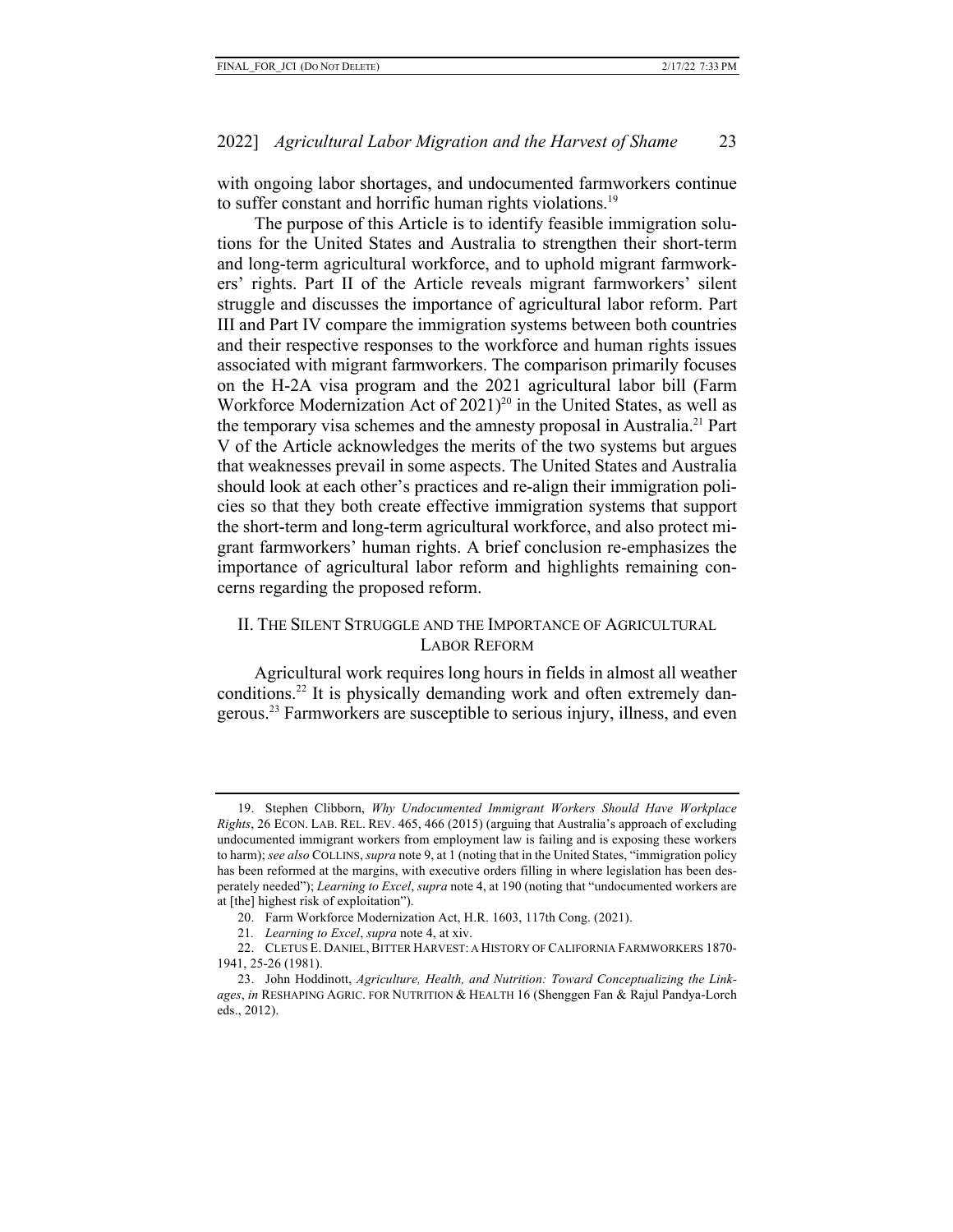with ongoing labor shortages, and undocumented farmworkers continue to suffer constant and horrific human rights violations.<sup>19</sup>

The purpose of this Article is to identify feasible immigration solutions for the United States and Australia to strengthen their short-term and long-term agricultural workforce, and to uphold migrant farmworkers' rights. Part II of the Article reveals migrant farmworkers' silent struggle and discusses the importance of agricultural labor reform. Part III and Part IV compare the immigration systems between both countries and their respective responses to the workforce and human rights issues associated with migrant farmworkers. The comparison primarily focuses on the H-2A visa program and the 2021 agricultural labor bill (Farm Workforce Modernization Act of  $2021$ <sup>20</sup> in the United States, as well as the temporary visa schemes and the amnesty proposal in Australia.21 Part V of the Article acknowledges the merits of the two systems but argues that weaknesses prevail in some aspects. The United States and Australia should look at each other's practices and re-align their immigration policies so that they both create effective immigration systems that support the short-term and long-term agricultural workforce, and also protect migrant farmworkers' human rights. A brief conclusion re-emphasizes the importance of agricultural labor reform and highlights remaining concerns regarding the proposed reform.

## II. THE SILENT STRUGGLE AND THE IMPORTANCE OF AGRICULTURAL LABOR REFORM

Agricultural work requires long hours in fields in almost all weather conditions.<sup>22</sup> It is physically demanding work and often extremely dangerous.23 Farmworkers are susceptible to serious injury, illness, and even

<sup>19.</sup> Stephen Clibborn, *Why Undocumented Immigrant Workers Should Have Workplace Rights*, 26 ECON. LAB. REL. REV. 465, 466 (2015) (arguing that Australia's approach of excluding undocumented immigrant workers from employment law is failing and is exposing these workers to harm); *see also* COLLINS, *supra* note 9, at 1 (noting that in the United States, "immigration policy has been reformed at the margins, with executive orders filling in where legislation has been desperately needed"); *Learning to Excel*, *supra* note 4, at 190 (noting that "undocumented workers are at [the] highest risk of exploitation").

<sup>20.</sup> Farm Workforce Modernization Act, H.R. 1603, 117th Cong. (2021).

<sup>21</sup>*. Learning to Excel*, *supra* note 4, at xiv.

<sup>22.</sup> CLETUS E. DANIEL, BITTER HARVEST: A HISTORY OF CALIFORNIA FARMWORKERS 1870- 1941, 25-26 (1981).

<sup>23.</sup> John Hoddinott, *Agriculture, Health, and Nutrition: Toward Conceptualizing the Linkages*, *in* RESHAPING AGRIC. FOR NUTRITION & HEALTH 16 (Shenggen Fan & Rajul Pandya-Lorch eds., 2012).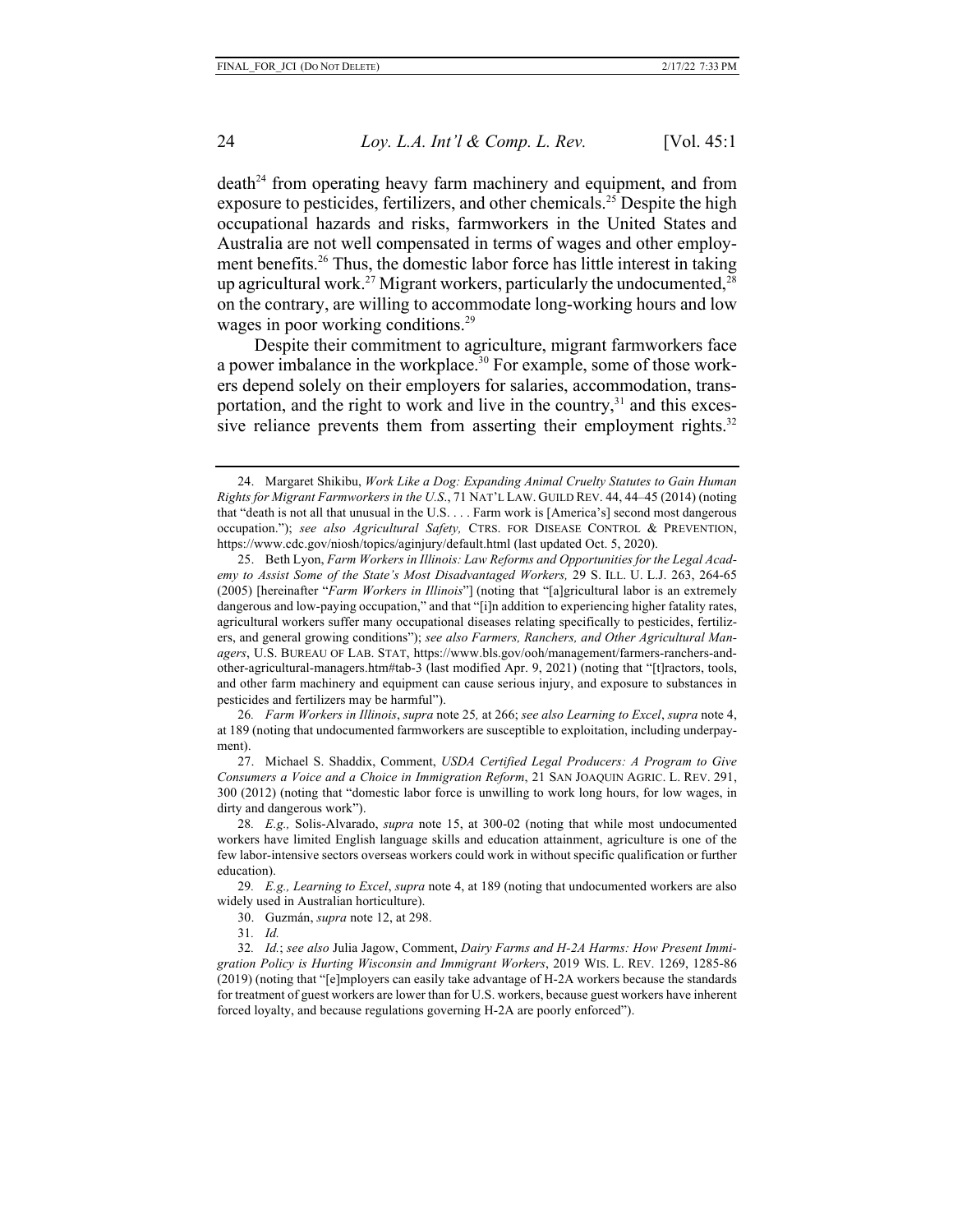$death<sup>24</sup>$  from operating heavy farm machinery and equipment, and from exposure to pesticides, fertilizers, and other chemicals.<sup>25</sup> Despite the high occupational hazards and risks, farmworkers in the United States and Australia are not well compensated in terms of wages and other employment benefits.26 Thus, the domestic labor force has little interest in taking up agricultural work.<sup>27</sup> Migrant workers, particularly the undocumented,  $2^8$ on the contrary, are willing to accommodate long-working hours and low wages in poor working conditions.<sup>29</sup>

Despite their commitment to agriculture, migrant farmworkers face a power imbalance in the workplace.<sup>30</sup> For example, some of those workers depend solely on their employers for salaries, accommodation, transportation, and the right to work and live in the country, $31$  and this excessive reliance prevents them from asserting their employment rights.<sup>32</sup>

<sup>24.</sup> Margaret Shikibu, *Work Like a Dog: Expanding Animal Cruelty Statutes to Gain Human Rights for Migrant Farmworkers in the U.S*., 71 NAT'L LAW. GUILD REV. 44, 44–45 (2014) (noting that "death is not all that unusual in the U.S. . . . Farm work is [America's] second most dangerous occupation."); *see also Agricultural Safety,* CTRS. FOR DISEASE CONTROL & PREVENTION, https://www.cdc.gov/niosh/topics/aginjury/default.html (last updated Oct. 5, 2020).

<sup>25.</sup> Beth Lyon, *Farm Workers in Illinois: Law Reforms and Opportunities for the Legal Academy to Assist Some of the State's Most Disadvantaged Workers,* 29 S. ILL. U. L.J. 263, 264-65 (2005) [hereinafter "*Farm Workers in Illinois*"] (noting that "[a]gricultural labor is an extremely dangerous and low-paying occupation," and that "[i]n addition to experiencing higher fatality rates, agricultural workers suffer many occupational diseases relating specifically to pesticides, fertilizers, and general growing conditions"); *see also Farmers, Ranchers, and Other Agricultural Managers*, U.S. BUREAU OF LAB. STAT, https://www.bls.gov/ooh/management/farmers-ranchers-andother-agricultural-managers.htm#tab-3 (last modified Apr. 9, 2021) (noting that "[t]ractors, tools, and other farm machinery and equipment can cause serious injury, and exposure to substances in pesticides and fertilizers may be harmful").

<sup>26</sup>*. Farm Workers in Illinois*, *supra* note 25*,* at 266; *see also Learning to Excel*, *supra* note 4, at 189 (noting that undocumented farmworkers are susceptible to exploitation, including underpayment).

<sup>27.</sup> Michael S. Shaddix, Comment, *USDA Certified Legal Producers: A Program to Give Consumers a Voice and a Choice in Immigration Reform*, 21 SAN JOAQUIN AGRIC. L. REV. 291, 300 (2012) (noting that "domestic labor force is unwilling to work long hours, for low wages, in dirty and dangerous work").

<sup>28</sup>*. E.g.,* Solis-Alvarado, *supra* note 15, at 300-02 (noting that while most undocumented workers have limited English language skills and education attainment, agriculture is one of the few labor-intensive sectors overseas workers could work in without specific qualification or further education).

<sup>29</sup>*. E.g., Learning to Excel*, *supra* note 4, at 189 (noting that undocumented workers are also widely used in Australian horticulture).

<sup>30.</sup> Guzmán, *supra* note 12, at 298.

<sup>31</sup>*. Id.*

<sup>32</sup>*. Id.*; *see also* Julia Jagow, Comment, *Dairy Farms and H-2A Harms: How Present Immigration Policy is Hurting Wisconsin and Immigrant Workers*, 2019 WIS. L. REV. 1269, 1285-86 (2019) (noting that "[e]mployers can easily take advantage of H-2A workers because the standards for treatment of guest workers are lower than for U.S. workers, because guest workers have inherent forced loyalty, and because regulations governing H-2A are poorly enforced").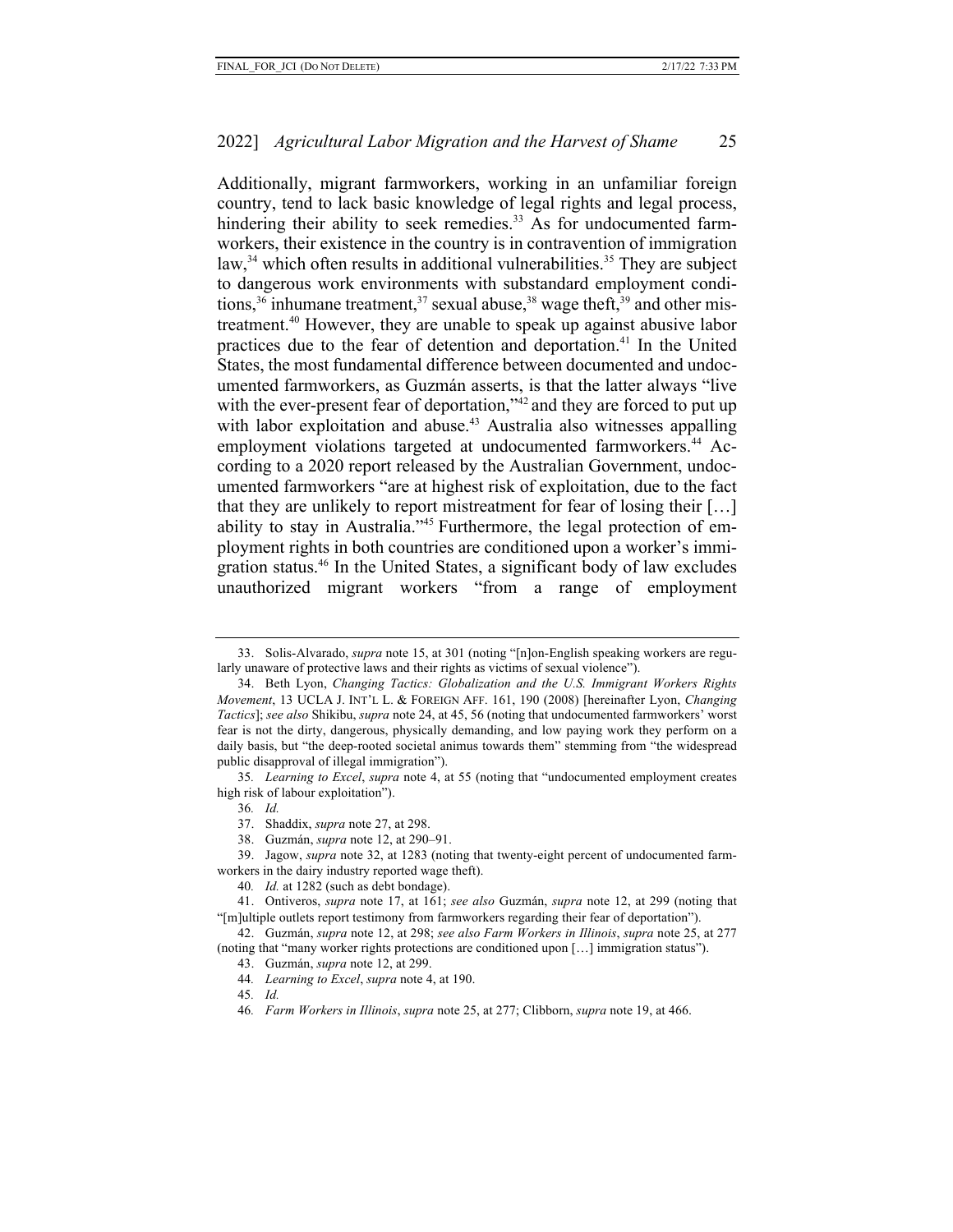Additionally, migrant farmworkers, working in an unfamiliar foreign country, tend to lack basic knowledge of legal rights and legal process, hindering their ability to seek remedies.<sup>33</sup> As for undocumented farmworkers, their existence in the country is in contravention of immigration law, $34$  which often results in additional vulnerabilities.<sup>35</sup> They are subject to dangerous work environments with substandard employment conditions,<sup>36</sup> inhumane treatment,<sup>37</sup> sexual abuse,<sup>38</sup> wage theft,<sup>39</sup> and other mistreatment.40 However, they are unable to speak up against abusive labor practices due to the fear of detention and deportation.41 In the United States, the most fundamental difference between documented and undocumented farmworkers, as Guzmán asserts, is that the latter always "live with the ever-present fear of deportation,"<sup>42</sup> and they are forced to put up with labor exploitation and abuse.<sup>43</sup> Australia also witnesses appalling employment violations targeted at undocumented farmworkers.<sup>44</sup> According to a 2020 report released by the Australian Government, undocumented farmworkers "are at highest risk of exploitation, due to the fact that they are unlikely to report mistreatment for fear of losing their […] ability to stay in Australia."45 Furthermore, the legal protection of employment rights in both countries are conditioned upon a worker's immigration status.46 In the United States, a significant body of law excludes unauthorized migrant workers "from a range of employment

<sup>33.</sup> Solis-Alvarado, *supra* note 15, at 301 (noting "[n]on-English speaking workers are regularly unaware of protective laws and their rights as victims of sexual violence").

<sup>34.</sup> Beth Lyon, *Changing Tactics: Globalization and the U.S. Immigrant Workers Rights Movement*, 13 UCLA J. INT'L L. & FOREIGN AFF. 161, 190 (2008) [hereinafter Lyon, *Changing Tactics*]; *see also* Shikibu, *supra* note 24, at 45, 56 (noting that undocumented farmworkers' worst fear is not the dirty, dangerous, physically demanding, and low paying work they perform on a daily basis, but "the deep-rooted societal animus towards them" stemming from "the widespread public disapproval of illegal immigration").

<sup>35</sup>*. Learning to Excel*, *supra* note 4, at 55 (noting that "undocumented employment creates high risk of labour exploitation").

<sup>36</sup>*. Id.*

<sup>37.</sup> Shaddix, *supra* note 27, at 298.

<sup>38.</sup> Guzmán, *supra* note 12, at 290–91.

<sup>39.</sup> Jagow, *supra* note 32, at 1283 (noting that twenty-eight percent of undocumented farmworkers in the dairy industry reported wage theft).

<sup>40</sup>*. Id.* at 1282 (such as debt bondage).

<sup>41.</sup> Ontiveros, *supra* note 17, at 161; *see also* Guzmán, *supra* note 12, at 299 (noting that "[m]ultiple outlets report testimony from farmworkers regarding their fear of deportation").

<sup>42.</sup> Guzmán, *supra* note 12, at 298; *see also Farm Workers in Illinois*, *supra* note 25, at 277 (noting that "many worker rights protections are conditioned upon […] immigration status").

<sup>43.</sup> Guzmán, *supra* note 12, at 299.

<sup>44</sup>*. Learning to Excel*, *supra* note 4, at 190.

<sup>45</sup>*. Id.*

<sup>46</sup>*. Farm Workers in Illinois*, *supra* note 25, at 277; Clibborn, *supra* note 19, at 466.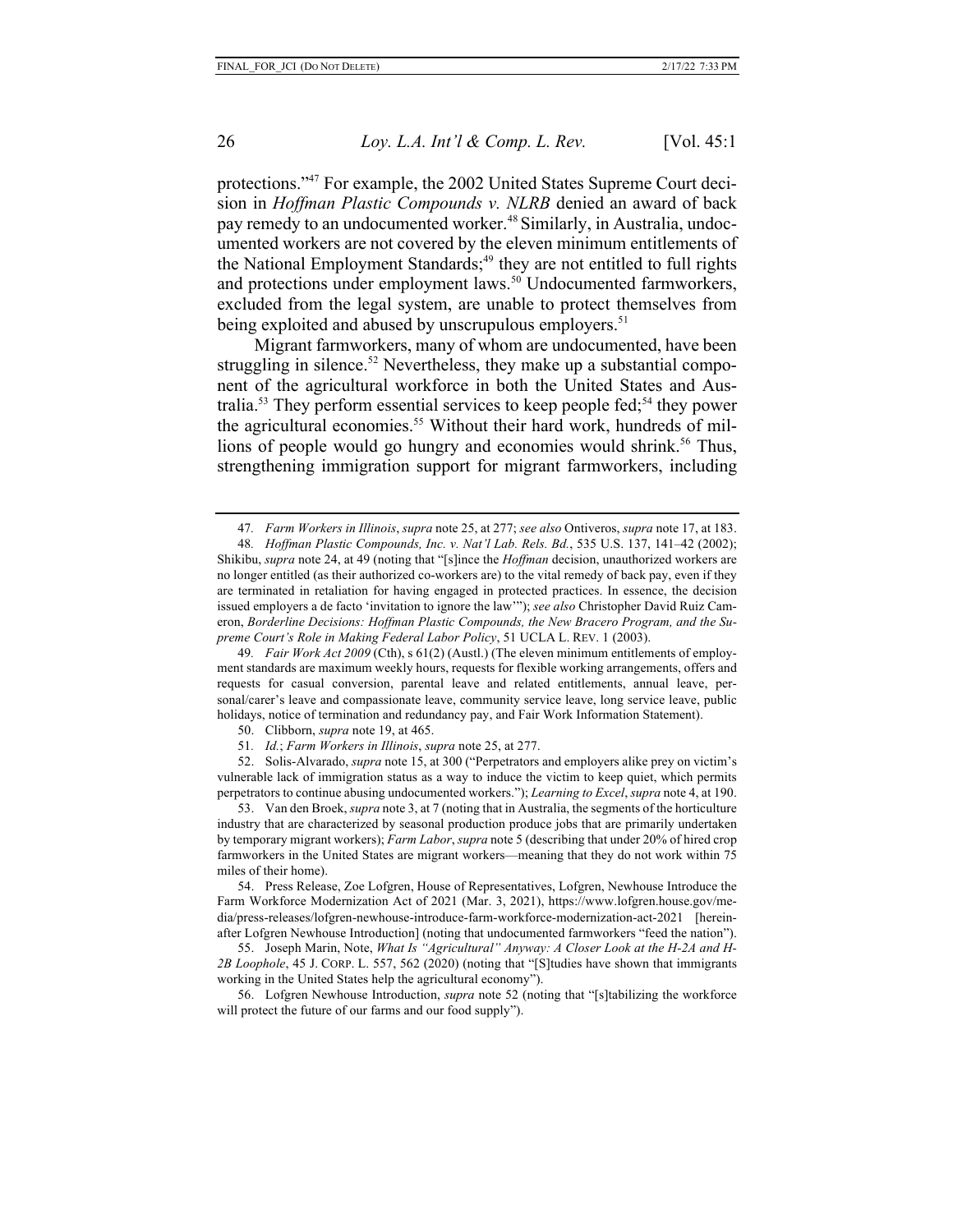protections."47 For example, the 2002 United States Supreme Court decision in *Hoffman Plastic Compounds v. NLRB* denied an award of back pay remedy to an undocumented worker.<sup>48</sup> Similarly, in Australia, undocumented workers are not covered by the eleven minimum entitlements of the National Employment Standards;<sup>49</sup> they are not entitled to full rights and protections under employment laws.<sup>50</sup> Undocumented farmworkers, excluded from the legal system, are unable to protect themselves from being exploited and abused by unscrupulous employers.<sup>51</sup>

Migrant farmworkers, many of whom are undocumented, have been struggling in silence.<sup>52</sup> Nevertheless, they make up a substantial component of the agricultural workforce in both the United States and Australia.<sup>53</sup> They perform essential services to keep people fed;<sup>54</sup> they power the agricultural economies.<sup>55</sup> Without their hard work, hundreds of millions of people would go hungry and economies would shrink.<sup>56</sup> Thus, strengthening immigration support for migrant farmworkers, including

49*. Fair Work Act 2009* (Cth), s 61(2) (Austl.) (The eleven minimum entitlements of employment standards are maximum weekly hours, requests for flexible working arrangements, offers and requests for casual conversion, parental leave and related entitlements, annual leave, personal/carer's leave and compassionate leave, community service leave, long service leave, public holidays, notice of termination and redundancy pay, and Fair Work Information Statement).

- 50. Clibborn, *supra* note 19, at 465.
- 51*. Id.*; *Farm Workers in Illinois*, *supra* note 25, at 277.

52. Solis-Alvarado, *supra* note 15, at 300 ("Perpetrators and employers alike prey on victim's vulnerable lack of immigration status as a way to induce the victim to keep quiet, which permits perpetrators to continue abusing undocumented workers."); *Learning to Excel*, *supra* note 4, at 190.

53. Van den Broek, *supra* note 3, at 7 (noting that in Australia, the segments of the horticulture industry that are characterized by seasonal production produce jobs that are primarily undertaken by temporary migrant workers); *Farm Labor*, *supra* note 5 (describing that under 20% of hired crop farmworkers in the United States are migrant workers—meaning that they do not work within 75 miles of their home).

54. Press Release, Zoe Lofgren, House of Representatives, Lofgren, Newhouse Introduce the Farm Workforce Modernization Act of 2021 (Mar. 3, 2021), https://www.lofgren.house.gov/media/press-releases/lofgren-newhouse-introduce-farm-workforce-modernization-act-2021 [hereinafter Lofgren Newhouse Introduction] (noting that undocumented farmworkers "feed the nation").

55. Joseph Marin, Note, *What Is "Agricultural" Anyway: A Closer Look at the H-2A and H-2B Loophole*, 45 J. CORP. L. 557, 562 (2020) (noting that "[S]tudies have shown that immigrants working in the United States help the agricultural economy").

56. Lofgren Newhouse Introduction, *supra* note 52 (noting that "[s]tabilizing the workforce will protect the future of our farms and our food supply").

<sup>47</sup>*. Farm Workers in Illinois*, *supra* note 25, at 277; *see also* Ontiveros, *supra* note 17, at 183.

<sup>48</sup>*. Hoffman Plastic Compounds, Inc. v. Nat'l Lab. Rels. Bd.*, 535 U.S. 137, 141–42 (2002); Shikibu, *supra* note 24, at 49 (noting that "[s]ince the *Hoffman* decision, unauthorized workers are no longer entitled (as their authorized co-workers are) to the vital remedy of back pay, even if they are terminated in retaliation for having engaged in protected practices. In essence, the decision issued employers a de facto 'invitation to ignore the law'"); *see also* Christopher David Ruiz Cameron, *Borderline Decisions: Hoffman Plastic Compounds, the New Bracero Program, and the Supreme Court's Role in Making Federal Labor Policy*, 51 UCLA L. REV. 1 (2003).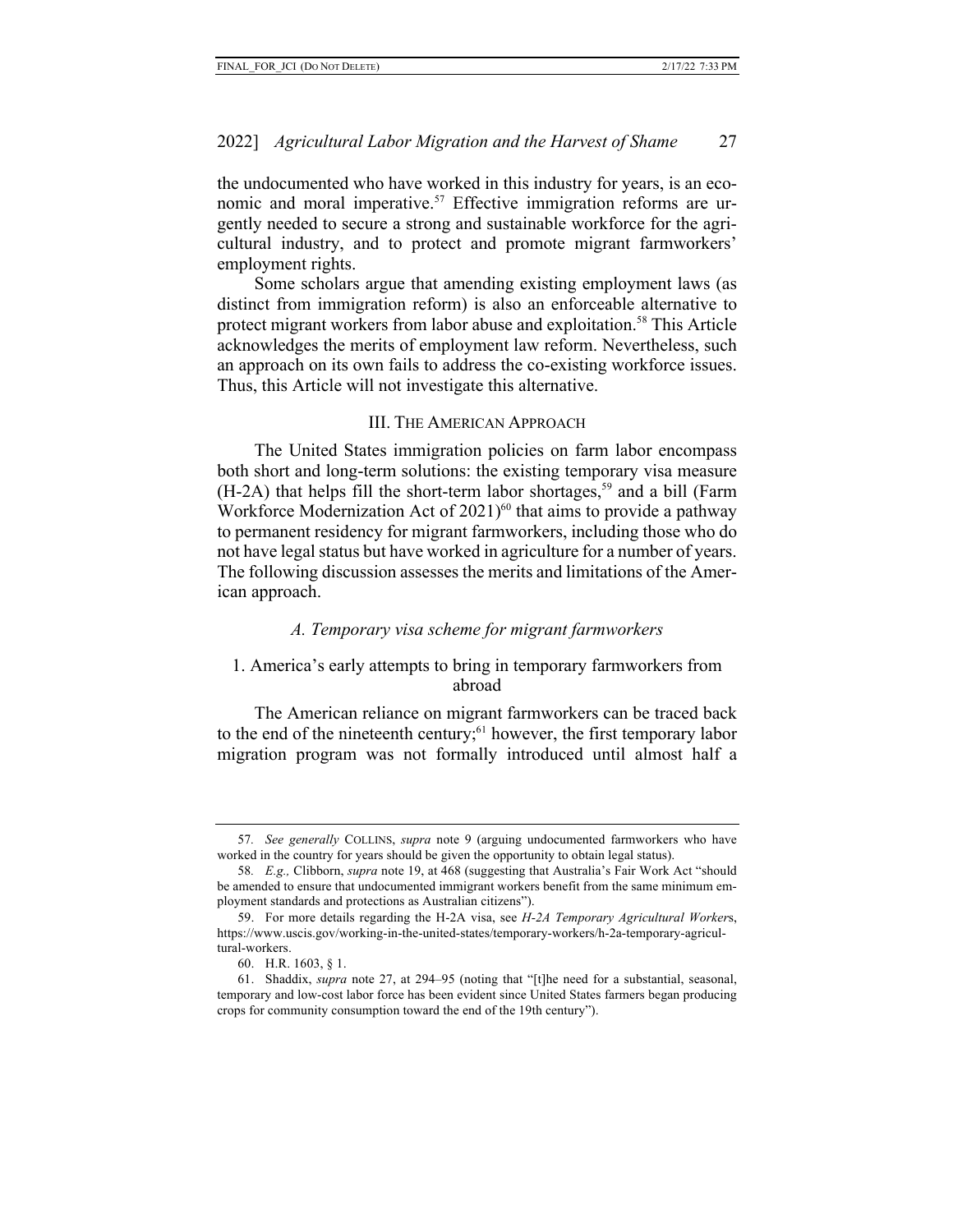the undocumented who have worked in this industry for years, is an economic and moral imperative.<sup>57</sup> Effective immigration reforms are urgently needed to secure a strong and sustainable workforce for the agricultural industry, and to protect and promote migrant farmworkers' employment rights.

Some scholars argue that amending existing employment laws (as distinct from immigration reform) is also an enforceable alternative to protect migrant workers from labor abuse and exploitation.<sup>58</sup> This Article acknowledges the merits of employment law reform. Nevertheless, such an approach on its own fails to address the co-existing workforce issues. Thus, this Article will not investigate this alternative.

#### III. THE AMERICAN APPROACH

The United States immigration policies on farm labor encompass both short and long-term solutions: the existing temporary visa measure  $(H-2A)$  that helps fill the short-term labor shortages,<sup>59</sup> and a bill (Farm Workforce Modernization Act of  $2021$ <sup>60</sup> that aims to provide a pathway to permanent residency for migrant farmworkers, including those who do not have legal status but have worked in agriculture for a number of years. The following discussion assesses the merits and limitations of the American approach.

## *A. Temporary visa scheme for migrant farmworkers*

#### 1. America's early attempts to bring in temporary farmworkers from abroad

The American reliance on migrant farmworkers can be traced back to the end of the nineteenth century;<sup>61</sup> however, the first temporary labor migration program was not formally introduced until almost half a

<sup>57</sup>*. See generally* COLLINS, *supra* note 9 (arguing undocumented farmworkers who have worked in the country for years should be given the opportunity to obtain legal status).

<sup>58</sup>*. E.g.,* Clibborn, *supra* note 19, at 468 (suggesting that Australia's Fair Work Act "should be amended to ensure that undocumented immigrant workers benefit from the same minimum employment standards and protections as Australian citizens").

<sup>59.</sup> For more details regarding the H-2A visa, see *H-2A Temporary Agricultural Worker*s, https://www.uscis.gov/working-in-the-united-states/temporary-workers/h-2a-temporary-agricultural-workers.

<sup>60.</sup> H.R. 1603, § 1.

<sup>61.</sup> Shaddix, *supra* note 27, at 294–95 (noting that "[t]he need for a substantial, seasonal, temporary and low-cost labor force has been evident since United States farmers began producing crops for community consumption toward the end of the 19th century").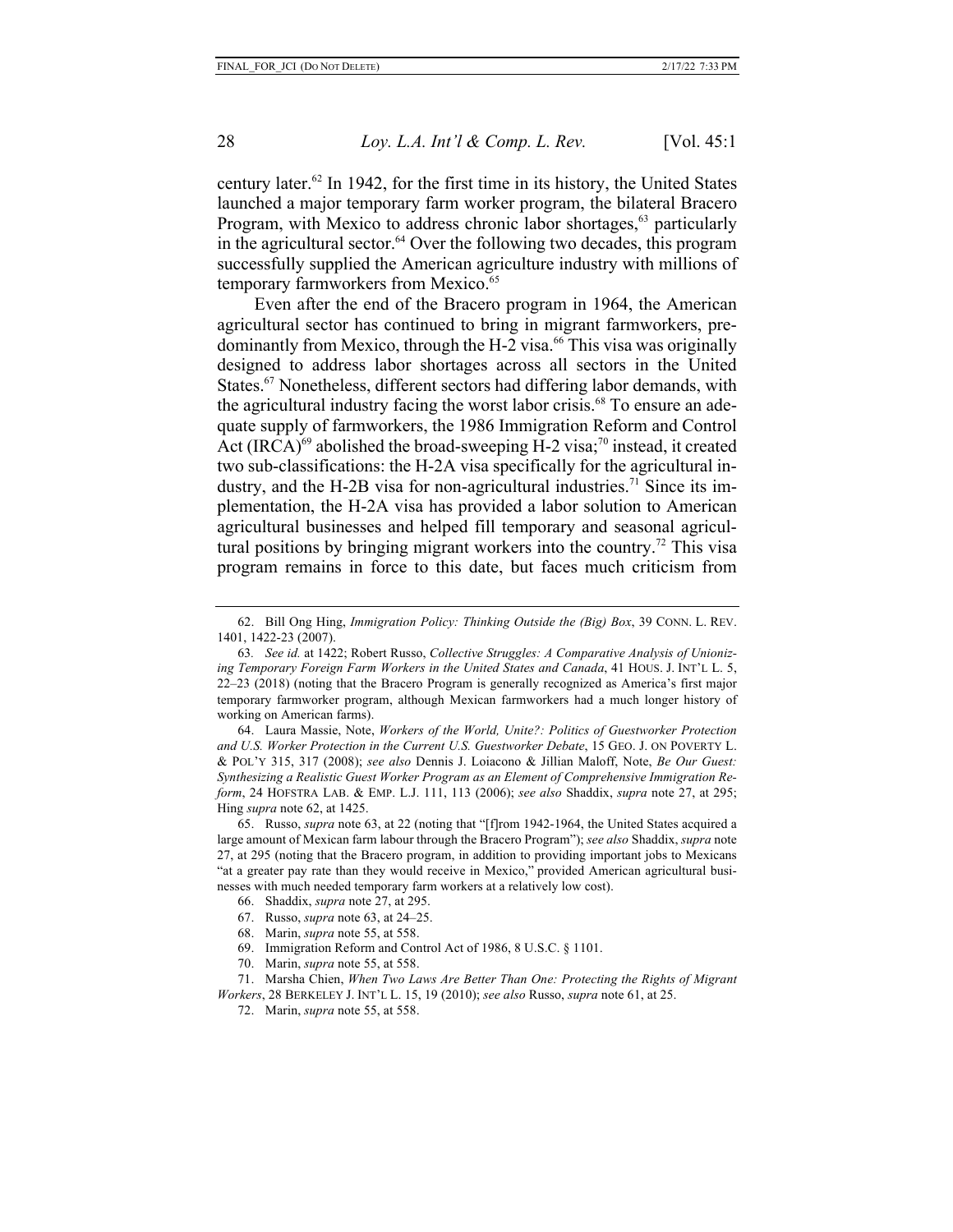century later. $62$  In 1942, for the first time in its history, the United States launched a major temporary farm worker program, the bilateral Bracero Program, with Mexico to address chronic labor shortages,  $63$  particularly in the agricultural sector.<sup>64</sup> Over the following two decades, this program successfully supplied the American agriculture industry with millions of temporary farmworkers from Mexico.<sup>65</sup>

Even after the end of the Bracero program in 1964, the American agricultural sector has continued to bring in migrant farmworkers, predominantly from Mexico, through the H-2 visa.<sup>66</sup> This visa was originally designed to address labor shortages across all sectors in the United States.<sup>67</sup> Nonetheless, different sectors had differing labor demands, with the agricultural industry facing the worst labor crisis.<sup>68</sup> To ensure an adequate supply of farmworkers, the 1986 Immigration Reform and Control Act  $(IRCA)^{69}$  abolished the broad-sweeping H-2 visa;<sup>70</sup> instead, it created two sub-classifications: the H-2A visa specifically for the agricultural industry, and the H-2B visa for non-agricultural industries.<sup>71</sup> Since its implementation, the H-2A visa has provided a labor solution to American agricultural businesses and helped fill temporary and seasonal agricultural positions by bringing migrant workers into the country.<sup>72</sup> This visa program remains in force to this date, but faces much criticism from

64. Laura Massie, Note, *Workers of the World, Unite?: Politics of Guestworker Protection and U.S. Worker Protection in the Current U.S. Guestworker Debate*, 15 GEO. J. ON POVERTY L. & POL'Y 315, 317 (2008); *see also* Dennis J. Loiacono & Jillian Maloff, Note, *Be Our Guest: Synthesizing a Realistic Guest Worker Program as an Element of Comprehensive Immigration Reform*, 24 HOFSTRA LAB. & EMP. L.J. 111, 113 (2006); *see also* Shaddix, *supra* note 27, at 295; Hing *supra* note 62, at 1425.

65. Russo, *supra* note 63, at 22 (noting that "[f]rom 1942-1964, the United States acquired a large amount of Mexican farm labour through the Bracero Program"); *see also* Shaddix, *supra* note 27, at 295 (noting that the Bracero program, in addition to providing important jobs to Mexicans "at a greater pay rate than they would receive in Mexico," provided American agricultural businesses with much needed temporary farm workers at a relatively low cost).

- 66. Shaddix, *supra* note 27, at 295.
- 67. Russo, *supra* note 63, at 24–25.
- 68. Marin, *supra* note 55, at 558.
- 69. Immigration Reform and Control Act of 1986, 8 U.S.C. § 1101.
- 70. Marin, *supra* note 55, at 558.

71. Marsha Chien, *When Two Laws Are Better Than One: Protecting the Rights of Migrant Workers*, 28 BERKELEY J. INT'L L. 15, 19 (2010); *see also* Russo, *supra* note 61, at 25.

72. Marin, *supra* note 55, at 558.

<sup>62.</sup> Bill Ong Hing, *Immigration Policy: Thinking Outside the (Big) Box*, 39 CONN. L. REV. 1401, 1422-23 (2007).

<sup>63</sup>*. See id.* at 1422; Robert Russo, *Collective Struggles: A Comparative Analysis of Unionizing Temporary Foreign Farm Workers in the United States and Canada*, 41 HOUS. J. INT'L L. 5, 22–23 (2018) (noting that the Bracero Program is generally recognized as America's first major temporary farmworker program, although Mexican farmworkers had a much longer history of working on American farms).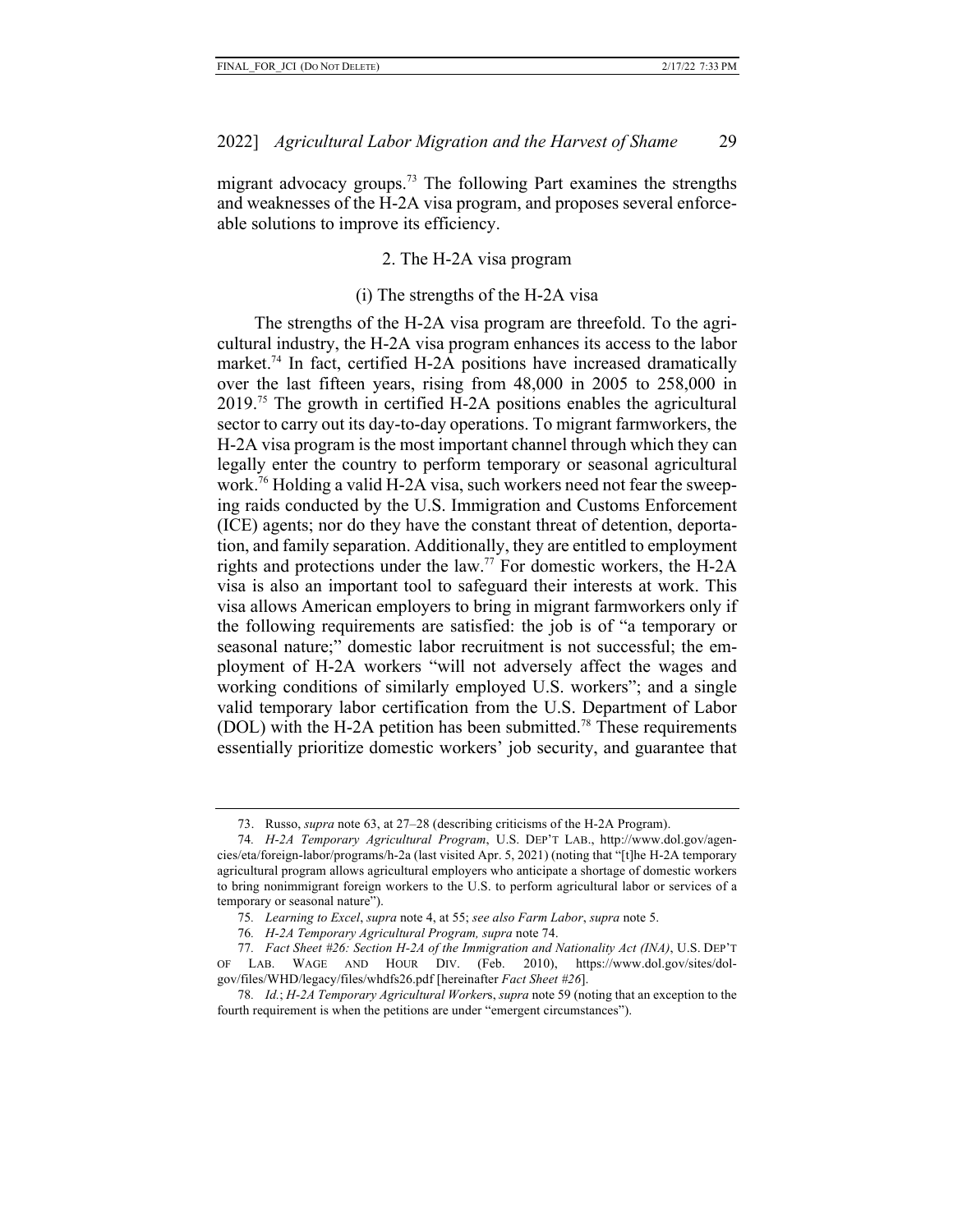migrant advocacy groups.<sup>73</sup> The following Part examines the strengths and weaknesses of the H-2A visa program, and proposes several enforceable solutions to improve its efficiency.

#### 2. The H-2A visa program

#### (i) The strengths of the H-2A visa

The strengths of the H-2A visa program are threefold. To the agricultural industry, the H-2A visa program enhances its access to the labor market.<sup>74</sup> In fact, certified H-2A positions have increased dramatically over the last fifteen years, rising from 48,000 in 2005 to 258,000 in 2019.75 The growth in certified H-2A positions enables the agricultural sector to carry out its day-to-day operations. To migrant farmworkers, the H-2A visa program is the most important channel through which they can legally enter the country to perform temporary or seasonal agricultural work.76 Holding a valid H-2A visa, such workers need not fear the sweeping raids conducted by the U.S. Immigration and Customs Enforcement (ICE) agents; nor do they have the constant threat of detention, deportation, and family separation. Additionally, they are entitled to employment rights and protections under the law.<sup>77</sup> For domestic workers, the H-2A visa is also an important tool to safeguard their interests at work. This visa allows American employers to bring in migrant farmworkers only if the following requirements are satisfied: the job is of "a temporary or seasonal nature;" domestic labor recruitment is not successful; the employment of H-2A workers "will not adversely affect the wages and working conditions of similarly employed U.S. workers"; and a single valid temporary labor certification from the U.S. Department of Labor (DOL) with the H-2A petition has been submitted.<sup>78</sup> These requirements essentially prioritize domestic workers' job security, and guarantee that

<sup>73.</sup> Russo, *supra* note 63, at 27–28 (describing criticisms of the H-2A Program).

<sup>74</sup>*. H-2A Temporary Agricultural Program*, U.S. DEP'T LAB., http://www.dol.gov/agencies/eta/foreign-labor/programs/h-2a (last visited Apr. 5, 2021) (noting that "[t]he H-2A temporary agricultural program allows agricultural employers who anticipate a shortage of domestic workers to bring nonimmigrant foreign workers to the U.S. to perform agricultural labor or services of a temporary or seasonal nature").

<sup>75</sup>*. Learning to Excel*, *supra* note 4, at 55; *see also Farm Labor*, *supra* note 5.

<sup>76</sup>*. H-2A Temporary Agricultural Program, supra* note 74.

<sup>77</sup>*. Fact Sheet #26: Section H-2A of the Immigration and Nationality Act (INA)*, U.S. DEP'T OF LAB. WAGE AND HOUR DIV. (Feb. 2010), https://www.dol.gov/sites/dolgov/files/WHD/legacy/files/whdfs26.pdf [hereinafter *Fact Sheet #26*].

<sup>78</sup>*. Id.*; *H-2A Temporary Agricultural Worker*s, *supra* note 59 (noting that an exception to the fourth requirement is when the petitions are under "emergent circumstances").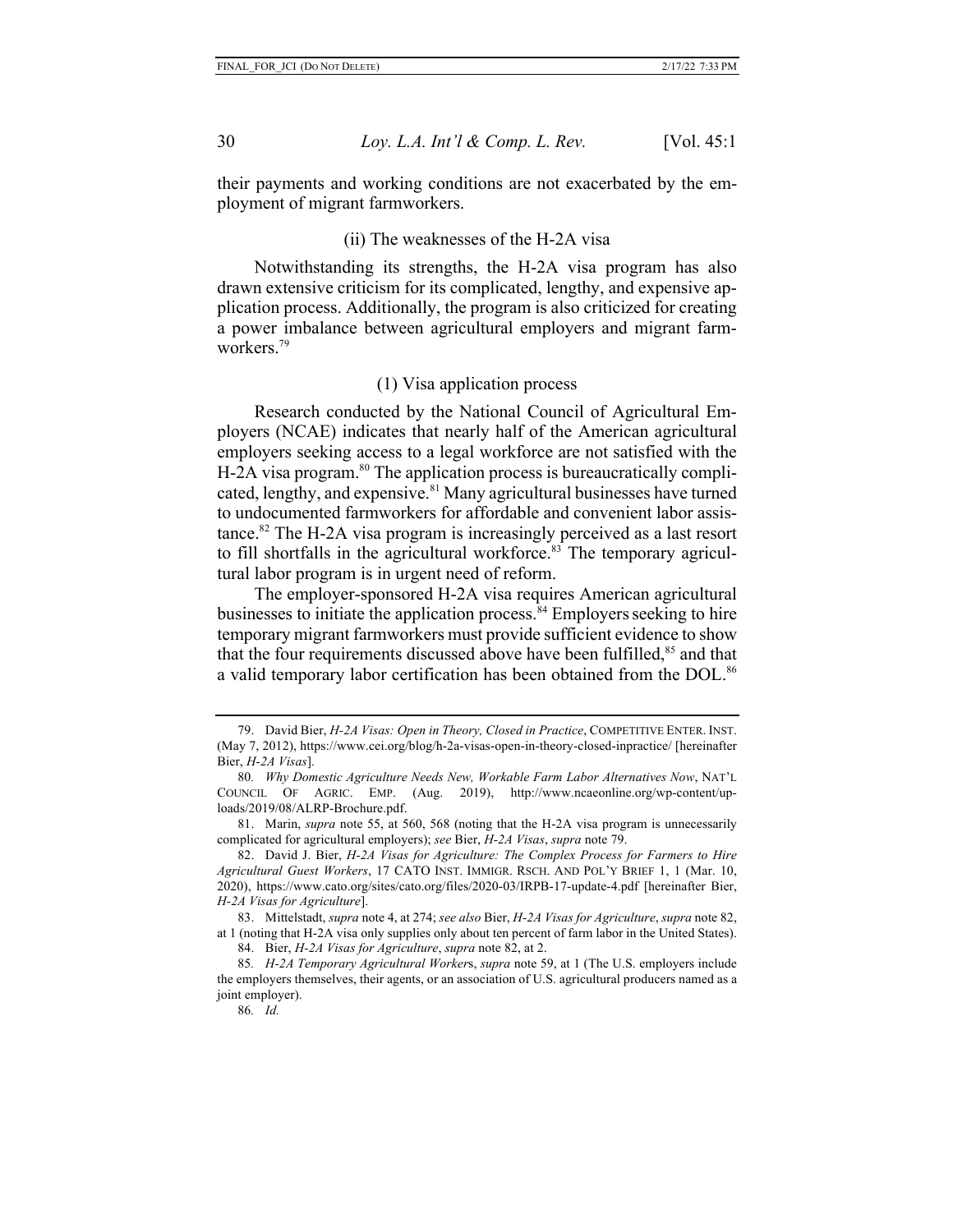their payments and working conditions are not exacerbated by the employment of migrant farmworkers.

## (ii) The weaknesses of the H-2A visa

Notwithstanding its strengths, the H-2A visa program has also drawn extensive criticism for its complicated, lengthy, and expensive application process. Additionally, the program is also criticized for creating a power imbalance between agricultural employers and migrant farmworkers.79

#### (1) Visa application process

Research conducted by the National Council of Agricultural Employers (NCAE) indicates that nearly half of the American agricultural employers seeking access to a legal workforce are not satisfied with the  $H-2A$  visa program.<sup>80</sup> The application process is bureaucratically complicated, lengthy, and expensive.<sup>81</sup> Many agricultural businesses have turned to undocumented farmworkers for affordable and convenient labor assistance.<sup>82</sup> The H-2A visa program is increasingly perceived as a last resort to fill shortfalls in the agricultural workforce. $83$  The temporary agricultural labor program is in urgent need of reform.

The employer-sponsored H-2A visa requires American agricultural businesses to initiate the application process.  $84$  Employers seeking to hire temporary migrant farmworkers must provide sufficient evidence to show that the four requirements discussed above have been fulfilled,<sup>85</sup> and that a valid temporary labor certification has been obtained from the DOL.<sup>86</sup>

<sup>79.</sup> David Bier, *H-2A Visas: Open in Theory, Closed in Practice*, COMPETITIVE ENTER. INST. (May 7, 2012), https://www.cei.org/blog/h-2a-visas-open-in-theory-closed-inpractice/ [hereinafter Bier, *H-2A Visas*].

<sup>80</sup>*. Why Domestic Agriculture Needs New, Workable Farm Labor Alternatives Now*, NAT'L COUNCIL OF AGRIC. EMP. (Aug. 2019), http://www.ncaeonline.org/wp-content/uploads/2019/08/ALRP-Brochure.pdf.

<sup>81.</sup> Marin, *supra* note 55, at 560, 568 (noting that the H-2A visa program is unnecessarily complicated for agricultural employers); *see* Bier, *H-2A Visas*, *supra* note 79.

<sup>82.</sup> David J. Bier, *H-2A Visas for Agriculture: The Complex Process for Farmers to Hire Agricultural Guest Workers*, 17 CATO INST. IMMIGR. RSCH. AND POL'Y BRIEF 1, 1 (Mar. 10, 2020), https://www.cato.org/sites/cato.org/files/2020-03/IRPB-17-update-4.pdf [hereinafter Bier, *H-2A Visas for Agriculture*].

<sup>83.</sup> Mittelstadt, *supra* note 4, at 274; *see also* Bier, *H-2A Visas for Agriculture*, *supra* note 82, at 1 (noting that H-2A visa only supplies only about ten percent of farm labor in the United States).

<sup>84.</sup> Bier, *H-2A Visas for Agriculture*, *supra* note 82, at 2.

<sup>85</sup>*. H-2A Temporary Agricultural Worker*s, *supra* note 59, at 1 (The U.S. employers include the employers themselves, their agents, or an association of U.S. agricultural producers named as a joint employer).

<sup>86</sup>*. Id.*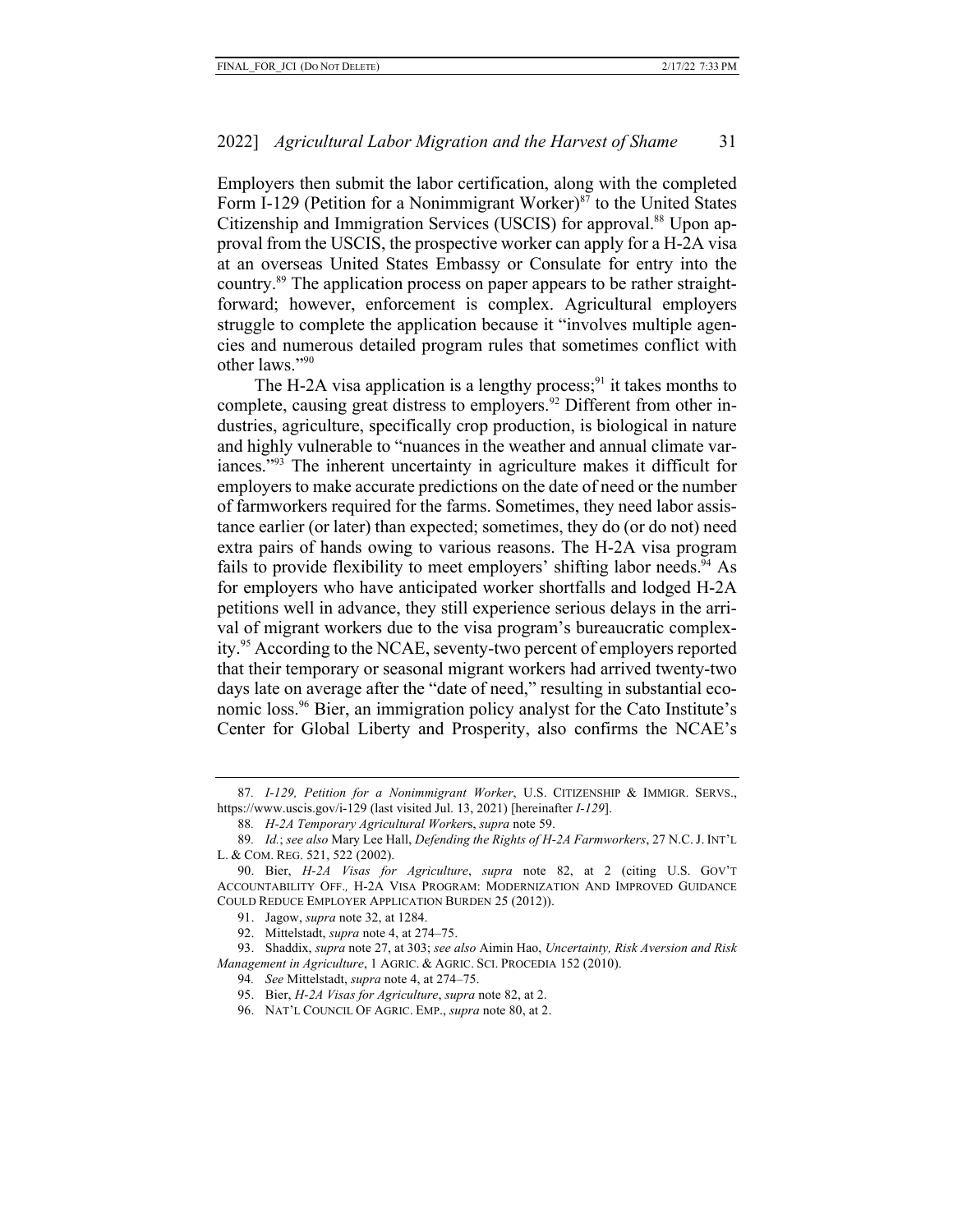Employers then submit the labor certification, along with the completed Form I-129 (Petition for a Nonimmigrant Worker)<sup>87</sup> to the United States Citizenship and Immigration Services (USCIS) for approval.<sup>88</sup> Upon approval from the USCIS, the prospective worker can apply for a H-2A visa at an overseas United States Embassy or Consulate for entry into the country.89 The application process on paper appears to be rather straightforward; however, enforcement is complex. Agricultural employers struggle to complete the application because it "involves multiple agencies and numerous detailed program rules that sometimes conflict with other laws."90

The H-2A visa application is a lengthy process;  $91$  it takes months to complete, causing great distress to employers.<sup>92</sup> Different from other industries, agriculture, specifically crop production, is biological in nature and highly vulnerable to "nuances in the weather and annual climate variances."93 The inherent uncertainty in agriculture makes it difficult for employers to make accurate predictions on the date of need or the number of farmworkers required for the farms. Sometimes, they need labor assistance earlier (or later) than expected; sometimes, they do (or do not) need extra pairs of hands owing to various reasons. The H-2A visa program fails to provide flexibility to meet employers' shifting labor needs.<sup>94</sup> As for employers who have anticipated worker shortfalls and lodged H-2A petitions well in advance, they still experience serious delays in the arrival of migrant workers due to the visa program's bureaucratic complexity.95 According to the NCAE, seventy-two percent of employers reported that their temporary or seasonal migrant workers had arrived twenty-two days late on average after the "date of need," resulting in substantial economic loss.96 Bier, an immigration policy analyst for the Cato Institute's Center for Global Liberty and Prosperity, also confirms the NCAE's

<sup>87</sup>*. I-129, Petition for a Nonimmigrant Worker*, U.S. CITIZENSHIP & IMMIGR. SERVS., https://www.uscis.gov/i-129 (last visited Jul. 13, 2021) [hereinafter *I-129*].

<sup>88</sup>*. H-2A Temporary Agricultural Worker*s, *supra* note 59.

<sup>89</sup>*. Id.*; *see also* Mary Lee Hall, *Defending the Rights of H-2A Farmworkers*, 27 N.C.J. INT'L L. & COM. REG. 521, 522 (2002).

<sup>90.</sup> Bier, *H-2A Visas for Agriculture*, *supra* note 82, at 2 (citing U.S. GOV'T ACCOUNTABILITY OFF.*,* H-2A VISA PROGRAM: MODERNIZATION AND IMPROVED GUIDANCE COULD REDUCE EMPLOYER APPLICATION BURDEN 25 (2012)).

<sup>91.</sup> Jagow, *supra* note 32, at 1284.

<sup>92.</sup> Mittelstadt, *supra* note 4, at 274–75.

<sup>93.</sup> Shaddix, *supra* note 27, at 303; *see also* Aimin Hao, *Uncertainty, Risk Aversion and Risk Management in Agriculture*, 1 AGRIC. & AGRIC. SCI. PROCEDIA 152 (2010).

<sup>94</sup>*. See* Mittelstadt, *supra* note 4, at 274–75.

<sup>95.</sup> Bier, *H-2A Visas for Agriculture*, *supra* note 82, at 2.

<sup>96.</sup> NAT'L COUNCIL OF AGRIC. EMP., *supra* note 80, at 2.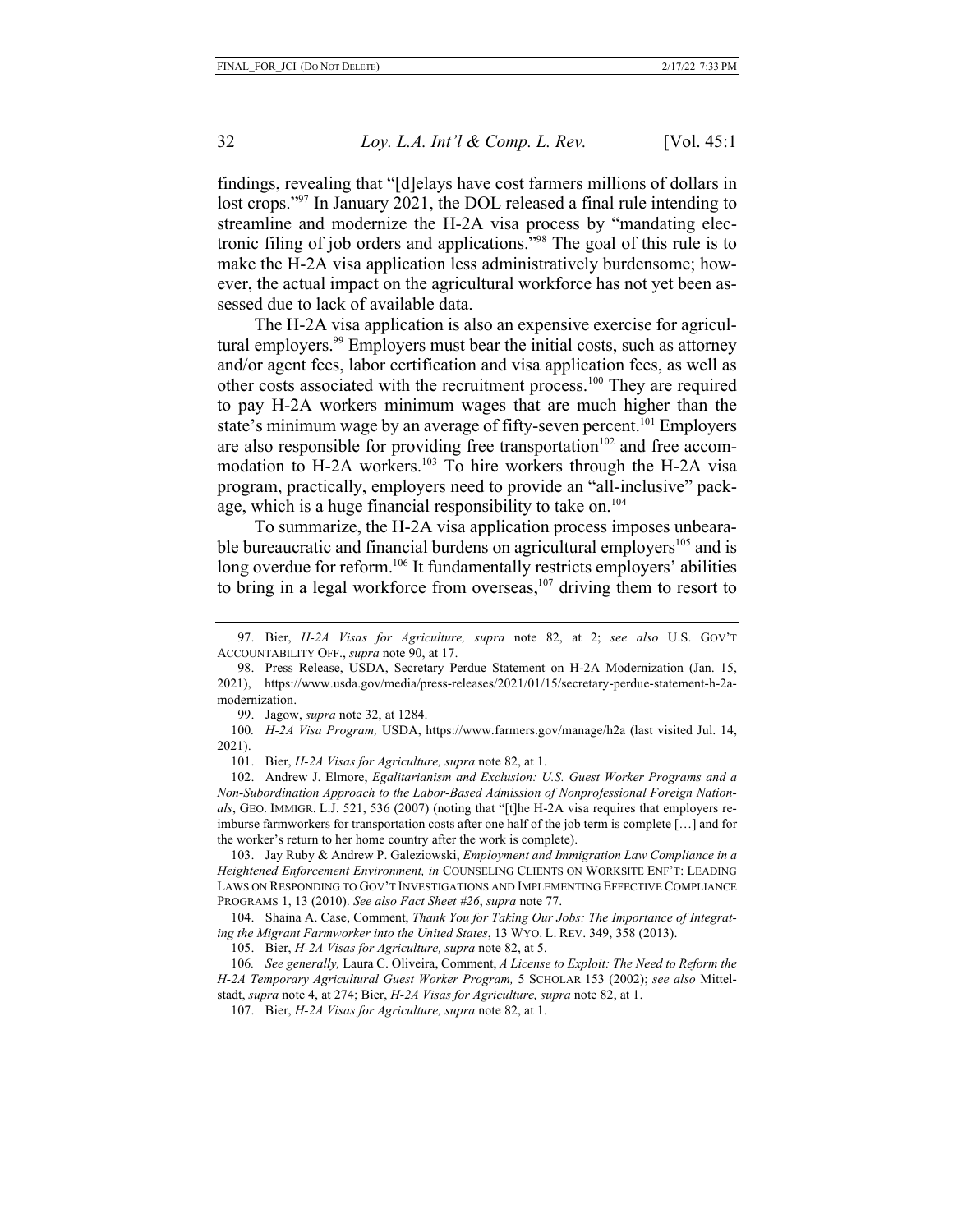findings, revealing that "[d]elays have cost farmers millions of dollars in lost crops."<sup>97</sup> In January 2021, the DOL released a final rule intending to streamline and modernize the H-2A visa process by "mandating electronic filing of job orders and applications."98 The goal of this rule is to make the H-2A visa application less administratively burdensome; however, the actual impact on the agricultural workforce has not yet been assessed due to lack of available data.

The H-2A visa application is also an expensive exercise for agricultural employers.<sup>99</sup> Employers must bear the initial costs, such as attorney and/or agent fees, labor certification and visa application fees, as well as other costs associated with the recruitment process.<sup>100</sup> They are required to pay H-2A workers minimum wages that are much higher than the state's minimum wage by an average of fifty-seven percent.<sup>101</sup> Employers are also responsible for providing free transportation<sup>102</sup> and free accommodation to H-2A workers.<sup>103</sup> To hire workers through the H-2A visa program, practically, employers need to provide an "all-inclusive" package, which is a huge financial responsibility to take on.<sup>104</sup>

To summarize, the H-2A visa application process imposes unbearable bureaucratic and financial burdens on agricultural employers<sup>105</sup> and is long overdue for reform.<sup>106</sup> It fundamentally restricts employers' abilities to bring in a legal workforce from overseas, $107$  driving them to resort to

101. Bier, *H-2A Visas for Agriculture, supra* note 82, at 1.

<sup>97.</sup> Bier, *H-2A Visas for Agriculture, supra* note 82, at 2; *see also* U.S. GOV'T ACCOUNTABILITY OFF., *supra* note 90, at 17.

<sup>98.</sup> Press Release, USDA, Secretary Perdue Statement on H-2A Modernization (Jan. 15, 2021), https://www.usda.gov/media/press-releases/2021/01/15/secretary-perdue-statement-h-2amodernization.

<sup>99.</sup> Jagow, *supra* note 32, at 1284.

<sup>100</sup>*. H-2A Visa Program,* USDA, https://www.farmers.gov/manage/h2a (last visited Jul. 14, 2021).

<sup>102.</sup> Andrew J. Elmore, *Egalitarianism and Exclusion: U.S. Guest Worker Programs and a Non-Subordination Approach to the Labor-Based Admission of Nonprofessional Foreign Nationals*, GEO. IMMIGR. L.J. 521, 536 (2007) (noting that "[t]he H-2A visa requires that employers reimburse farmworkers for transportation costs after one half of the job term is complete […] and for the worker's return to her home country after the work is complete).

<sup>103.</sup> Jay Ruby & Andrew P. Galeziowski, *Employment and Immigration Law Compliance in a Heightened Enforcement Environment, in* COUNSELING CLIENTS ON WORKSITE ENF'T: LEADING LAWS ON RESPONDING TO GOV'T INVESTIGATIONS AND IMPLEMENTING EFFECTIVE COMPLIANCE PROGRAMS 1, 13 (2010). *See also Fact Sheet #26*, *supra* note 77.

<sup>104.</sup> Shaina A. Case, Comment, *Thank You for Taking Our Jobs: The Importance of Integrating the Migrant Farmworker into the United States*, 13 WYO. L. REV. 349, 358 (2013).

<sup>105.</sup> Bier, *H-2A Visas for Agriculture, supra* note 82, at 5.

<sup>106</sup>*. See generally,* Laura C. Oliveira, Comment, *A License to Exploit: The Need to Reform the H-2A Temporary Agricultural Guest Worker Program,* 5 SCHOLAR 153 (2002); *see also* Mittelstadt, *supra* note 4, at 274; Bier, *H-2A Visas for Agriculture, supra* note 82, at 1.

<sup>107.</sup> Bier, *H-2A Visas for Agriculture, supra* note 82, at 1.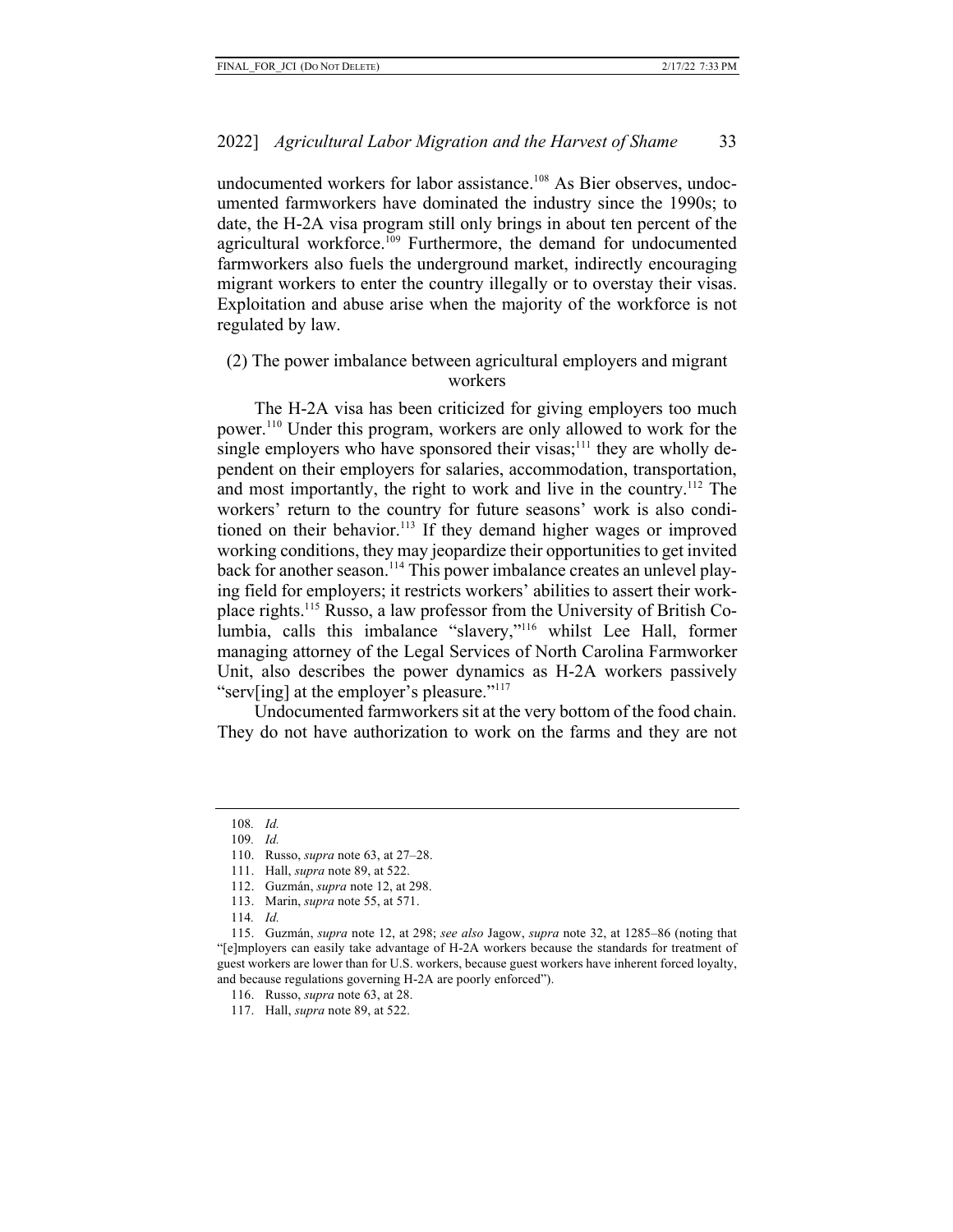undocumented workers for labor assistance.<sup>108</sup> As Bier observes, undocumented farmworkers have dominated the industry since the 1990s; to date, the H-2A visa program still only brings in about ten percent of the agricultural workforce.<sup>109</sup> Furthermore, the demand for undocumented farmworkers also fuels the underground market, indirectly encouraging migrant workers to enter the country illegally or to overstay their visas. Exploitation and abuse arise when the majority of the workforce is not regulated by law.

## (2) The power imbalance between agricultural employers and migrant workers

The H-2A visa has been criticized for giving employers too much power.110 Under this program, workers are only allowed to work for the single employers who have sponsored their visas;<sup>111</sup> they are wholly dependent on their employers for salaries, accommodation, transportation, and most importantly, the right to work and live in the country.112 The workers' return to the country for future seasons' work is also conditioned on their behavior.<sup>113</sup> If they demand higher wages or improved working conditions, they may jeopardize their opportunities to get invited back for another season.<sup>114</sup> This power imbalance creates an unlevel playing field for employers; it restricts workers' abilities to assert their workplace rights.115 Russo, a law professor from the University of British Columbia, calls this imbalance "slavery,"116 whilst Lee Hall, former managing attorney of the Legal Services of North Carolina Farmworker Unit, also describes the power dynamics as H-2A workers passively "serv[ing] at the employer's pleasure."<sup>117</sup>

Undocumented farmworkers sit at the very bottom of the food chain. They do not have authorization to work on the farms and they are not

113. Marin, *supra* note 55, at 571.

<sup>108</sup>*. Id.*

<sup>109</sup>*. Id.*

<sup>110.</sup> Russo, *supra* note 63, at 27–28.

<sup>111.</sup> Hall, *supra* note 89, at 522.

<sup>112.</sup> Guzmán, *supra* note 12, at 298.

<sup>114</sup>*. Id.*

<sup>115.</sup> Guzmán, *supra* note 12, at 298; *see also* Jagow, *supra* note 32, at 1285–86 (noting that "[e]mployers can easily take advantage of H-2A workers because the standards for treatment of guest workers are lower than for U.S. workers, because guest workers have inherent forced loyalty, and because regulations governing H-2A are poorly enforced").

<sup>116.</sup> Russo, *supra* note 63, at 28.

<sup>117.</sup> Hall, *supra* note 89, at 522.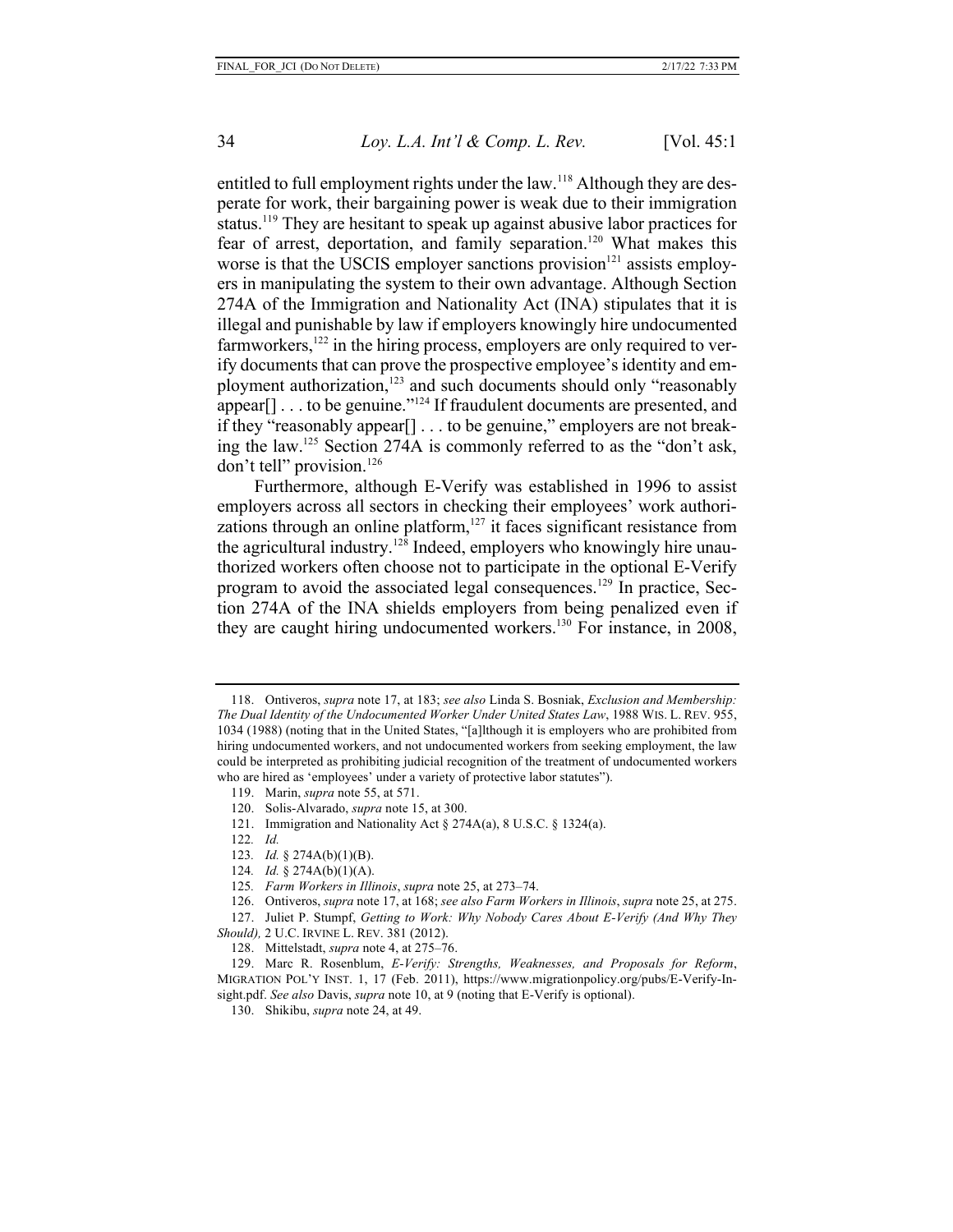entitled to full employment rights under the law.<sup>118</sup> Although they are desperate for work, their bargaining power is weak due to their immigration status.<sup>119</sup> They are hesitant to speak up against abusive labor practices for fear of arrest, deportation, and family separation.<sup>120</sup> What makes this worse is that the USCIS employer sanctions provision $121$  assists employers in manipulating the system to their own advantage. Although Section 274A of the Immigration and Nationality Act (INA) stipulates that it is illegal and punishable by law if employers knowingly hire undocumented farmworkers,<sup>122</sup> in the hiring process, employers are only required to verify documents that can prove the prospective employee's identity and employment authorization,<sup>123</sup> and such documents should only "reasonably appear $[$ ]...to be genuine."<sup>124</sup> If fraudulent documents are presented, and if they "reasonably appear[] . . . to be genuine," employers are not breaking the law.125 Section 274A is commonly referred to as the "don't ask, don't tell" provision.<sup>126</sup>

Furthermore, although E-Verify was established in 1996 to assist employers across all sectors in checking their employees' work authorizations through an online platform, $127$  it faces significant resistance from the agricultural industry.<sup>128</sup> Indeed, employers who knowingly hire unauthorized workers often choose not to participate in the optional E-Verify program to avoid the associated legal consequences.129 In practice, Section 274A of the INA shields employers from being penalized even if they are caught hiring undocumented workers.130 For instance, in 2008,

<sup>118.</sup> Ontiveros, *supra* note 17, at 183; *see also* Linda S. Bosniak, *Exclusion and Membership: The Dual Identity of the Undocumented Worker Under United States Law*, 1988 WIS. L. REV. 955, 1034 (1988) (noting that in the United States, "[a]lthough it is employers who are prohibited from hiring undocumented workers, and not undocumented workers from seeking employment, the law could be interpreted as prohibiting judicial recognition of the treatment of undocumented workers who are hired as 'employees' under a variety of protective labor statutes").

<sup>119.</sup> Marin, *supra* note 55, at 571.

<sup>120.</sup> Solis-Alvarado, *supra* note 15, at 300.

<sup>121.</sup> Immigration and Nationality Act § 274A(a), 8 U.S.C. § 1324(a).

<sup>122</sup>*. Id.*

<sup>123</sup>*. Id.* § 274A(b)(1)(B).

<sup>124</sup>*. Id.* § 274A(b)(1)(A).

<sup>125</sup>*. Farm Workers in Illinois*, *supra* note 25, at 273–74.

<sup>126.</sup> Ontiveros, *supra* note 17, at 168; *see also Farm Workers in Illinois*, *supra* note 25, at 275.

<sup>127.</sup> Juliet P. Stumpf, *Getting to Work: Why Nobody Cares About E-Verify (And Why They Should),* 2 U.C. IRVINE L. REV. 381 (2012).

<sup>128.</sup> Mittelstadt, *supra* note 4, at 275–76.

<sup>129.</sup> Marc R. Rosenblum, *E-Verify: Strengths, Weaknesses, and Proposals for Reform*, MIGRATION POL'Y INST. 1, 17 (Feb. 2011), https://www.migrationpolicy.org/pubs/E-Verify-Insight.pdf. *See also* Davis, *supra* note 10, at 9 (noting that E-Verify is optional).

<sup>130.</sup> Shikibu, *supra* note 24, at 49.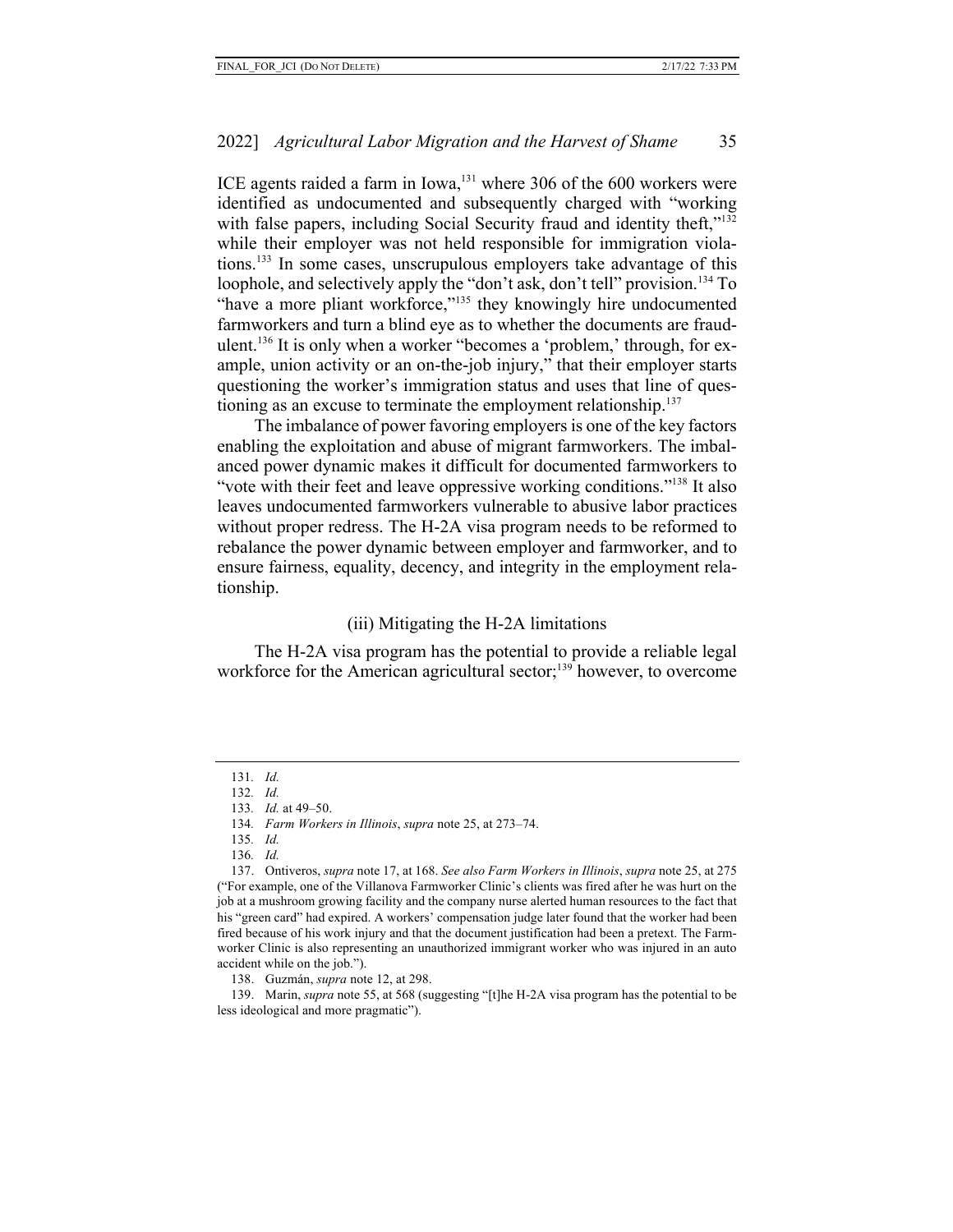ICE agents raided a farm in Iowa,<sup>131</sup> where 306 of the 600 workers were identified as undocumented and subsequently charged with "working with false papers, including Social Security fraud and identity theft,"<sup>132</sup> while their employer was not held responsible for immigration violations.133 In some cases, unscrupulous employers take advantage of this loophole, and selectively apply the "don't ask, don't tell" provision.<sup>134</sup> To "have a more pliant workforce,"<sup>135</sup> they knowingly hire undocumented farmworkers and turn a blind eye as to whether the documents are fraudulent.136 It is only when a worker "becomes a 'problem,' through, for example, union activity or an on-the-job injury," that their employer starts questioning the worker's immigration status and uses that line of questioning as an excuse to terminate the employment relationship.<sup>137</sup>

The imbalance of power favoring employers is one of the key factors enabling the exploitation and abuse of migrant farmworkers. The imbalanced power dynamic makes it difficult for documented farmworkers to "vote with their feet and leave oppressive working conditions."<sup>138</sup> It also leaves undocumented farmworkers vulnerable to abusive labor practices without proper redress. The H-2A visa program needs to be reformed to rebalance the power dynamic between employer and farmworker, and to ensure fairness, equality, decency, and integrity in the employment relationship.

## (iii) Mitigating the H-2A limitations

The H-2A visa program has the potential to provide a reliable legal workforce for the American agricultural sector;<sup>139</sup> however, to overcome

137. Ontiveros, *supra* note 17, at 168. *See also Farm Workers in Illinois*, *supra* note 25, at 275 ("For example, one of the Villanova Farmworker Clinic's clients was fired after he was hurt on the job at a mushroom growing facility and the company nurse alerted human resources to the fact that his "green card" had expired. A workers' compensation judge later found that the worker had been fired because of his work injury and that the document justification had been a pretext. The Farmworker Clinic is also representing an unauthorized immigrant worker who was injured in an auto accident while on the job.").

138. Guzmán, *supra* note 12, at 298.

139. Marin, *supra* note 55, at 568 (suggesting "[t]he H-2A visa program has the potential to be less ideological and more pragmatic").

<sup>131</sup>*. Id.*

<sup>132</sup>*. Id.*

<sup>133</sup>*. Id.* at 49–50.

<sup>134</sup>*. Farm Workers in Illinois*, *supra* note 25, at 273–74.

<sup>135</sup>*. Id.*

<sup>136</sup>*. Id.*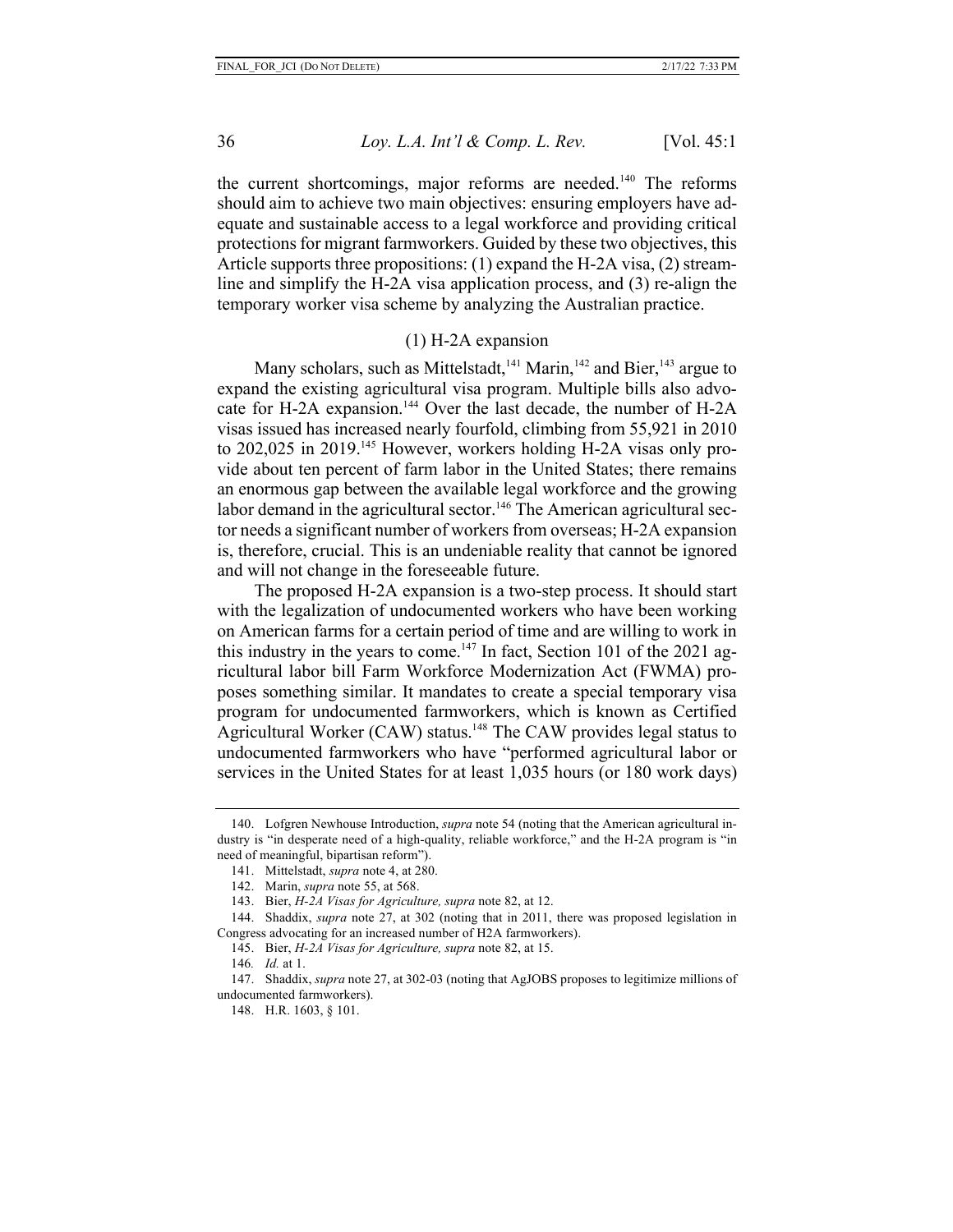the current shortcomings, major reforms are needed. <sup>140</sup> The reforms should aim to achieve two main objectives: ensuring employers have adequate and sustainable access to a legal workforce and providing critical protections for migrant farmworkers. Guided by these two objectives, this Article supports three propositions: (1) expand the H-2A visa, (2) streamline and simplify the H-2A visa application process, and (3) re-align the temporary worker visa scheme by analyzing the Australian practice.

## (1) H-2A expansion

Many scholars, such as Mittelstadt,  $141$  Marin,  $142$  and Bier,  $143$  argue to expand the existing agricultural visa program. Multiple bills also advocate for H-2A expansion.<sup>144</sup> Over the last decade, the number of H-2A visas issued has increased nearly fourfold, climbing from 55,921 in 2010 to 202,025 in 2019.<sup>145</sup> However, workers holding H-2A visas only provide about ten percent of farm labor in the United States; there remains an enormous gap between the available legal workforce and the growing labor demand in the agricultural sector.<sup>146</sup> The American agricultural sector needs a significant number of workers from overseas; H-2A expansion is, therefore, crucial. This is an undeniable reality that cannot be ignored and will not change in the foreseeable future.

The proposed H-2A expansion is a two-step process. It should start with the legalization of undocumented workers who have been working on American farms for a certain period of time and are willing to work in this industry in the years to come.<sup>147</sup> In fact, Section 101 of the 2021 agricultural labor bill Farm Workforce Modernization Act (FWMA) proposes something similar. It mandates to create a special temporary visa program for undocumented farmworkers, which is known as Certified Agricultural Worker (CAW) status.<sup>148</sup> The CAW provides legal status to undocumented farmworkers who have "performed agricultural labor or services in the United States for at least 1,035 hours (or 180 work days)

<sup>140.</sup> Lofgren Newhouse Introduction, *supra* note 54 (noting that the American agricultural industry is "in desperate need of a high-quality, reliable workforce," and the H-2A program is "in need of meaningful, bipartisan reform").

<sup>141.</sup> Mittelstadt, *supra* note 4, at 280.

<sup>142.</sup> Marin, *supra* note 55, at 568.

<sup>143.</sup> Bier, *H-2A Visas for Agriculture, supra* note 82, at 12.

<sup>144.</sup> Shaddix, *supra* note 27, at 302 (noting that in 2011, there was proposed legislation in Congress advocating for an increased number of H2A farmworkers).

<sup>145.</sup> Bier, *H-2A Visas for Agriculture, supra* note 82, at 15.

<sup>146</sup>*. Id.* at 1.

<sup>147.</sup> Shaddix, *supra* note 27, at 302-03 (noting that AgJOBS proposes to legitimize millions of undocumented farmworkers).

<sup>148.</sup> H.R. 1603, § 101.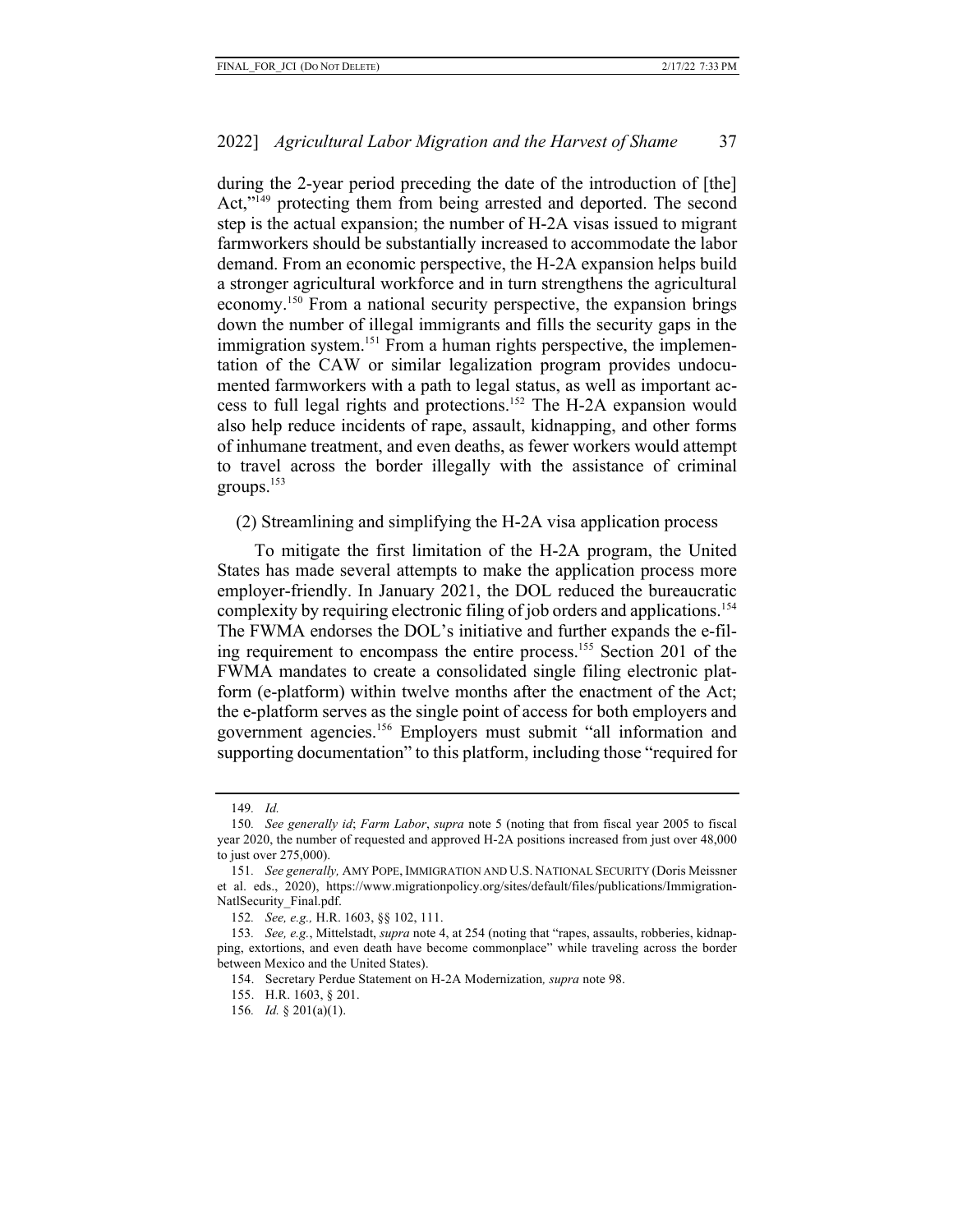during the 2-year period preceding the date of the introduction of [the] Act,"<sup>149</sup> protecting them from being arrested and deported. The second step is the actual expansion; the number of H-2A visas issued to migrant farmworkers should be substantially increased to accommodate the labor demand. From an economic perspective, the H-2A expansion helps build a stronger agricultural workforce and in turn strengthens the agricultural economy.150 From a national security perspective, the expansion brings down the number of illegal immigrants and fills the security gaps in the immigration system.<sup>151</sup> From a human rights perspective, the implementation of the CAW or similar legalization program provides undocumented farmworkers with a path to legal status, as well as important access to full legal rights and protections.152 The H-2A expansion would also help reduce incidents of rape, assault, kidnapping, and other forms of inhumane treatment, and even deaths, as fewer workers would attempt to travel across the border illegally with the assistance of criminal groups. 153

(2) Streamlining and simplifying the H-2A visa application process

To mitigate the first limitation of the H-2A program, the United States has made several attempts to make the application process more employer-friendly. In January 2021, the DOL reduced the bureaucratic complexity by requiring electronic filing of job orders and applications.<sup>154</sup> The FWMA endorses the DOL's initiative and further expands the e-filing requirement to encompass the entire process.155 Section 201 of the FWMA mandates to create a consolidated single filing electronic platform (e-platform) within twelve months after the enactment of the Act; the e-platform serves as the single point of access for both employers and government agencies.156 Employers must submit "all information and supporting documentation" to this platform, including those "required for

<sup>149</sup>*. Id.*

<sup>150</sup>*. See generally id*; *Farm Labor*, *supra* note 5 (noting that from fiscal year 2005 to fiscal year 2020, the number of requested and approved H-2A positions increased from just over 48,000 to just over 275,000).

<sup>151</sup>*. See generally,* AMY POPE, IMMIGRATION AND U.S. NATIONAL SECURITY (Doris Meissner et al. eds., 2020), https://www.migrationpolicy.org/sites/default/files/publications/Immigration-NatlSecurity\_Final.pdf.

<sup>152</sup>*. See, e.g.,* H.R. 1603, §§ 102, 111.

<sup>153</sup>*. See, e.g.*, Mittelstadt, *supra* note 4, at 254 (noting that "rapes, assaults, robberies, kidnapping, extortions, and even death have become commonplace" while traveling across the border between Mexico and the United States).

<sup>154.</sup> Secretary Perdue Statement on H-2A Modernization*, supra* note 98.

<sup>155.</sup> H.R. 1603, § 201.

<sup>156</sup>*. Id.* § 201(a)(1).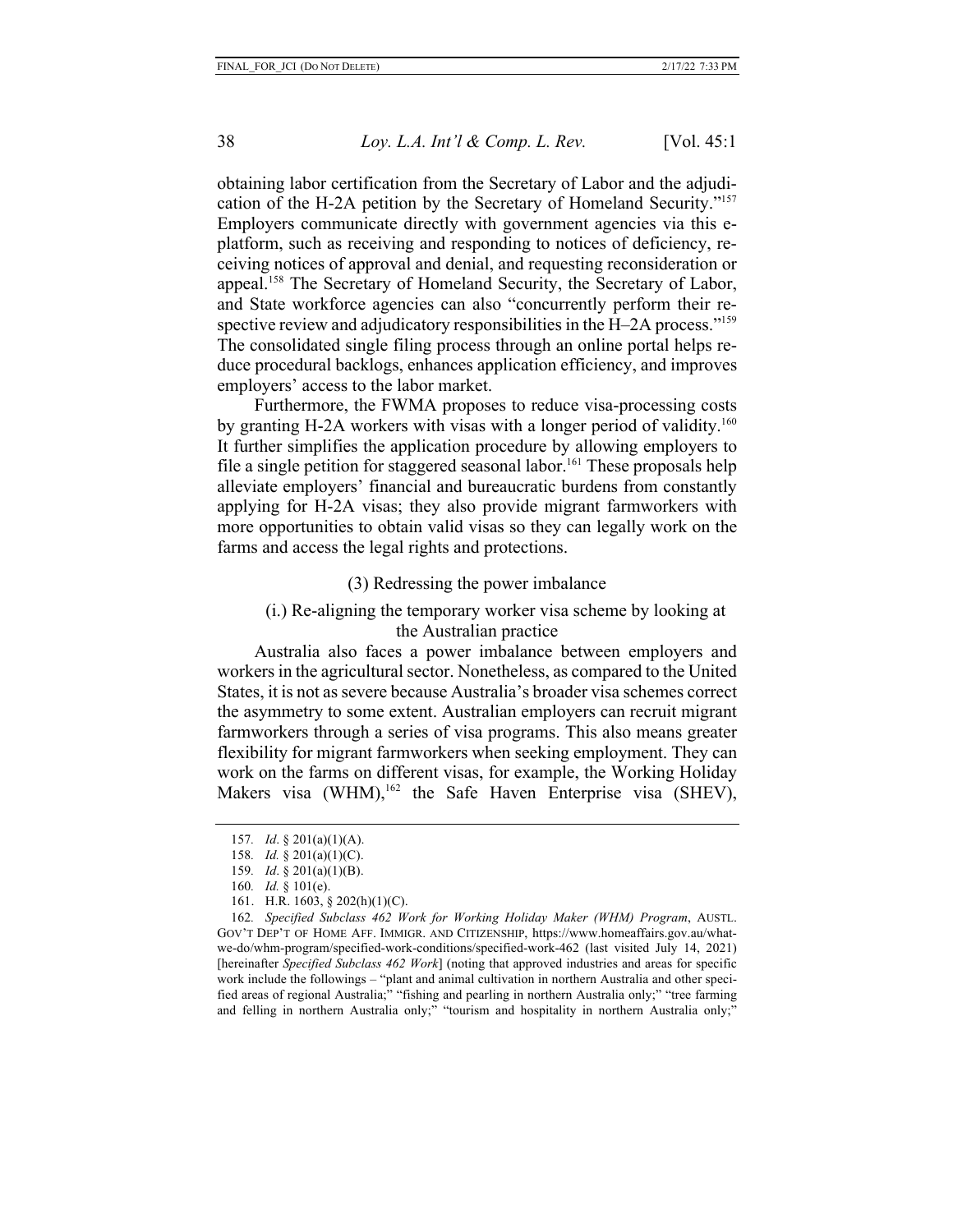obtaining labor certification from the Secretary of Labor and the adjudication of the H-2A petition by the Secretary of Homeland Security."157 Employers communicate directly with government agencies via this eplatform, such as receiving and responding to notices of deficiency, receiving notices of approval and denial, and requesting reconsideration or appeal.158 The Secretary of Homeland Security, the Secretary of Labor, and State workforce agencies can also "concurrently perform their respective review and adjudicatory responsibilities in the H–2A process."<sup>159</sup> The consolidated single filing process through an online portal helps reduce procedural backlogs, enhances application efficiency, and improves employers' access to the labor market.

Furthermore, the FWMA proposes to reduce visa-processing costs by granting H-2A workers with visas with a longer period of validity.<sup>160</sup> It further simplifies the application procedure by allowing employers to file a single petition for staggered seasonal labor.<sup>161</sup> These proposals help alleviate employers' financial and bureaucratic burdens from constantly applying for H-2A visas; they also provide migrant farmworkers with more opportunities to obtain valid visas so they can legally work on the farms and access the legal rights and protections.

(3) Redressing the power imbalance

(i.) Re-aligning the temporary worker visa scheme by looking at the Australian practice

Australia also faces a power imbalance between employers and workers in the agricultural sector. Nonetheless, as compared to the United States, it is not as severe because Australia's broader visa schemes correct the asymmetry to some extent. Australian employers can recruit migrant farmworkers through a series of visa programs. This also means greater flexibility for migrant farmworkers when seeking employment. They can work on the farms on different visas, for example, the Working Holiday Makers visa (WHM), $162$  the Safe Haven Enterprise visa (SHEV),

<sup>157</sup>*. Id*. § 201(a)(1)(A).

<sup>158</sup>*. Id.* § 201(a)(1)(C).

<sup>159</sup>*. Id*. § 201(a)(1)(B).

<sup>160</sup>*. Id.* § 101(e).

<sup>161.</sup> H.R. 1603, § 202(h)(1)(C).

<sup>162</sup>*. Specified Subclass 462 Work for Working Holiday Maker (WHM) Program*, AUSTL. GOV'T DEP'T OF HOME AFF. IMMIGR. AND CITIZENSHIP, https://www.homeaffairs.gov.au/whatwe-do/whm-program/specified-work-conditions/specified-work-462 (last visited July 14, 2021) [hereinafter *Specified Subclass 462 Work*] (noting that approved industries and areas for specific work include the followings – "plant and animal cultivation in northern Australia and other specified areas of regional Australia;" "fishing and pearling in northern Australia only;" "tree farming and felling in northern Australia only;" "tourism and hospitality in northern Australia only;"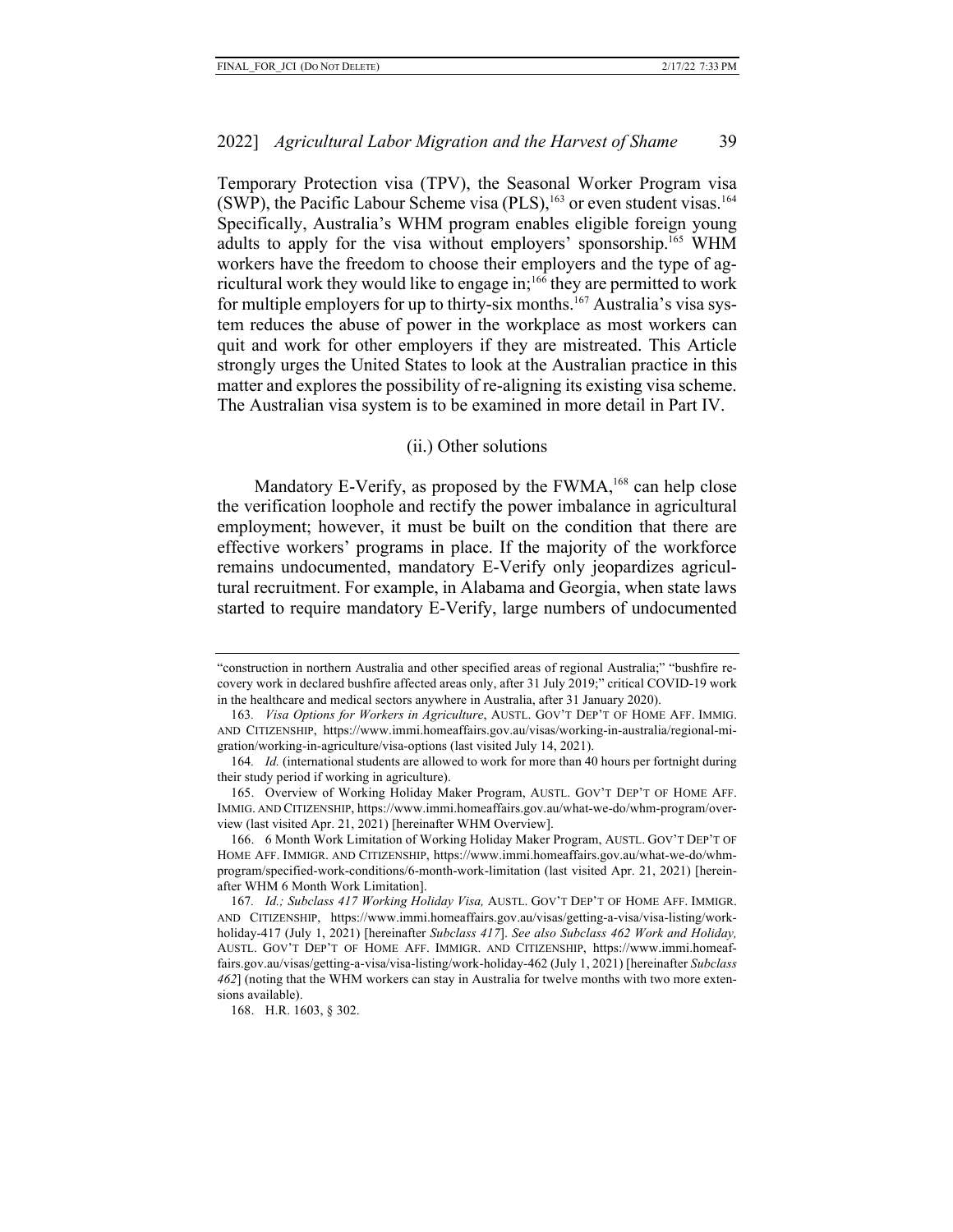Temporary Protection visa (TPV), the Seasonal Worker Program visa (SWP), the Pacific Labour Scheme visa (PLS),  $^{163}$  or even student visas.<sup>164</sup> Specifically, Australia's WHM program enables eligible foreign young adults to apply for the visa without employers' sponsorship.165 WHM workers have the freedom to choose their employers and the type of agricultural work they would like to engage in;<sup>166</sup> they are permitted to work for multiple employers for up to thirty-six months.167 Australia's visa system reduces the abuse of power in the workplace as most workers can quit and work for other employers if they are mistreated. This Article strongly urges the United States to look at the Australian practice in this matter and explores the possibility of re-aligning its existing visa scheme. The Australian visa system is to be examined in more detail in Part IV.

#### (ii.) Other solutions

Mandatory E-Verify, as proposed by the FWMA,<sup>168</sup> can help close the verification loophole and rectify the power imbalance in agricultural employment; however, it must be built on the condition that there are effective workers' programs in place. If the majority of the workforce remains undocumented, mandatory E-Verify only jeopardizes agricultural recruitment. For example, in Alabama and Georgia, when state laws started to require mandatory E-Verify, large numbers of undocumented

<sup>&</sup>quot;construction in northern Australia and other specified areas of regional Australia;" "bushfire recovery work in declared bushfire affected areas only, after 31 July 2019;" critical COVID-19 work in the healthcare and medical sectors anywhere in Australia, after 31 January 2020).

<sup>163</sup>*. Visa Options for Workers in Agriculture*, AUSTL. GOV'T DEP'T OF HOME AFF. IMMIG. AND CITIZENSHIP, https://www.immi.homeaffairs.gov.au/visas/working-in-australia/regional-migration/working-in-agriculture/visa-options (last visited July 14, 2021).

<sup>164</sup>*. Id.* (international students are allowed to work for more than 40 hours per fortnight during their study period if working in agriculture).

<sup>165.</sup> Overview of Working Holiday Maker Program, AUSTL. GOV'T DEP'T OF HOME AFF. IMMIG. AND CITIZENSHIP, https://www.immi.homeaffairs.gov.au/what-we-do/whm-program/overview (last visited Apr. 21, 2021) [hereinafter WHM Overview].

<sup>166.</sup> 6 Month Work Limitation of Working Holiday Maker Program, AUSTL. GOV'T DEP'T OF HOME AFF. IMMIGR. AND CITIZENSHIP, https://www.immi.homeaffairs.gov.au/what-we-do/whmprogram/specified-work-conditions/6-month-work-limitation (last visited Apr. 21, 2021) [hereinafter WHM 6 Month Work Limitation].

<sup>167</sup>*. Id.; Subclass 417 Working Holiday Visa,* AUSTL. GOV'T DEP'T OF HOME AFF. IMMIGR. AND CITIZENSHIP, https://www.immi.homeaffairs.gov.au/visas/getting-a-visa/visa-listing/workholiday-417 (July 1, 2021) [hereinafter *Subclass 417*]. *See also Subclass 462 Work and Holiday,*  AUSTL. GOV'T DEP'T OF HOME AFF. IMMIGR. AND CITIZENSHIP, https://www.immi.homeaffairs.gov.au/visas/getting-a-visa/visa-listing/work-holiday-462 (July 1, 2021) [hereinafter *Subclass 462*] (noting that the WHM workers can stay in Australia for twelve months with two more extensions available).

<sup>168.</sup> H.R. 1603, § 302.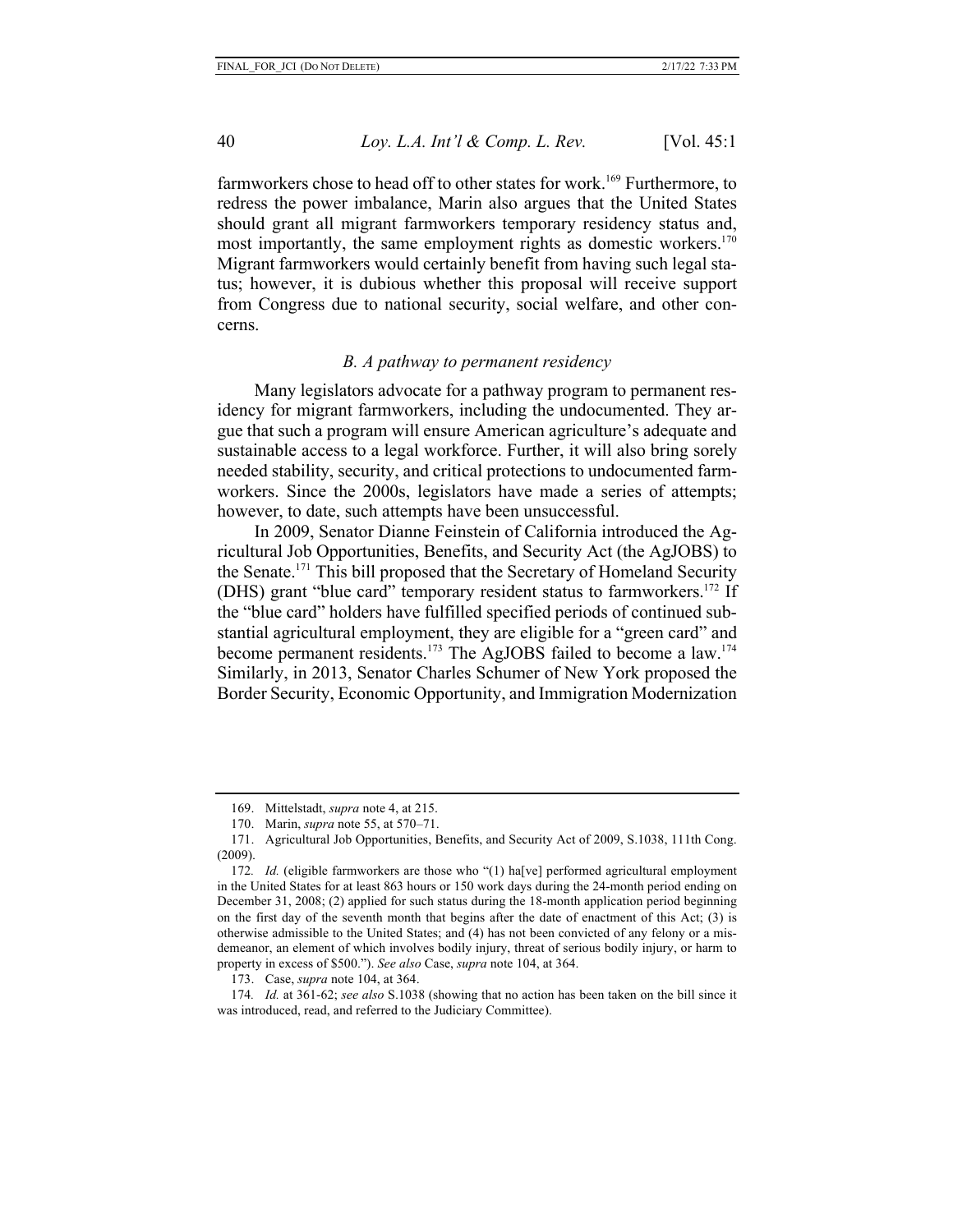farmworkers chose to head off to other states for work.<sup>169</sup> Furthermore, to redress the power imbalance, Marin also argues that the United States should grant all migrant farmworkers temporary residency status and, most importantly, the same employment rights as domestic workers.<sup>170</sup> Migrant farmworkers would certainly benefit from having such legal status; however, it is dubious whether this proposal will receive support from Congress due to national security, social welfare, and other concerns.

## *B. A pathway to permanent residency*

Many legislators advocate for a pathway program to permanent residency for migrant farmworkers, including the undocumented. They argue that such a program will ensure American agriculture's adequate and sustainable access to a legal workforce. Further, it will also bring sorely needed stability, security, and critical protections to undocumented farmworkers. Since the 2000s, legislators have made a series of attempts; however, to date, such attempts have been unsuccessful.

In 2009, Senator Dianne Feinstein of California introduced the Agricultural Job Opportunities, Benefits, and Security Act (the AgJOBS) to the Senate.171 This bill proposed that the Secretary of Homeland Security (DHS) grant "blue card" temporary resident status to farmworkers.172 If the "blue card" holders have fulfilled specified periods of continued substantial agricultural employment, they are eligible for a "green card" and become permanent residents.<sup>173</sup> The AgJOBS failed to become a law.<sup>174</sup> Similarly, in 2013, Senator Charles Schumer of New York proposed the Border Security, Economic Opportunity, and Immigration Modernization

173. Case, *supra* note 104, at 364.

<sup>169.</sup> Mittelstadt, *supra* note 4, at 215.

<sup>170.</sup> Marin, *supra* note 55, at 570–71.

<sup>171.</sup> Agricultural Job Opportunities, Benefits, and Security Act of 2009, S.1038, 111th Cong. (2009).

<sup>172</sup>*. Id.* (eligible farmworkers are those who "(1) ha[ve] performed agricultural employment in the United States for at least 863 hours or 150 work days during the 24-month period ending on December 31, 2008; (2) applied for such status during the 18-month application period beginning on the first day of the seventh month that begins after the date of enactment of this Act; (3) is otherwise admissible to the United States; and (4) has not been convicted of any felony or a misdemeanor, an element of which involves bodily injury, threat of serious bodily injury, or harm to property in excess of \$500."). *See also* Case, *supra* note 104, at 364.

<sup>174</sup>*. Id.* at 361-62; *see also* S.1038 (showing that no action has been taken on the bill since it was introduced, read, and referred to the Judiciary Committee).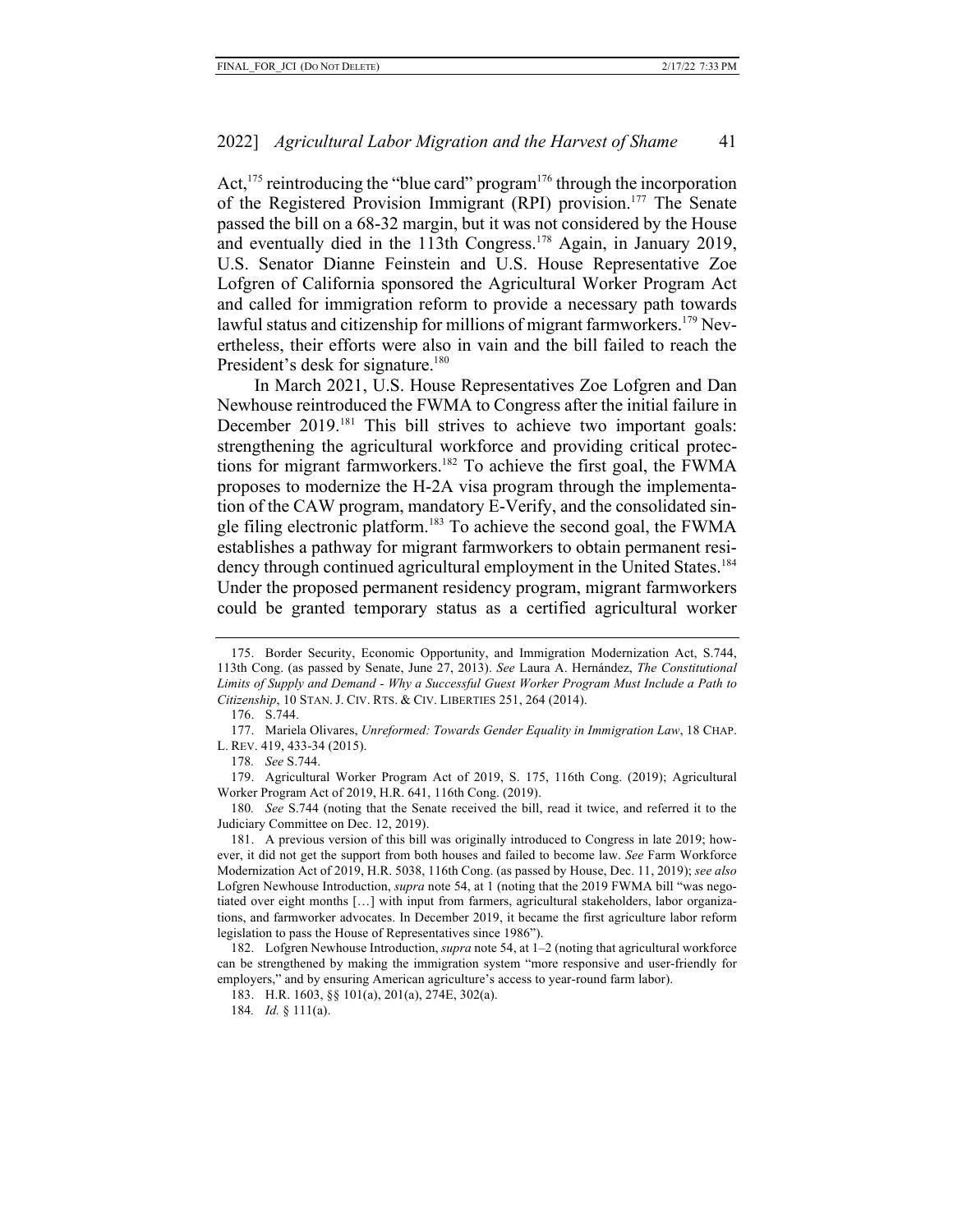Act,  $175$  reintroducing the "blue card" program<sup>176</sup> through the incorporation of the Registered Provision Immigrant (RPI) provision.177 The Senate passed the bill on a 68-32 margin, but it was not considered by the House and eventually died in the 113th Congress.<sup>178</sup> Again, in January 2019, U.S. Senator Dianne Feinstein and U.S. House Representative Zoe Lofgren of California sponsored the Agricultural Worker Program Act and called for immigration reform to provide a necessary path towards lawful status and citizenship for millions of migrant farmworkers.<sup>179</sup> Nevertheless, their efforts were also in vain and the bill failed to reach the President's desk for signature.<sup>180</sup>

In March 2021, U.S. House Representatives Zoe Lofgren and Dan Newhouse reintroduced the FWMA to Congress after the initial failure in December 2019.<sup>181</sup> This bill strives to achieve two important goals: strengthening the agricultural workforce and providing critical protections for migrant farmworkers.<sup>182</sup> To achieve the first goal, the FWMA proposes to modernize the H-2A visa program through the implementation of the CAW program, mandatory E-Verify, and the consolidated single filing electronic platform.183 To achieve the second goal, the FWMA establishes a pathway for migrant farmworkers to obtain permanent residency through continued agricultural employment in the United States.<sup>184</sup> Under the proposed permanent residency program, migrant farmworkers could be granted temporary status as a certified agricultural worker

<sup>175.</sup> Border Security, Economic Opportunity, and Immigration Modernization Act, S.744, 113th Cong. (as passed by Senate, June 27, 2013). *See* Laura A. Hernández, *The Constitutional Limits of Supply and Demand - Why a Successful Guest Worker Program Must Include a Path to Citizenship*, 10 STAN. J. CIV. RTS. & CIV. LIBERTIES 251, 264 (2014).

<sup>176.</sup> S.744.

<sup>177.</sup> Mariela Olivares, *Unreformed: Towards Gender Equality in Immigration Law*, 18 CHAP. L. REV. 419, 433-34 (2015).

<sup>178</sup>*. See* S.744.

<sup>179.</sup> Agricultural Worker Program Act of 2019, S. 175, 116th Cong. (2019); Agricultural Worker Program Act of 2019, H.R. 641, 116th Cong. (2019).

<sup>180</sup>*. See* S.744 (noting that the Senate received the bill, read it twice, and referred it to the Judiciary Committee on Dec. 12, 2019).

<sup>181.</sup> A previous version of this bill was originally introduced to Congress in late 2019; however, it did not get the support from both houses and failed to become law. *See* Farm Workforce Modernization Act of 2019, H.R. 5038, 116th Cong. (as passed by House, Dec. 11, 2019); *see also* Lofgren Newhouse Introduction, *supra* note 54, at 1 (noting that the 2019 FWMA bill "was negotiated over eight months […] with input from farmers, agricultural stakeholders, labor organizations, and farmworker advocates. In December 2019, it became the first agriculture labor reform legislation to pass the House of Representatives since 1986").

<sup>182.</sup> Lofgren Newhouse Introduction, *supra* note 54, at 1–2 (noting that agricultural workforce can be strengthened by making the immigration system "more responsive and user-friendly for employers," and by ensuring American agriculture's access to year-round farm labor).

<sup>183.</sup> H.R. 1603, §§ 101(a), 201(a), 274E, 302(a).

<sup>184</sup>*. Id.* § 111(a).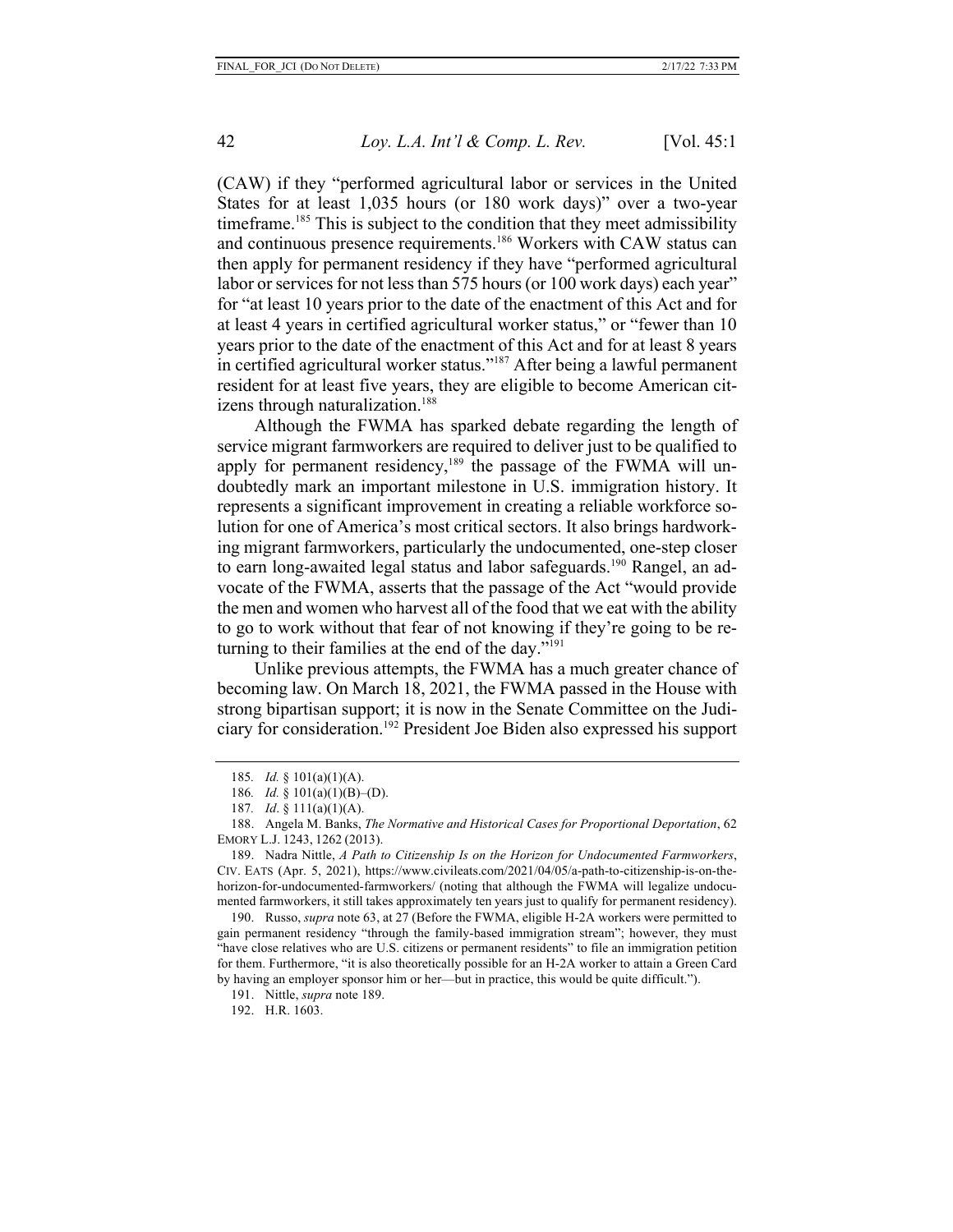(CAW) if they "performed agricultural labor or services in the United States for at least 1,035 hours (or 180 work days)" over a two-year timeframe.<sup>185</sup> This is subject to the condition that they meet admissibility and continuous presence requirements. <sup>186</sup> Workers with CAW status can then apply for permanent residency if they have "performed agricultural labor or services for not less than 575 hours (or 100 work days) each year" for "at least 10 years prior to the date of the enactment of this Act and for at least 4 years in certified agricultural worker status," or "fewer than 10 years prior to the date of the enactment of this Act and for at least 8 years in certified agricultural worker status."187 After being a lawful permanent resident for at least five years, they are eligible to become American citizens through naturalization.<sup>188</sup>

Although the FWMA has sparked debate regarding the length of service migrant farmworkers are required to deliver just to be qualified to apply for permanent residency,<sup>189</sup> the passage of the FWMA will undoubtedly mark an important milestone in U.S. immigration history. It represents a significant improvement in creating a reliable workforce solution for one of America's most critical sectors. It also brings hardworking migrant farmworkers, particularly the undocumented, one-step closer to earn long-awaited legal status and labor safeguards.<sup>190</sup> Rangel, an advocate of the FWMA, asserts that the passage of the Act "would provide the men and women who harvest all of the food that we eat with the ability to go to work without that fear of not knowing if they're going to be returning to their families at the end of the day." $191$ 

Unlike previous attempts, the FWMA has a much greater chance of becoming law. On March 18, 2021, the FWMA passed in the House with strong bipartisan support; it is now in the Senate Committee on the Judiciary for consideration.192 President Joe Biden also expressed his support

189. Nadra Nittle, *A Path to Citizenship Is on the Horizon for Undocumented Farmworkers*, CIV. EATS (Apr. 5, 2021), https://www.civileats.com/2021/04/05/a-path-to-citizenship-is-on-thehorizon-for-undocumented-farmworkers/ (noting that although the FWMA will legalize undocumented farmworkers, it still takes approximately ten years just to qualify for permanent residency).

190. Russo, *supra* note 63, at 27 (Before the FWMA, eligible H-2A workers were permitted to gain permanent residency "through the family-based immigration stream"; however, they must "have close relatives who are U.S. citizens or permanent residents" to file an immigration petition for them. Furthermore, "it is also theoretically possible for an H-2A worker to attain a Green Card by having an employer sponsor him or her—but in practice, this would be quite difficult.").

192. H.R. 1603.

<sup>185</sup>*. Id.* § 101(a)(1)(A).

<sup>186</sup>*. Id.* § 101(a)(1)(B)–(D).

<sup>187</sup>*. Id*. § 111(a)(1)(A).

<sup>188.</sup> Angela M. Banks, *The Normative and Historical Cases for Proportional Deportation*, 62 EMORY L.J. 1243, 1262 (2013).

<sup>191.</sup> Nittle, *supra* note 189.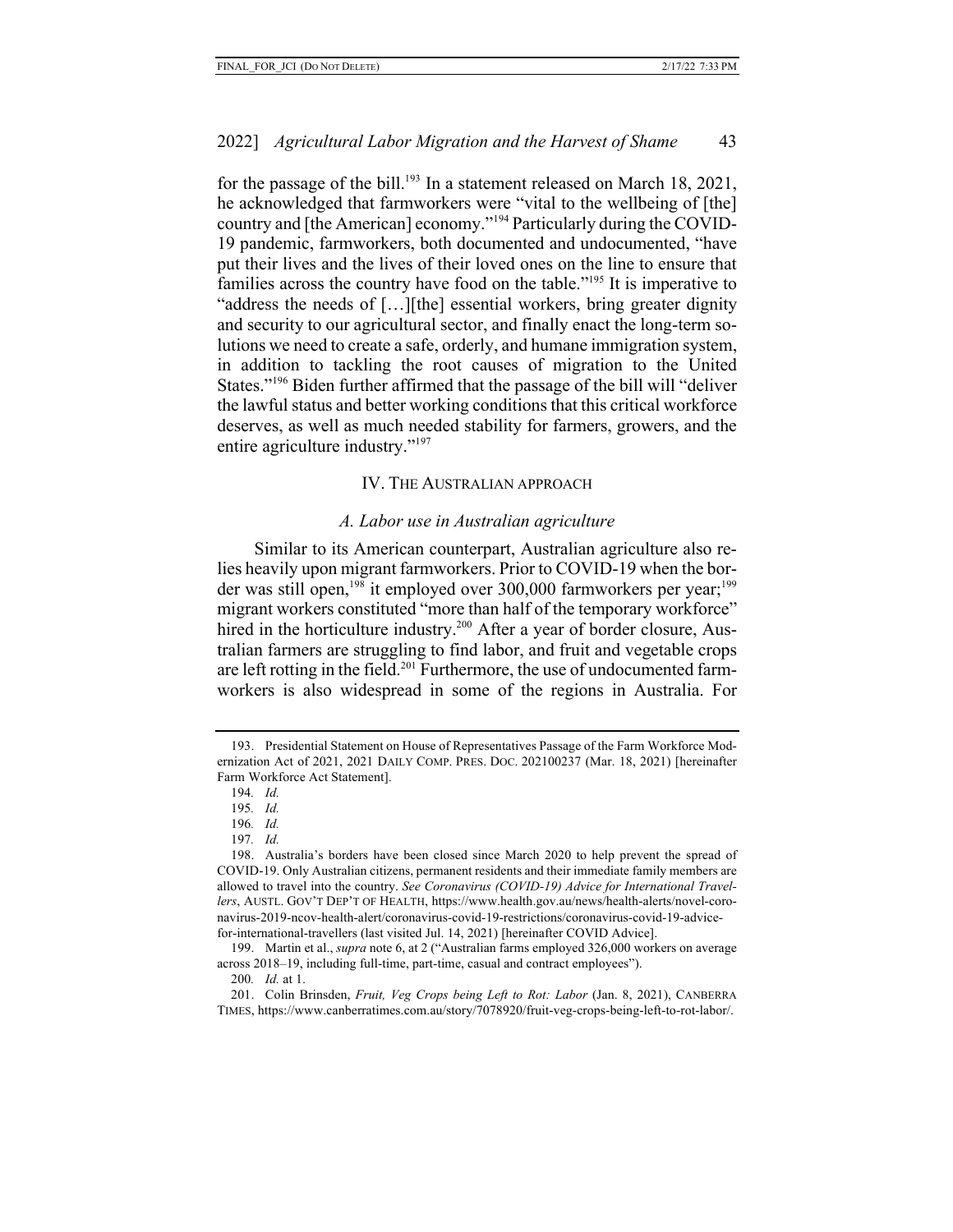for the passage of the bill.<sup>193</sup> In a statement released on March 18, 2021, he acknowledged that farmworkers were "vital to the wellbeing of [the] country and [the American] economy."194 Particularly during the COVID-19 pandemic, farmworkers, both documented and undocumented, "have put their lives and the lives of their loved ones on the line to ensure that families across the country have food on the table."<sup>195</sup> It is imperative to "address the needs of […][the] essential workers, bring greater dignity and security to our agricultural sector, and finally enact the long-term solutions we need to create a safe, orderly, and humane immigration system, in addition to tackling the root causes of migration to the United States."196 Biden further affirmed that the passage of the bill will "deliver the lawful status and better working conditions that this critical workforce deserves, as well as much needed stability for farmers, growers, and the entire agriculture industry."197

#### IV. THE AUSTRALIAN APPROACH

#### *A. Labor use in Australian agriculture*

Similar to its American counterpart, Australian agriculture also relies heavily upon migrant farmworkers. Prior to COVID-19 when the border was still open,<sup>198</sup> it employed over 300,000 farmworkers per year;<sup>199</sup> migrant workers constituted "more than half of the temporary workforce" hired in the horticulture industry.<sup>200</sup> After a year of border closure, Australian farmers are struggling to find labor, and fruit and vegetable crops are left rotting in the field.<sup>201</sup> Furthermore, the use of undocumented farmworkers is also widespread in some of the regions in Australia. For

<sup>193.</sup> Presidential Statement on House of Representatives Passage of the Farm Workforce Modernization Act of 2021, 2021 DAILY COMP. PRES. DOC. 202100237 (Mar. 18, 2021) [hereinafter Farm Workforce Act Statement].

<sup>194</sup>*. Id.*

<sup>195</sup>*. Id.*

<sup>196</sup>*. Id.*

<sup>197</sup>*. Id.*

<sup>198.</sup> Australia's borders have been closed since March 2020 to help prevent the spread of COVID-19. Only Australian citizens, permanent residents and their immediate family members are allowed to travel into the country. *See Coronavirus (COVID-19) Advice for International Travellers*, AUSTL. GOV'T DEP'T OF HEALTH, https://www.health.gov.au/news/health-alerts/novel-coronavirus-2019-ncov-health-alert/coronavirus-covid-19-restrictions/coronavirus-covid-19-advicefor-international-travellers (last visited Jul. 14, 2021) [hereinafter COVID Advice].

<sup>199.</sup> Martin et al., *supra* note 6, at 2 ("Australian farms employed 326,000 workers on average across 2018–19, including full-time, part-time, casual and contract employees").

<sup>200</sup>*. Id.* at 1.

<sup>201.</sup> Colin Brinsden, *Fruit, Veg Crops being Left to Rot: Labor* (Jan. 8, 2021), CANBERRA TIMES, https://www.canberratimes.com.au/story/7078920/fruit-veg-crops-being-left-to-rot-labor/.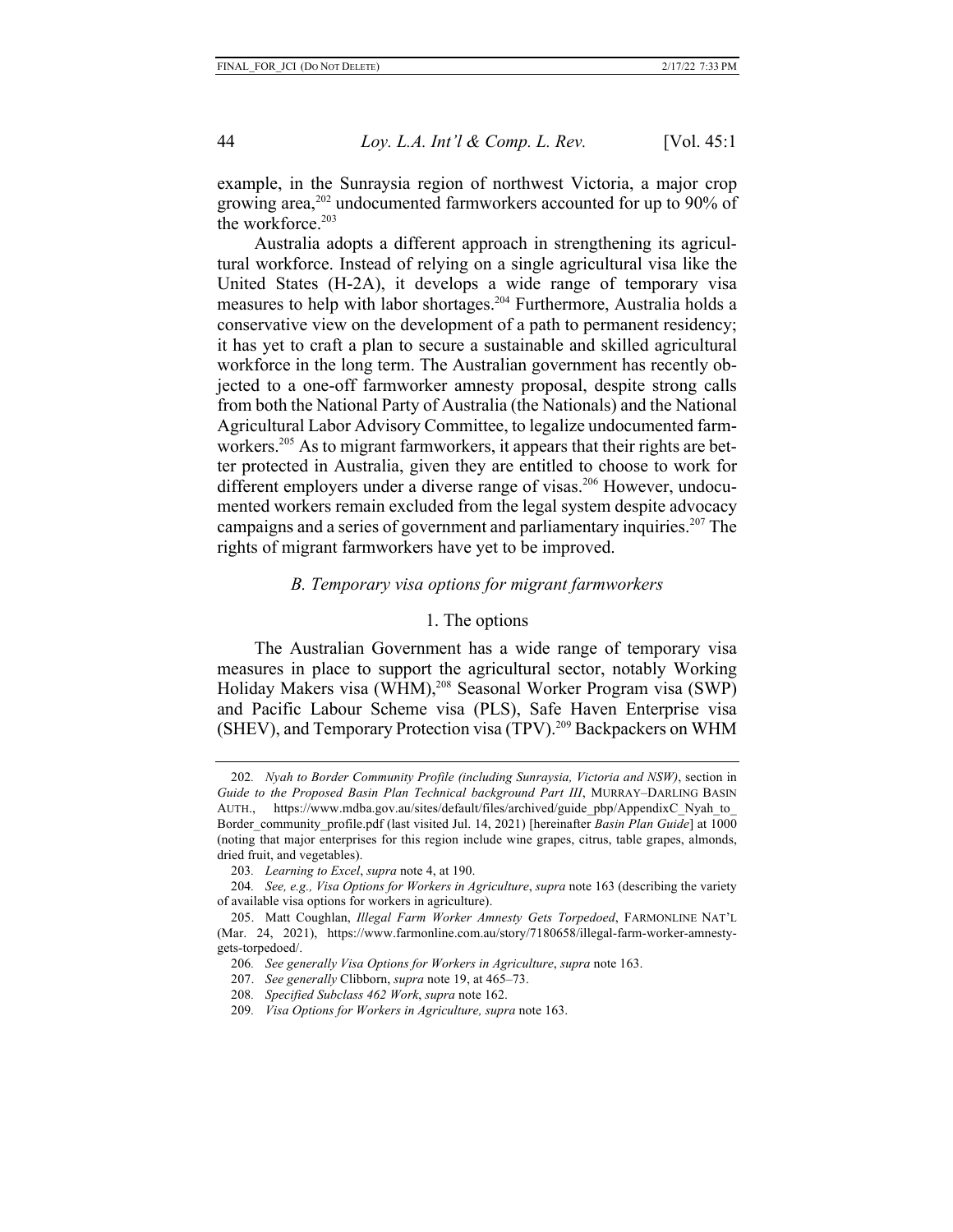example, in the Sunraysia region of northwest Victoria, a major crop growing area,<sup>202</sup> undocumented farmworkers accounted for up to 90% of the workforce. $203$ 

Australia adopts a different approach in strengthening its agricultural workforce. Instead of relying on a single agricultural visa like the United States (H-2A), it develops a wide range of temporary visa measures to help with labor shortages.204 Furthermore, Australia holds a conservative view on the development of a path to permanent residency; it has yet to craft a plan to secure a sustainable and skilled agricultural workforce in the long term. The Australian government has recently objected to a one-off farmworker amnesty proposal, despite strong calls from both the National Party of Australia (the Nationals) and the National Agricultural Labor Advisory Committee, to legalize undocumented farmworkers.<sup>205</sup> As to migrant farmworkers, it appears that their rights are better protected in Australia, given they are entitled to choose to work for different employers under a diverse range of visas.<sup>206</sup> However, undocumented workers remain excluded from the legal system despite advocacy campaigns and a series of government and parliamentary inquiries.<sup>207</sup> The rights of migrant farmworkers have yet to be improved.

## *B. Temporary visa options for migrant farmworkers*

#### 1. The options

The Australian Government has a wide range of temporary visa measures in place to support the agricultural sector, notably Working Holiday Makers visa (WHM),<sup>208</sup> Seasonal Worker Program visa (SWP) and Pacific Labour Scheme visa (PLS), Safe Haven Enterprise visa (SHEV), and Temporary Protection visa (TPV).<sup>209</sup> Backpackers on WHM

<sup>202</sup>*. Nyah to Border Community Profile (including Sunraysia, Victoria and NSW)*, section in *Guide to the Proposed Basin Plan Technical background Part III*, MURRAY–DARLING BASIN AUTH., https://www.mdba.gov.au/sites/default/files/archived/guide\_pbp/AppendixC\_Nyah\_to\_ Border\_community\_profile.pdf (last visited Jul. 14, 2021) [hereinafter *Basin Plan Guide*] at 1000 (noting that major enterprises for this region include wine grapes, citrus, table grapes, almonds, dried fruit, and vegetables).

<sup>203</sup>*. Learning to Excel*, *supra* note 4, at 190.

<sup>204</sup>*. See, e.g., Visa Options for Workers in Agriculture*, *supra* note 163 (describing the variety of available visa options for workers in agriculture).

<sup>205.</sup> Matt Coughlan, *Illegal Farm Worker Amnesty Gets Torpedoed*, FARMONLINE NAT'L (Mar. 24, 2021), https://www.farmonline.com.au/story/7180658/illegal-farm-worker-amnestygets-torpedoed/.

<sup>206</sup>*. See generally Visa Options for Workers in Agriculture*, *supra* note 163.

<sup>207.</sup> *See generally* Clibborn, *supra* note 19, at 465–73.

<sup>208</sup>*. Specified Subclass 462 Work*, *supra* note 162.

<sup>209</sup>*. Visa Options for Workers in Agriculture, supra* note 163.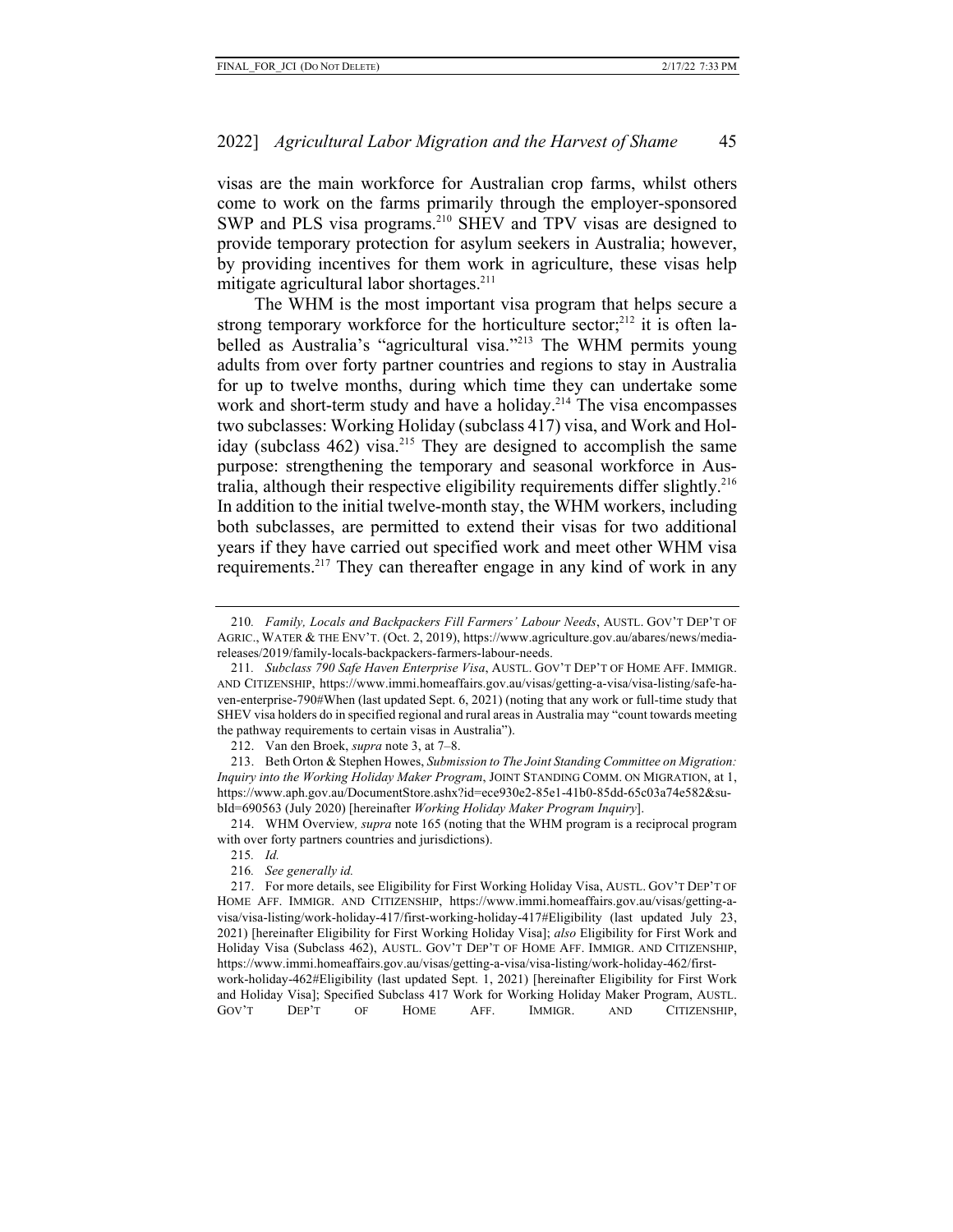visas are the main workforce for Australian crop farms, whilst others come to work on the farms primarily through the employer-sponsored SWP and PLS visa programs.<sup>210</sup> SHEV and TPV visas are designed to provide temporary protection for asylum seekers in Australia; however, by providing incentives for them work in agriculture, these visas help mitigate agricultural labor shortages.<sup>211</sup>

The WHM is the most important visa program that helps secure a strong temporary workforce for the horticulture sector;<sup>212</sup> it is often labelled as Australia's "agricultural visa."<sup>213</sup> The WHM permits young adults from over forty partner countries and regions to stay in Australia for up to twelve months, during which time they can undertake some work and short-term study and have a holiday.<sup>214</sup> The visa encompasses two subclasses: Working Holiday (subclass 417) visa, and Work and Holiday (subclass  $462$ ) visa.<sup>215</sup> They are designed to accomplish the same purpose: strengthening the temporary and seasonal workforce in Australia, although their respective eligibility requirements differ slightly.216 In addition to the initial twelve-month stay, the WHM workers, including both subclasses, are permitted to extend their visas for two additional years if they have carried out specified work and meet other WHM visa requirements.<sup>217</sup> They can thereafter engage in any kind of work in any

215*. Id.*

GOV'T DEP'T OF HOME AFF. IMMIGR. AND CITIZENSHIP,

<sup>210</sup>*. Family, Locals and Backpackers Fill Farmers' Labour Needs*, AUSTL. GOV'T DEP'T OF AGRIC., WATER & THE ENV'T. (Oct. 2, 2019), https://www.agriculture.gov.au/abares/news/mediareleases/2019/family-locals-backpackers-farmers-labour-needs.

<sup>211</sup>*. Subclass 790 Safe Haven Enterprise Visa*, AUSTL. GOV'T DEP'T OF HOME AFF. IMMIGR. AND CITIZENSHIP, https://www.immi.homeaffairs.gov.au/visas/getting-a-visa/visa-listing/safe-haven-enterprise-790#When (last updated Sept. 6, 2021) (noting that any work or full-time study that SHEV visa holders do in specified regional and rural areas in Australia may "count towards meeting the pathway requirements to certain visas in Australia").

<sup>212.</sup> Van den Broek, *supra* note 3, at 7–8.

<sup>213.</sup> Beth Orton & Stephen Howes, *Submission to The Joint Standing Committee on Migration: Inquiry into the Working Holiday Maker Program*, JOINT STANDING COMM. ON MIGRATION, at 1, https://www.aph.gov.au/DocumentStore.ashx?id=ece930e2-85e1-41b0-85dd-65c03a74e582&subId=690563 (July 2020) [hereinafter *Working Holiday Maker Program Inquiry*].

<sup>214.</sup> WHM Overview*, supra* note 165 (noting that the WHM program is a reciprocal program with over forty partners countries and jurisdictions).

<sup>216</sup>*. See generally id.*

<sup>217.</sup> For more details, see Eligibility for First Working Holiday Visa, AUSTL. GOV'T DEP'T OF HOME AFF. IMMIGR. AND CITIZENSHIP, https://www.immi.homeaffairs.gov.au/visas/getting-avisa/visa-listing/work-holiday-417/first-working-holiday-417#Eligibility (last updated July 23, 2021) [hereinafter Eligibility for First Working Holiday Visa]; *also* Eligibility for First Work and Holiday Visa (Subclass 462), AUSTL. GOV'T DEP'T OF HOME AFF. IMMIGR. AND CITIZENSHIP, https://www.immi.homeaffairs.gov.au/visas/getting-a-visa/visa-listing/work-holiday-462/firstwork-holiday-462#Eligibility (last updated Sept. 1, 2021) [hereinafter Eligibility for First Work and Holiday Visa]; Specified Subclass 417 Work for Working Holiday Maker Program, AUSTL.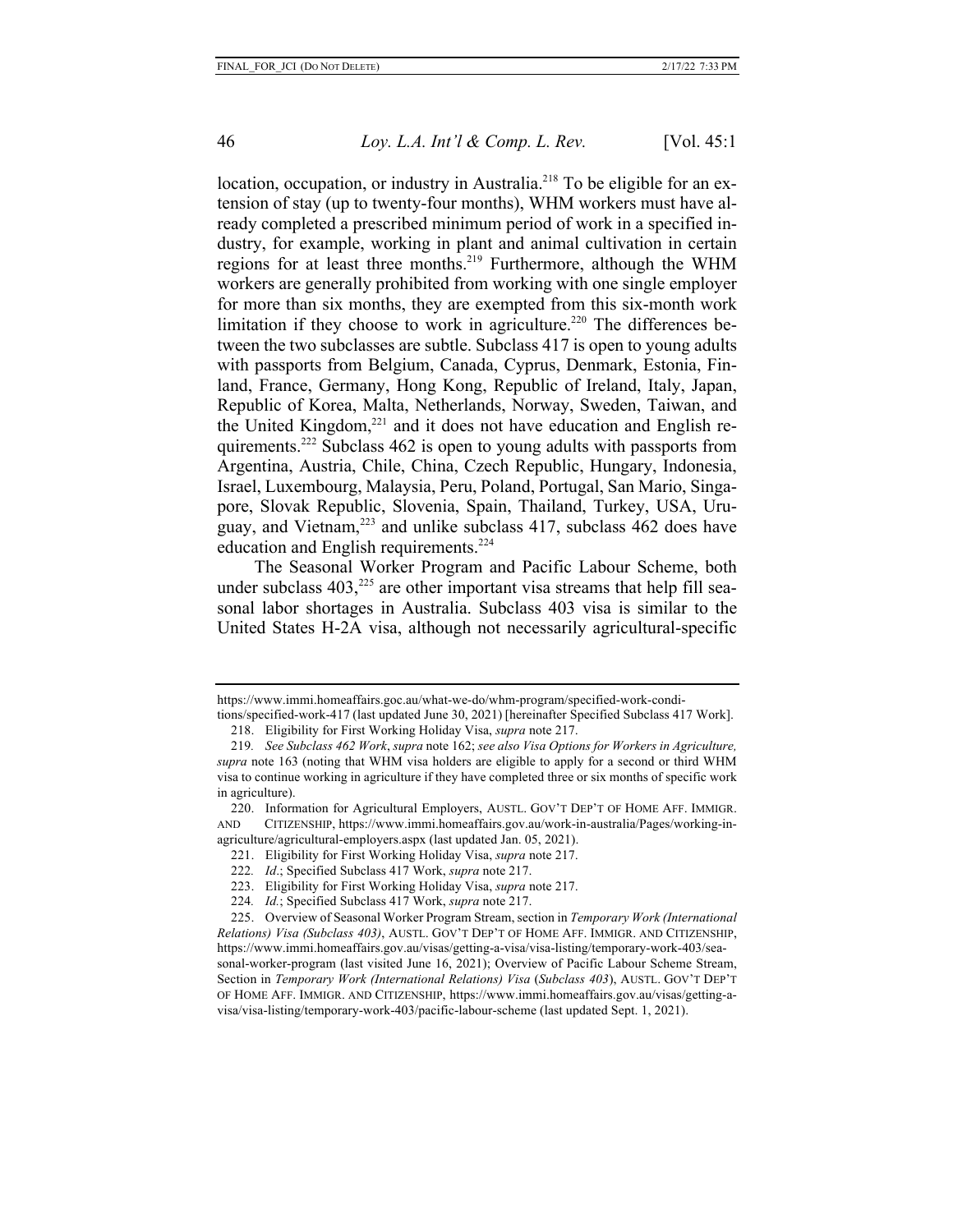location, occupation, or industry in Australia.<sup>218</sup> To be eligible for an extension of stay (up to twenty-four months), WHM workers must have already completed a prescribed minimum period of work in a specified industry, for example, working in plant and animal cultivation in certain regions for at least three months.219 Furthermore, although the WHM workers are generally prohibited from working with one single employer for more than six months, they are exempted from this six-month work limitation if they choose to work in agriculture.<sup>220</sup> The differences between the two subclasses are subtle. Subclass 417 is open to young adults with passports from Belgium, Canada, Cyprus, Denmark, Estonia, Finland, France, Germany, Hong Kong, Republic of Ireland, Italy, Japan, Republic of Korea, Malta, Netherlands, Norway, Sweden, Taiwan, and the United Kingdom,<sup>221</sup> and it does not have education and English requirements.222 Subclass 462 is open to young adults with passports from Argentina, Austria, Chile, China, Czech Republic, Hungary, Indonesia, Israel, Luxembourg, Malaysia, Peru, Poland, Portugal, San Mario, Singapore, Slovak Republic, Slovenia, Spain, Thailand, Turkey, USA, Uruguay, and Vietnam,223 and unlike subclass 417, subclass 462 does have education and English requirements.<sup>224</sup>

The Seasonal Worker Program and Pacific Labour Scheme, both under subclass  $403$ ,<sup>225</sup> are other important visa streams that help fill seasonal labor shortages in Australia. Subclass 403 visa is similar to the United States H-2A visa, although not necessarily agricultural-specific

https://www.immi.homeaffairs.goc.au/what-we-do/whm-program/specified-work-condi-

tions/specified-work-417 (last updated June 30, 2021) [hereinafter Specified Subclass 417 Work]. 218. Eligibility for First Working Holiday Visa, *supra* note 217.

<sup>219</sup>*. See Subclass 462 Work*, *supra* note 162; *see also Visa Options for Workers in Agriculture, supra* note 163 (noting that WHM visa holders are eligible to apply for a second or third WHM visa to continue working in agriculture if they have completed three or six months of specific work in agriculture).

<sup>220.</sup> Information for Agricultural Employers, AUSTL. GOV'T DEP'T OF HOME AFF. IMMIGR. AND CITIZENSHIP, https://www.immi.homeaffairs.gov.au/work-in-australia/Pages/working-inagriculture/agricultural-employers.aspx (last updated Jan. 05, 2021).

<sup>221.</sup> Eligibility for First Working Holiday Visa, *supra* note 217.

<sup>222</sup>*. Id*.; Specified Subclass 417 Work, *supra* note 217.

<sup>223.</sup> Eligibility for First Working Holiday Visa, *supra* note 217.

<sup>224</sup>*. Id.*; Specified Subclass 417 Work, *supra* note 217.

<sup>225.</sup> Overview of Seasonal Worker Program Stream, section in *Temporary Work (International Relations) Visa (Subclass 403)*, AUSTL. GOV'T DEP'T OF HOME AFF. IMMIGR. AND CITIZENSHIP, https://www.immi.homeaffairs.gov.au/visas/getting-a-visa/visa-listing/temporary-work-403/seasonal-worker-program (last visited June 16, 2021); Overview of Pacific Labour Scheme Stream, Section in *Temporary Work (International Relations) Visa* (*Subclass 403*), AUSTL. GOV'T DEP'T OF HOME AFF. IMMIGR. AND CITIZENSHIP, https://www.immi.homeaffairs.gov.au/visas/getting-avisa/visa-listing/temporary-work-403/pacific-labour-scheme (last updated Sept. 1, 2021).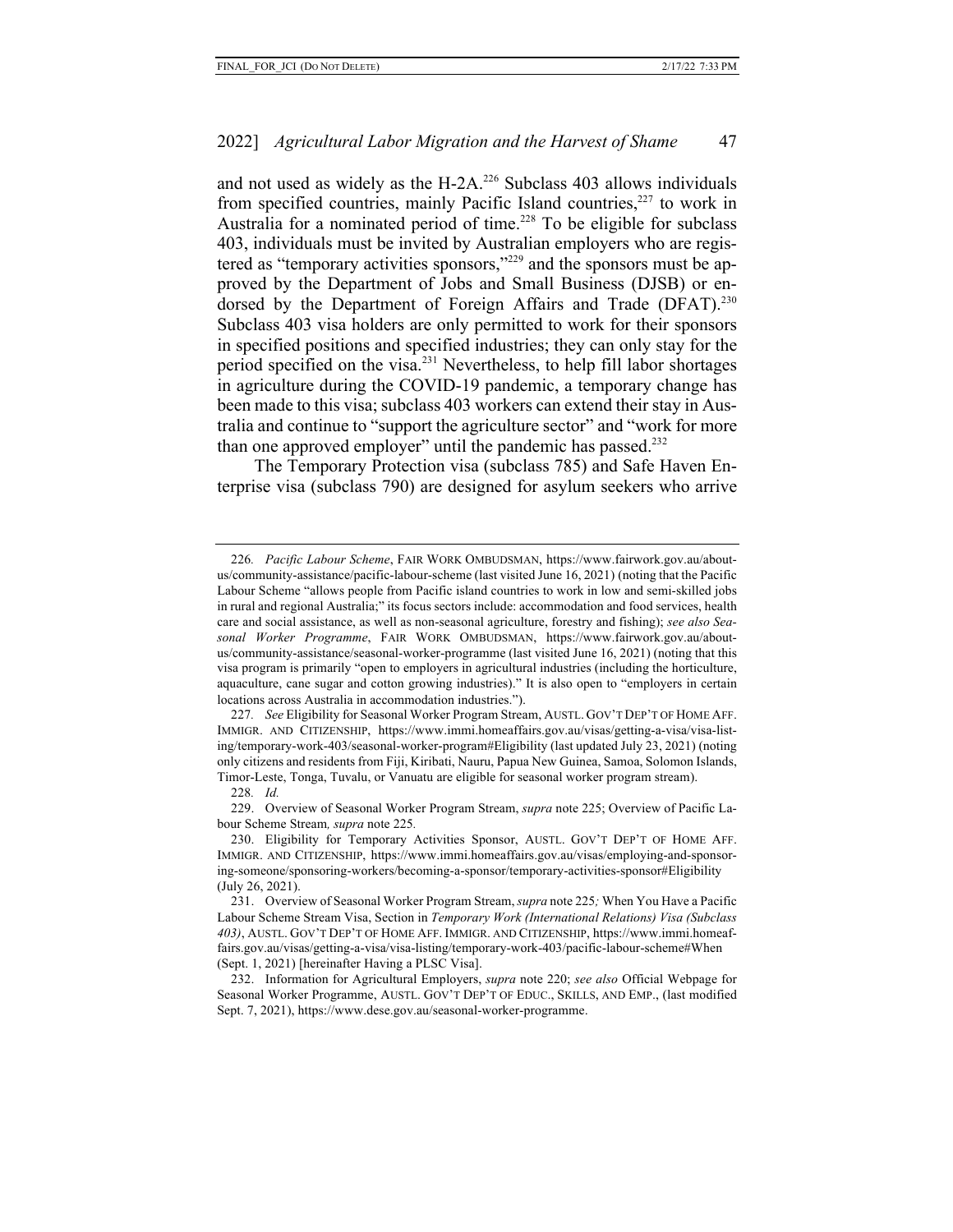and not used as widely as the H-2A. $^{226}$  Subclass 403 allows individuals from specified countries, mainly Pacific Island countries, $227$  to work in Australia for a nominated period of time.<sup>228</sup> To be eligible for subclass 403, individuals must be invited by Australian employers who are registered as "temporary activities sponsors,"229 and the sponsors must be approved by the Department of Jobs and Small Business (DJSB) or endorsed by the Department of Foreign Affairs and Trade (DFAT).<sup>230</sup> Subclass 403 visa holders are only permitted to work for their sponsors in specified positions and specified industries; they can only stay for the period specified on the visa.231 Nevertheless, to help fill labor shortages in agriculture during the COVID-19 pandemic, a temporary change has been made to this visa; subclass 403 workers can extend their stay in Australia and continue to "support the agriculture sector" and "work for more than one approved employer" until the pandemic has passed.<sup>232</sup>

The Temporary Protection visa (subclass 785) and Safe Haven Enterprise visa (subclass 790) are designed for asylum seekers who arrive

<sup>226</sup>*. Pacific Labour Scheme*, FAIR WORK OMBUDSMAN, https://www.fairwork.gov.au/aboutus/community-assistance/pacific-labour-scheme (last visited June 16, 2021) (noting that the Pacific Labour Scheme "allows people from Pacific island countries to work in low and semi-skilled jobs in rural and regional Australia;" its focus sectors include: accommodation and food services, health care and social assistance, as well as non-seasonal agriculture, forestry and fishing); *see also Seasonal Worker Programme*, FAIR WORK OMBUDSMAN, https://www.fairwork.gov.au/aboutus/community-assistance/seasonal-worker-programme (last visited June 16, 2021) (noting that this visa program is primarily "open to employers in agricultural industries (including the horticulture, aquaculture, cane sugar and cotton growing industries)." It is also open to "employers in certain locations across Australia in accommodation industries.").

<sup>227</sup>*. See* Eligibility for Seasonal Worker Program Stream, AUSTL. GOV'T DEP'T OF HOME AFF. IMMIGR. AND CITIZENSHIP, https://www.immi.homeaffairs.gov.au/visas/getting-a-visa/visa-listing/temporary-work-403/seasonal-worker-program#Eligibility (last updated July 23, 2021) (noting only citizens and residents from Fiji, Kiribati, Nauru, Papua New Guinea, Samoa, Solomon Islands, Timor-Leste, Tonga, Tuvalu, or Vanuatu are eligible for seasonal worker program stream).

<sup>228</sup>*. Id.*

<sup>229.</sup> Overview of Seasonal Worker Program Stream, *supra* note 225; Overview of Pacific Labour Scheme Stream*, supra* note 225*.*

<sup>230.</sup> Eligibility for Temporary Activities Sponsor, AUSTL. GOV'T DEP'T OF HOME AFF. IMMIGR. AND CITIZENSHIP, https://www.immi.homeaffairs.gov.au/visas/employing-and-sponsoring-someone/sponsoring-workers/becoming-a-sponsor/temporary-activities-sponsor#Eligibility (July 26, 2021).

<sup>231.</sup> Overview of Seasonal Worker Program Stream, *supra* note 225*;* When You Have a Pacific Labour Scheme Stream Visa, Section in *Temporary Work (International Relations) Visa (Subclass 403)*, AUSTL. GOV'T DEP'T OF HOME AFF. IMMIGR. AND CITIZENSHIP, https://www.immi.homeaffairs.gov.au/visas/getting-a-visa/visa-listing/temporary-work-403/pacific-labour-scheme#When (Sept. 1, 2021) [hereinafter Having a PLSC Visa].

<sup>232.</sup> Information for Agricultural Employers, *supra* note 220; *see also* Official Webpage for Seasonal Worker Programme, AUSTL. GOV'T DEP'T OF EDUC., SKILLS, AND EMP., (last modified Sept. 7, 2021), https://www.dese.gov.au/seasonal-worker-programme.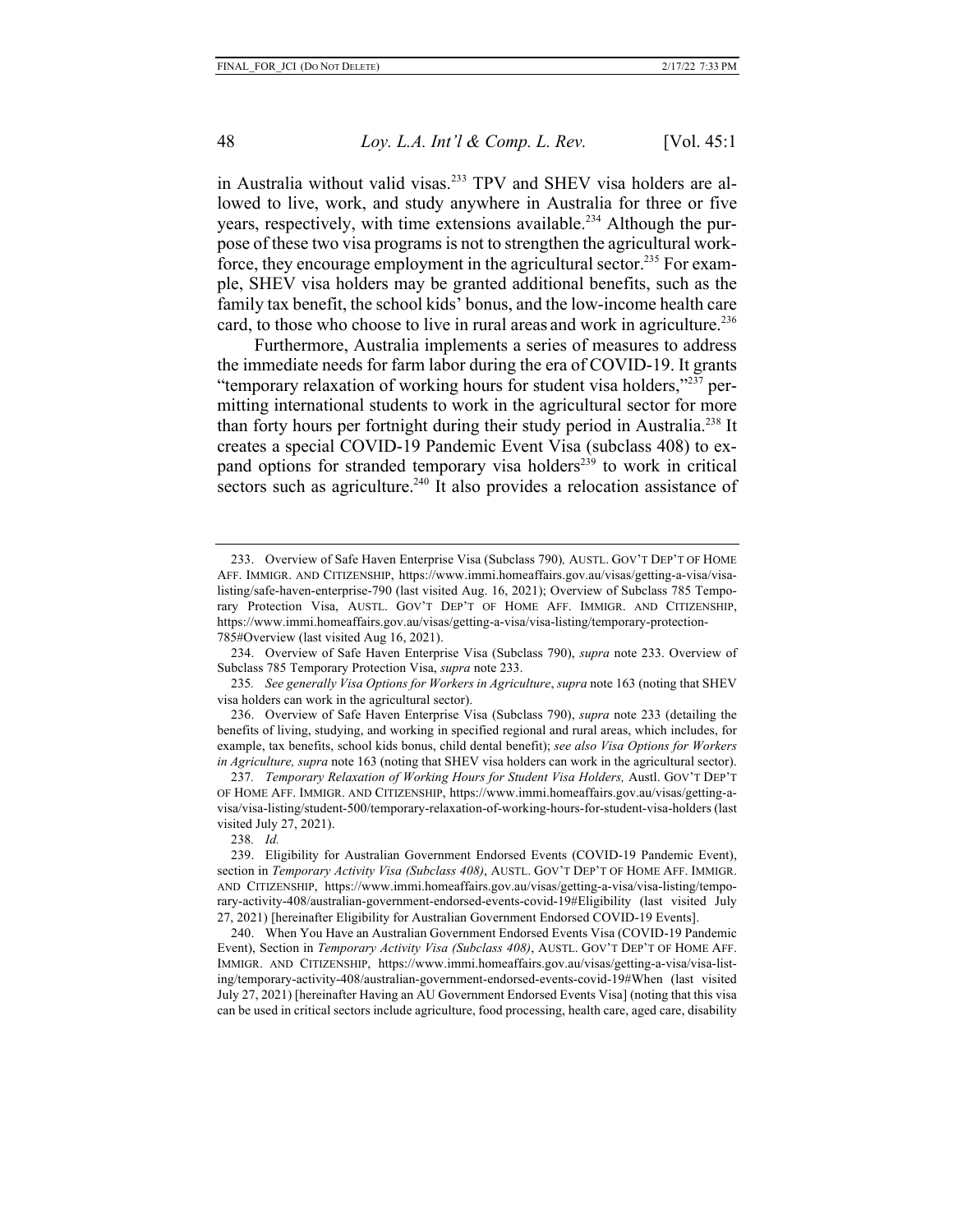in Australia without valid visas.<sup>233</sup> TPV and SHEV visa holders are allowed to live, work, and study anywhere in Australia for three or five years, respectively, with time extensions available.<sup>234</sup> Although the purpose of these two visa programs is not to strengthen the agricultural workforce, they encourage employment in the agricultural sector.<sup>235</sup> For example, SHEV visa holders may be granted additional benefits, such as the family tax benefit, the school kids' bonus, and the low-income health care card, to those who choose to live in rural areas and work in agriculture.<sup>236</sup>

Furthermore, Australia implements a series of measures to address the immediate needs for farm labor during the era of COVID-19. It grants "temporary relaxation of working hours for student visa holders,"<sup>237</sup> permitting international students to work in the agricultural sector for more than forty hours per fortnight during their study period in Australia.<sup>238</sup> It creates a special COVID-19 Pandemic Event Visa (subclass 408) to expand options for stranded temporary visa holders<sup>239</sup> to work in critical sectors such as agriculture.<sup>240</sup> It also provides a relocation assistance of

234. Overview of Safe Haven Enterprise Visa (Subclass 790), *supra* note 233. Overview of Subclass 785 Temporary Protection Visa, *supra* note 233.

235*. See generally Visa Options for Workers in Agriculture*, *supra* note 163 (noting that SHEV visa holders can work in the agricultural sector).

238*. Id.*

<sup>233.</sup> Overview of Safe Haven Enterprise Visa (Subclass 790)*,* AUSTL. GOV'T DEP'T OF HOME AFF. IMMIGR. AND CITIZENSHIP, https://www.immi.homeaffairs.gov.au/visas/getting-a-visa/visalisting/safe-haven-enterprise-790 (last visited Aug. 16, 2021); Overview of Subclass 785 Temporary Protection Visa, AUSTL. GOV'T DEP'T OF HOME AFF. IMMIGR. AND CITIZENSHIP, https://www.immi.homeaffairs.gov.au/visas/getting-a-visa/visa-listing/temporary-protection-785#Overview (last visited Aug 16, 2021).

<sup>236.</sup> Overview of Safe Haven Enterprise Visa (Subclass 790), *supra* note 233 (detailing the benefits of living, studying, and working in specified regional and rural areas, which includes, for example, tax benefits, school kids bonus, child dental benefit); *see also Visa Options for Workers in Agriculture, supra* note 163 (noting that SHEV visa holders can work in the agricultural sector).

<sup>237</sup>*. Temporary Relaxation of Working Hours for Student Visa Holders,* Austl. GOV'T DEP'T OF HOME AFF. IMMIGR. AND CITIZENSHIP, https://www.immi.homeaffairs.gov.au/visas/getting-avisa/visa-listing/student-500/temporary-relaxation-of-working-hours-for-student-visa-holders (last visited July 27, 2021).

<sup>239.</sup> Eligibility for Australian Government Endorsed Events (COVID-19 Pandemic Event), section in *Temporary Activity Visa (Subclass 408)*, AUSTL. GOV'T DEP'T OF HOME AFF. IMMIGR. AND CITIZENSHIP, https://www.immi.homeaffairs.gov.au/visas/getting-a-visa/visa-listing/temporary-activity-408/australian-government-endorsed-events-covid-19#Eligibility (last visited July 27, 2021) [hereinafter Eligibility for Australian Government Endorsed COVID-19 Events].

<sup>240.</sup> When You Have an Australian Government Endorsed Events Visa (COVID-19 Pandemic Event), Section in *Temporary Activity Visa (Subclass 408)*, AUSTL. GOV'T DEP'T OF HOME AFF. IMMIGR. AND CITIZENSHIP, https://www.immi.homeaffairs.gov.au/visas/getting-a-visa/visa-listing/temporary-activity-408/australian-government-endorsed-events-covid-19#When (last visited July 27, 2021) [hereinafter Having an AU Government Endorsed Events Visa] (noting that this visa can be used in critical sectors include agriculture, food processing, health care, aged care, disability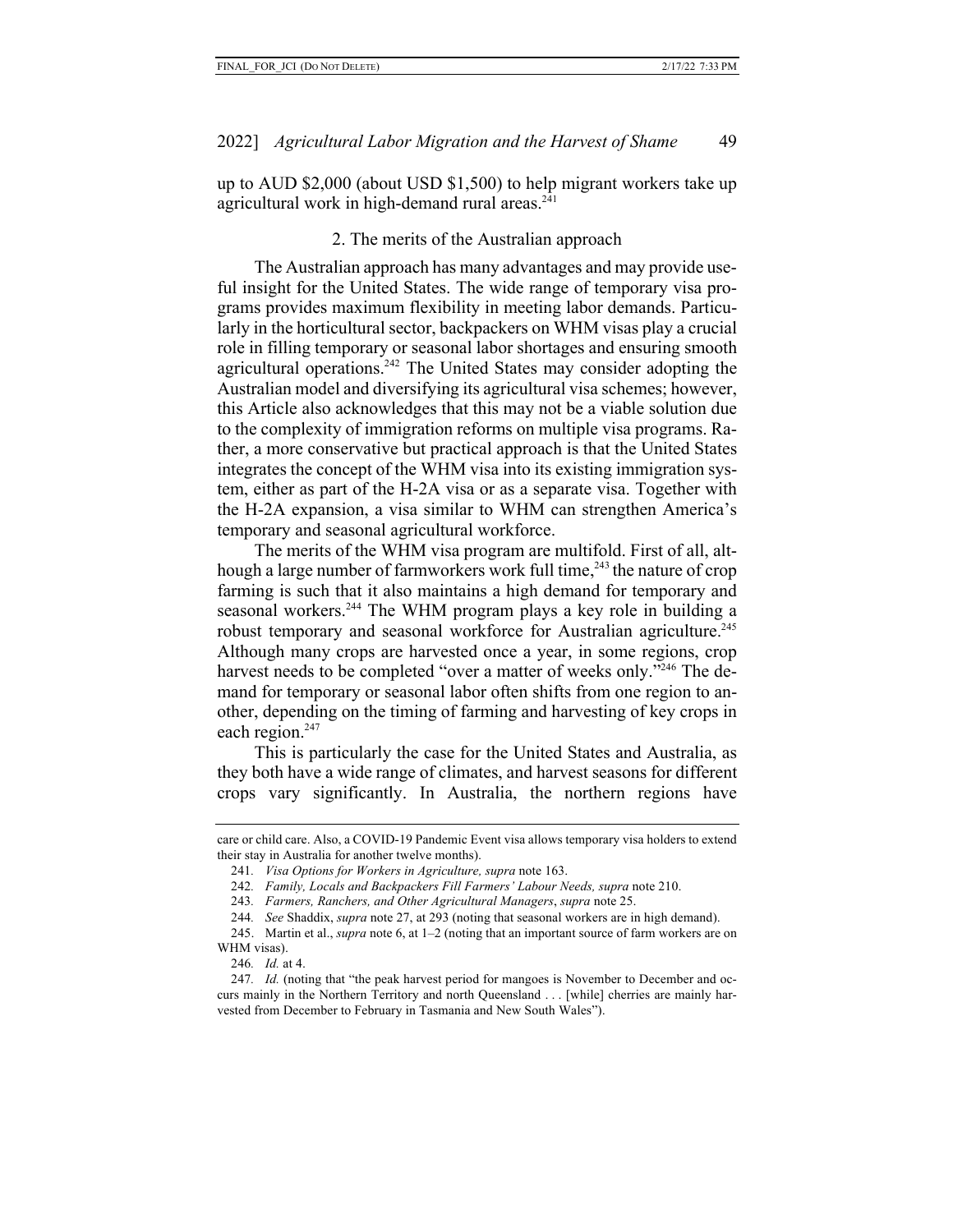up to AUD \$2,000 (about USD \$1,500) to help migrant workers take up agricultural work in high-demand rural areas.<sup>241</sup>

## 2. The merits of the Australian approach

The Australian approach has many advantages and may provide useful insight for the United States. The wide range of temporary visa programs provides maximum flexibility in meeting labor demands. Particularly in the horticultural sector, backpackers on WHM visas play a crucial role in filling temporary or seasonal labor shortages and ensuring smooth agricultural operations.<sup>242</sup> The United States may consider adopting the Australian model and diversifying its agricultural visa schemes; however, this Article also acknowledges that this may not be a viable solution due to the complexity of immigration reforms on multiple visa programs. Rather, a more conservative but practical approach is that the United States integrates the concept of the WHM visa into its existing immigration system, either as part of the H-2A visa or as a separate visa. Together with the H-2A expansion, a visa similar to WHM can strengthen America's temporary and seasonal agricultural workforce.

The merits of the WHM visa program are multifold. First of all, although a large number of farmworkers work full time,<sup>243</sup> the nature of crop farming is such that it also maintains a high demand for temporary and seasonal workers.<sup>244</sup> The WHM program plays a key role in building a robust temporary and seasonal workforce for Australian agriculture.<sup>245</sup> Although many crops are harvested once a year, in some regions, crop harvest needs to be completed "over a matter of weeks only."<sup>246</sup> The demand for temporary or seasonal labor often shifts from one region to another, depending on the timing of farming and harvesting of key crops in each region.<sup>247</sup>

This is particularly the case for the United States and Australia, as they both have a wide range of climates, and harvest seasons for different crops vary significantly. In Australia, the northern regions have

246*. Id.* at 4.

care or child care. Also, a COVID-19 Pandemic Event visa allows temporary visa holders to extend their stay in Australia for another twelve months).

<sup>241</sup>*. Visa Options for Workers in Agriculture, supra* note 163.

<sup>242</sup>*. Family, Locals and Backpackers Fill Farmers' Labour Needs, supra* note 210.

<sup>243</sup>*. Farmers, Ranchers, and Other Agricultural Managers*, *supra* note 25.

<sup>244</sup>*. See* Shaddix, *supra* note 27, at 293 (noting that seasonal workers are in high demand).

<sup>245.</sup> Martin et al., *supra* note 6, at 1–2 (noting that an important source of farm workers are on WHM visas).

<sup>247</sup>*. Id.* (noting that "the peak harvest period for mangoes is November to December and occurs mainly in the Northern Territory and north Queensland . . . [while] cherries are mainly harvested from December to February in Tasmania and New South Wales").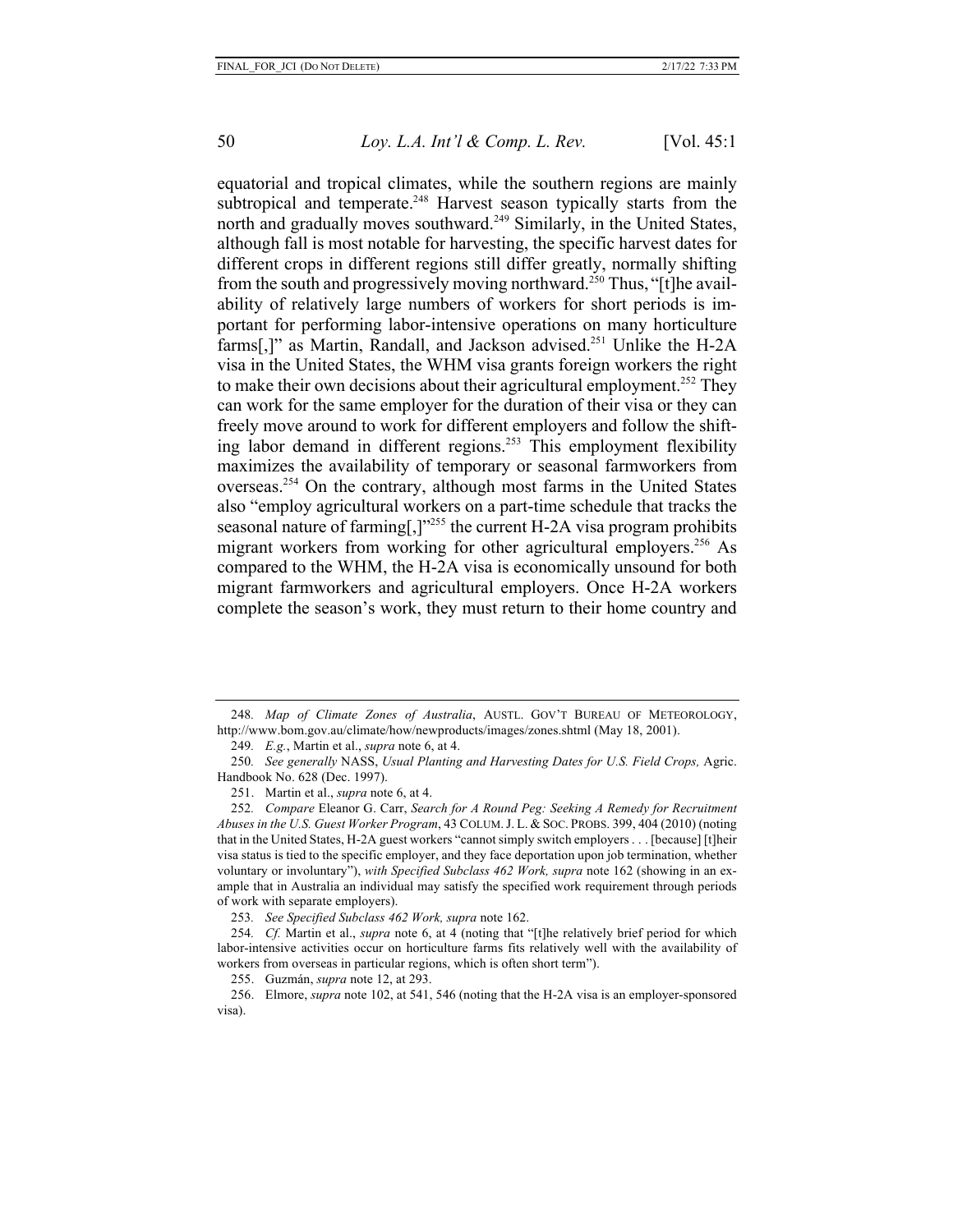equatorial and tropical climates, while the southern regions are mainly subtropical and temperate.<sup>248</sup> Harvest season typically starts from the north and gradually moves southward.<sup>249</sup> Similarly, in the United States, although fall is most notable for harvesting, the specific harvest dates for different crops in different regions still differ greatly, normally shifting from the south and progressively moving northward.<sup>250</sup> Thus, "[t]he availability of relatively large numbers of workers for short periods is important for performing labor-intensive operations on many horticulture farms[,]" as Martin, Randall, and Jackson advised.<sup>251</sup> Unlike the H-2A visa in the United States, the WHM visa grants foreign workers the right to make their own decisions about their agricultural employment.<sup>252</sup> They can work for the same employer for the duration of their visa or they can freely move around to work for different employers and follow the shifting labor demand in different regions.253 This employment flexibility maximizes the availability of temporary or seasonal farmworkers from overseas.254 On the contrary, although most farms in the United States also "employ agricultural workers on a part-time schedule that tracks the seasonal nature of farming[,] $v^{255}$  the current H-2A visa program prohibits migrant workers from working for other agricultural employers.<sup>256</sup> As compared to the WHM, the H-2A visa is economically unsound for both migrant farmworkers and agricultural employers. Once H-2A workers complete the season's work, they must return to their home country and

<sup>248</sup>*. Map of Climate Zones of Australia*, AUSTL. GOV'T BUREAU OF METEOROLOGY, http://www.bom.gov.au/climate/how/newproducts/images/zones.shtml (May 18, 2001).

<sup>249</sup>*. E.g.*, Martin et al., *supra* note 6, at 4.

<sup>250</sup>*. See generally* NASS, *Usual Planting and Harvesting Dates for U.S. Field Crops,* Agric. Handbook No. 628 (Dec. 1997).

<sup>251.</sup> Martin et al., *supra* note 6, at 4.

<sup>252</sup>*. Compare* Eleanor G. Carr, *Search for A Round Peg: Seeking A Remedy for Recruitment Abuses in the U.S. Guest Worker Program*, 43 COLUM.J. L. & SOC. PROBS. 399, 404 (2010) (noting that in the United States, H-2A guest workers "cannot simply switch employers . . . [because] [t]heir visa status is tied to the specific employer, and they face deportation upon job termination, whether voluntary or involuntary"), *with Specified Subclass 462 Work, supra* note 162 (showing in an example that in Australia an individual may satisfy the specified work requirement through periods of work with separate employers).

<sup>253</sup>*. See Specified Subclass 462 Work, supra* note 162.

<sup>254</sup>*. Cf.* Martin et al., *supra* note 6, at 4 (noting that "[t]he relatively brief period for which labor-intensive activities occur on horticulture farms fits relatively well with the availability of workers from overseas in particular regions, which is often short term").

<sup>255.</sup> Guzmán, *supra* note 12, at 293.

<sup>256.</sup> Elmore, *supra* note 102, at 541, 546 (noting that the H-2A visa is an employer-sponsored visa).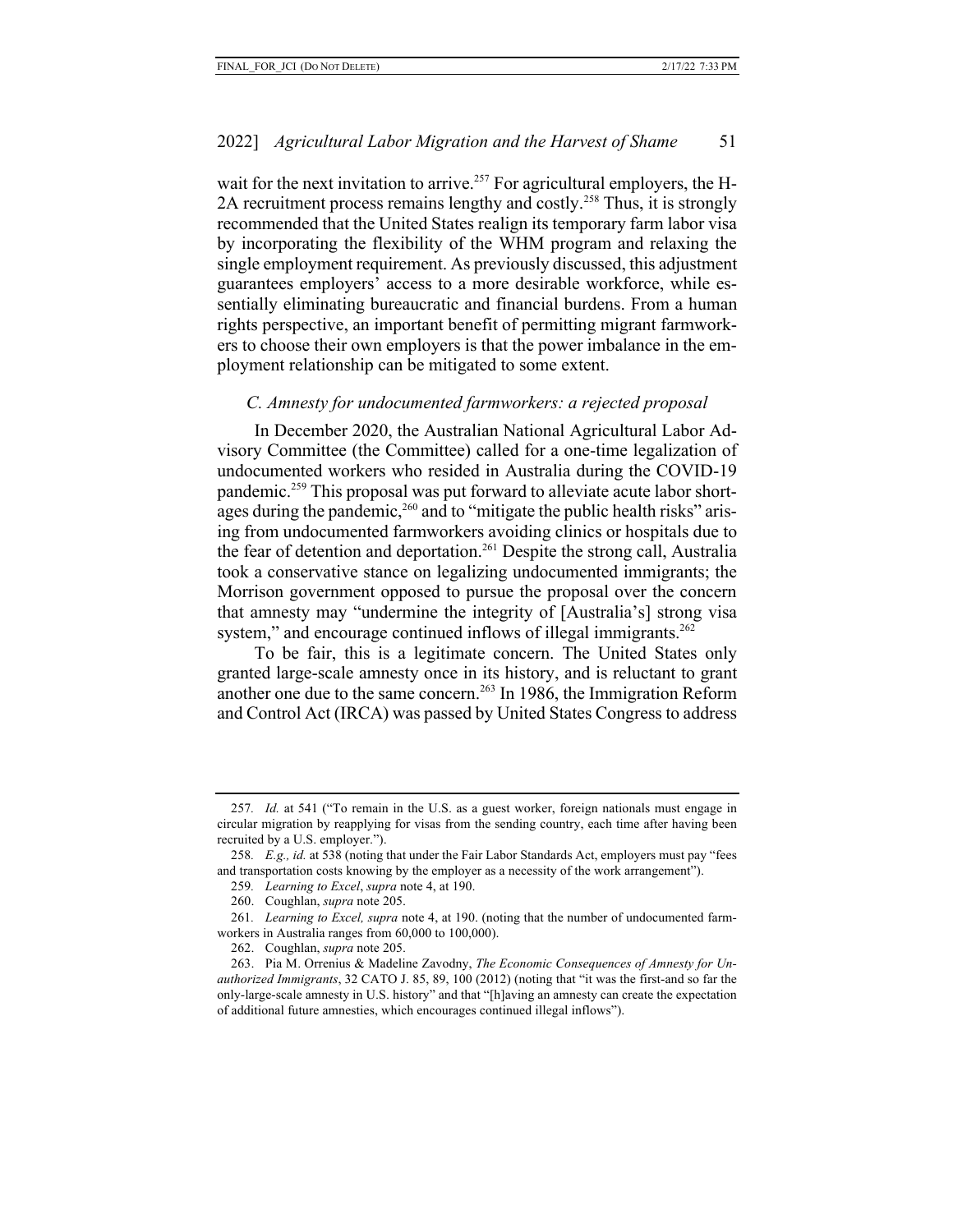wait for the next invitation to arrive.<sup>257</sup> For agricultural employers, the H-2A recruitment process remains lengthy and costly.<sup>258</sup> Thus, it is strongly recommended that the United States realign its temporary farm labor visa by incorporating the flexibility of the WHM program and relaxing the single employment requirement. As previously discussed, this adjustment guarantees employers' access to a more desirable workforce, while essentially eliminating bureaucratic and financial burdens. From a human rights perspective, an important benefit of permitting migrant farmworkers to choose their own employers is that the power imbalance in the employment relationship can be mitigated to some extent.

## *C. Amnesty for undocumented farmworkers: a rejected proposal*

In December 2020, the Australian National Agricultural Labor Advisory Committee (the Committee) called for a one-time legalization of undocumented workers who resided in Australia during the COVID-19 pandemic.<sup>259</sup> This proposal was put forward to alleviate acute labor shortages during the pandemic,<sup>260</sup> and to "mitigate the public health risks" arising from undocumented farmworkers avoiding clinics or hospitals due to the fear of detention and deportation.<sup>261</sup> Despite the strong call, Australia took a conservative stance on legalizing undocumented immigrants; the Morrison government opposed to pursue the proposal over the concern that amnesty may "undermine the integrity of [Australia's] strong visa system," and encourage continued inflows of illegal immigrants. $262$ 

To be fair, this is a legitimate concern. The United States only granted large-scale amnesty once in its history, and is reluctant to grant another one due to the same concern.263 In 1986, the Immigration Reform and Control Act (IRCA) was passed by United States Congress to address

262. Coughlan, *supra* note 205.

<sup>257</sup>*. Id.* at 541 ("To remain in the U.S. as a guest worker, foreign nationals must engage in circular migration by reapplying for visas from the sending country, each time after having been recruited by a U.S. employer.").

<sup>258</sup>*. E.g., id.* at 538 (noting that under the Fair Labor Standards Act, employers must pay "fees and transportation costs knowing by the employer as a necessity of the work arrangement").

<sup>259</sup>*. Learning to Excel*, *supra* note 4, at 190.

<sup>260.</sup> Coughlan, *supra* note 205.

<sup>261</sup>*. Learning to Excel, supra* note 4, at 190. (noting that the number of undocumented farmworkers in Australia ranges from 60,000 to 100,000).

<sup>263.</sup> Pia M. Orrenius & Madeline Zavodny, *The Economic Consequences of Amnesty for Unauthorized Immigrants*, 32 CATO J. 85, 89, 100 (2012) (noting that "it was the first-and so far the only-large-scale amnesty in U.S. history" and that "[h]aving an amnesty can create the expectation of additional future amnesties, which encourages continued illegal inflows").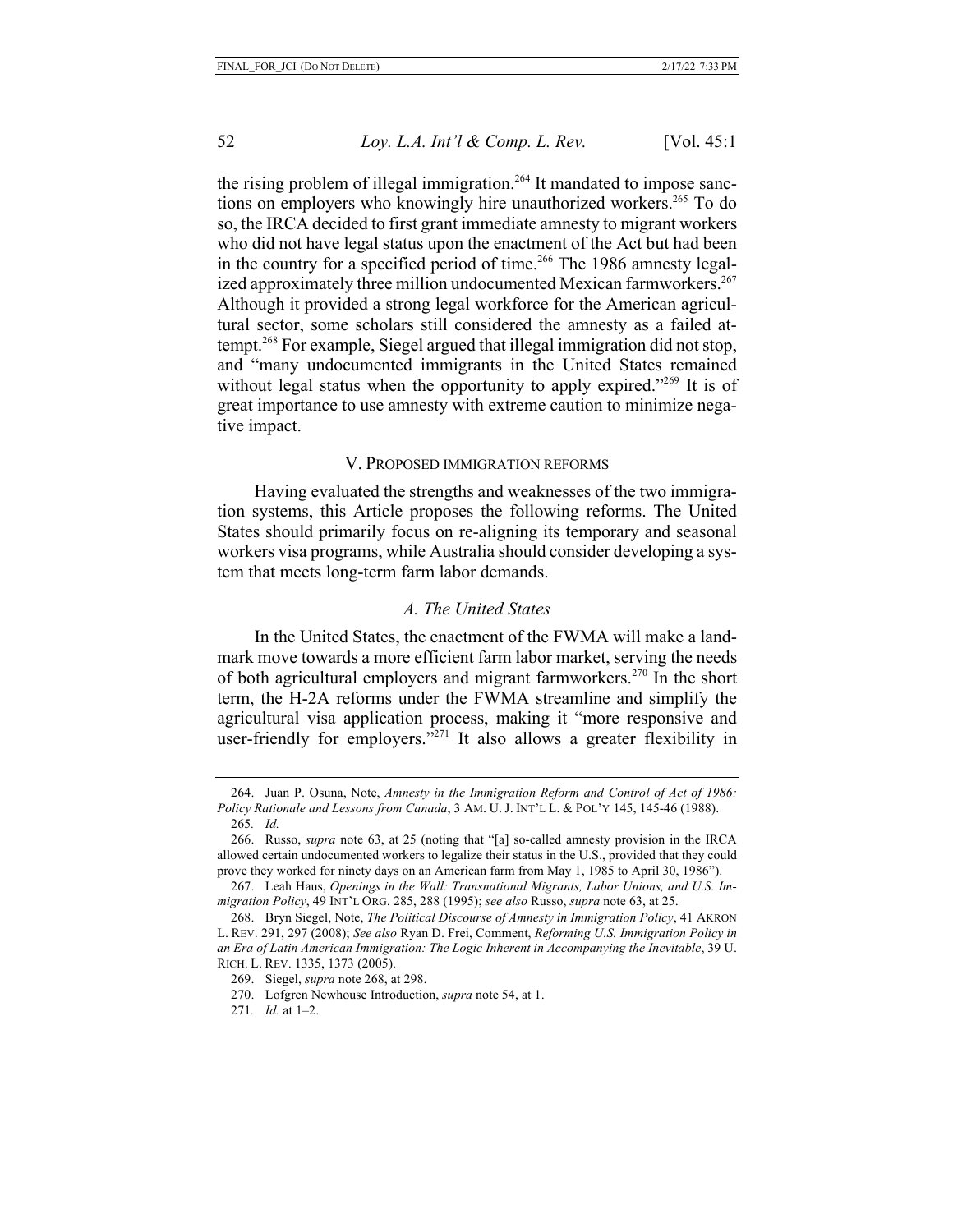the rising problem of illegal immigration.<sup>264</sup> It mandated to impose sanctions on employers who knowingly hire unauthorized workers.<sup>265</sup> To do so, the IRCA decided to first grant immediate amnesty to migrant workers who did not have legal status upon the enactment of the Act but had been in the country for a specified period of time.<sup>266</sup> The 1986 amnesty legalized approximately three million undocumented Mexican farmworkers. 267 Although it provided a strong legal workforce for the American agricultural sector, some scholars still considered the amnesty as a failed attempt.268 For example, Siegel argued that illegal immigration did not stop, and "many undocumented immigrants in the United States remained without legal status when the opportunity to apply expired."<sup>269</sup> It is of great importance to use amnesty with extreme caution to minimize negative impact.

#### V. PROPOSED IMMIGRATION REFORMS

Having evaluated the strengths and weaknesses of the two immigration systems, this Article proposes the following reforms. The United States should primarily focus on re-aligning its temporary and seasonal workers visa programs, while Australia should consider developing a system that meets long-term farm labor demands.

#### *A. The United States*

In the United States, the enactment of the FWMA will make a landmark move towards a more efficient farm labor market, serving the needs of both agricultural employers and migrant farmworkers.<sup>270</sup> In the short term, the H-2A reforms under the FWMA streamline and simplify the agricultural visa application process, making it "more responsive and user-friendly for employers."<sup>271</sup> It also allows a greater flexibility in

<sup>264.</sup> Juan P. Osuna, Note, *Amnesty in the Immigration Reform and Control of Act of 1986: Policy Rationale and Lessons from Canada*, 3 AM. U. J. INT'L L. & POL'Y 145, 145-46 (1988).

<sup>265</sup>*. Id.*

<sup>266.</sup> Russo, *supra* note 63, at 25 (noting that "[a] so-called amnesty provision in the IRCA allowed certain undocumented workers to legalize their status in the U.S., provided that they could prove they worked for ninety days on an American farm from May 1, 1985 to April 30, 1986").

<sup>267.</sup> Leah Haus, *Openings in the Wall: Transnational Migrants, Labor Unions, and U.S. Immigration Policy*, 49 INT'L ORG. 285, 288 (1995); *see also* Russo, *supra* note 63, at 25.

<sup>268.</sup> Bryn Siegel, Note, *The Political Discourse of Amnesty in Immigration Policy*, 41 AKRON L. REV. 291, 297 (2008); *See also* Ryan D. Frei, Comment, *Reforming U.S. Immigration Policy in an Era of Latin American Immigration: The Logic Inherent in Accompanying the Inevitable*, 39 U. RICH. L. REV. 1335, 1373 (2005).

<sup>269.</sup> Siegel, *supra* note 268, at 298.

<sup>270.</sup> Lofgren Newhouse Introduction, *supra* note 54, at 1.

<sup>271</sup>*. Id.* at 1–2.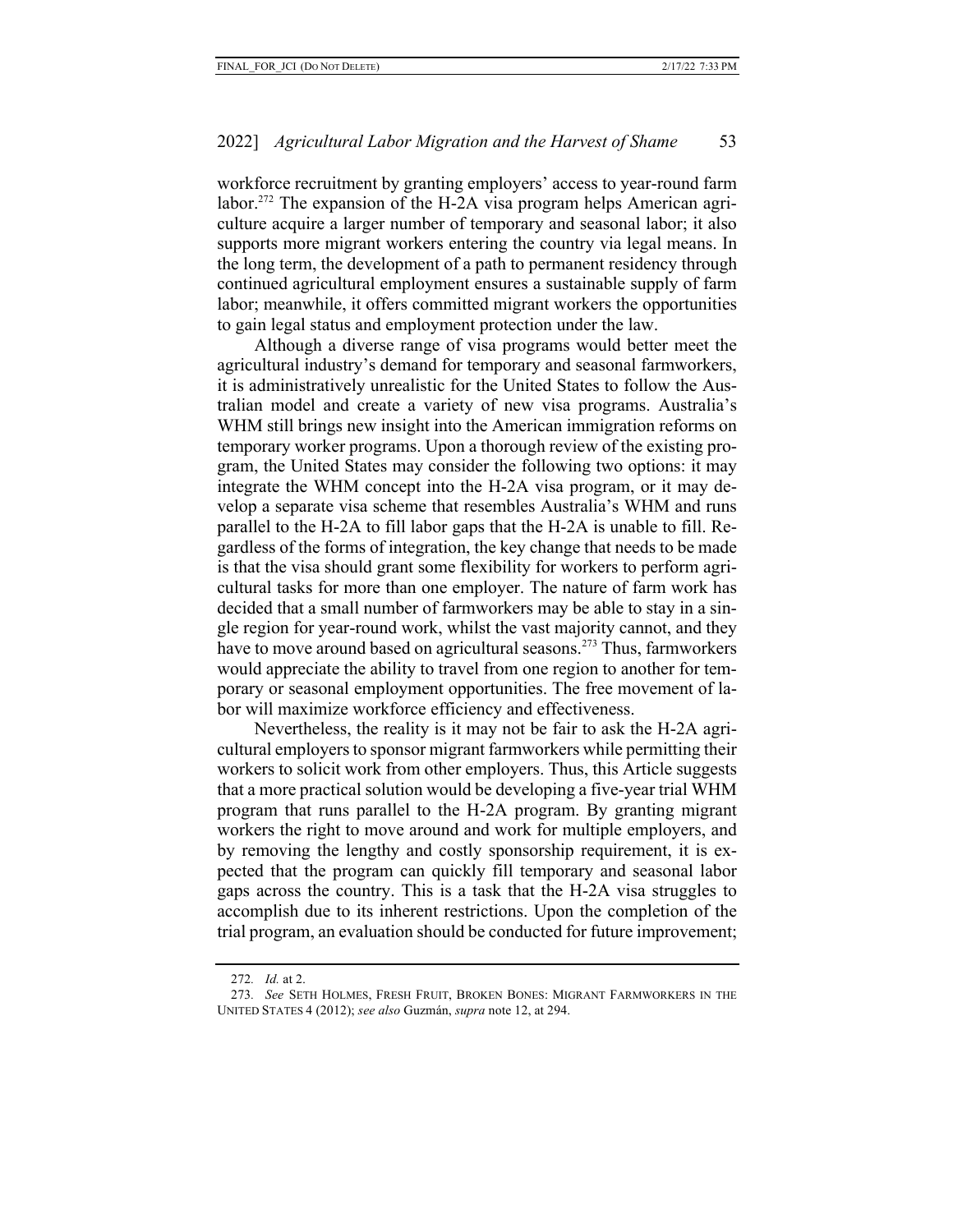workforce recruitment by granting employers' access to year-round farm labor.<sup>272</sup> The expansion of the H-2A visa program helps American agriculture acquire a larger number of temporary and seasonal labor; it also supports more migrant workers entering the country via legal means. In the long term, the development of a path to permanent residency through continued agricultural employment ensures a sustainable supply of farm labor; meanwhile, it offers committed migrant workers the opportunities to gain legal status and employment protection under the law.

Although a diverse range of visa programs would better meet the agricultural industry's demand for temporary and seasonal farmworkers, it is administratively unrealistic for the United States to follow the Australian model and create a variety of new visa programs. Australia's WHM still brings new insight into the American immigration reforms on temporary worker programs. Upon a thorough review of the existing program, the United States may consider the following two options: it may integrate the WHM concept into the H-2A visa program, or it may develop a separate visa scheme that resembles Australia's WHM and runs parallel to the H-2A to fill labor gaps that the H-2A is unable to fill. Regardless of the forms of integration, the key change that needs to be made is that the visa should grant some flexibility for workers to perform agricultural tasks for more than one employer. The nature of farm work has decided that a small number of farmworkers may be able to stay in a single region for year-round work, whilst the vast majority cannot, and they have to move around based on agricultural seasons.<sup>273</sup> Thus, farmworkers would appreciate the ability to travel from one region to another for temporary or seasonal employment opportunities. The free movement of labor will maximize workforce efficiency and effectiveness.

Nevertheless, the reality is it may not be fair to ask the H-2A agricultural employers to sponsor migrant farmworkers while permitting their workers to solicit work from other employers. Thus, this Article suggests that a more practical solution would be developing a five-year trial WHM program that runs parallel to the H-2A program. By granting migrant workers the right to move around and work for multiple employers, and by removing the lengthy and costly sponsorship requirement, it is expected that the program can quickly fill temporary and seasonal labor gaps across the country. This is a task that the H-2A visa struggles to accomplish due to its inherent restrictions. Upon the completion of the trial program, an evaluation should be conducted for future improvement;

<sup>272</sup>*. Id.* at 2.

<sup>273</sup>*. See* SETH HOLMES, FRESH FRUIT, BROKEN BONES: MIGRANT FARMWORKERS IN THE UNITED STATES 4 (2012); *see also* Guzmán, *supra* note 12, at 294.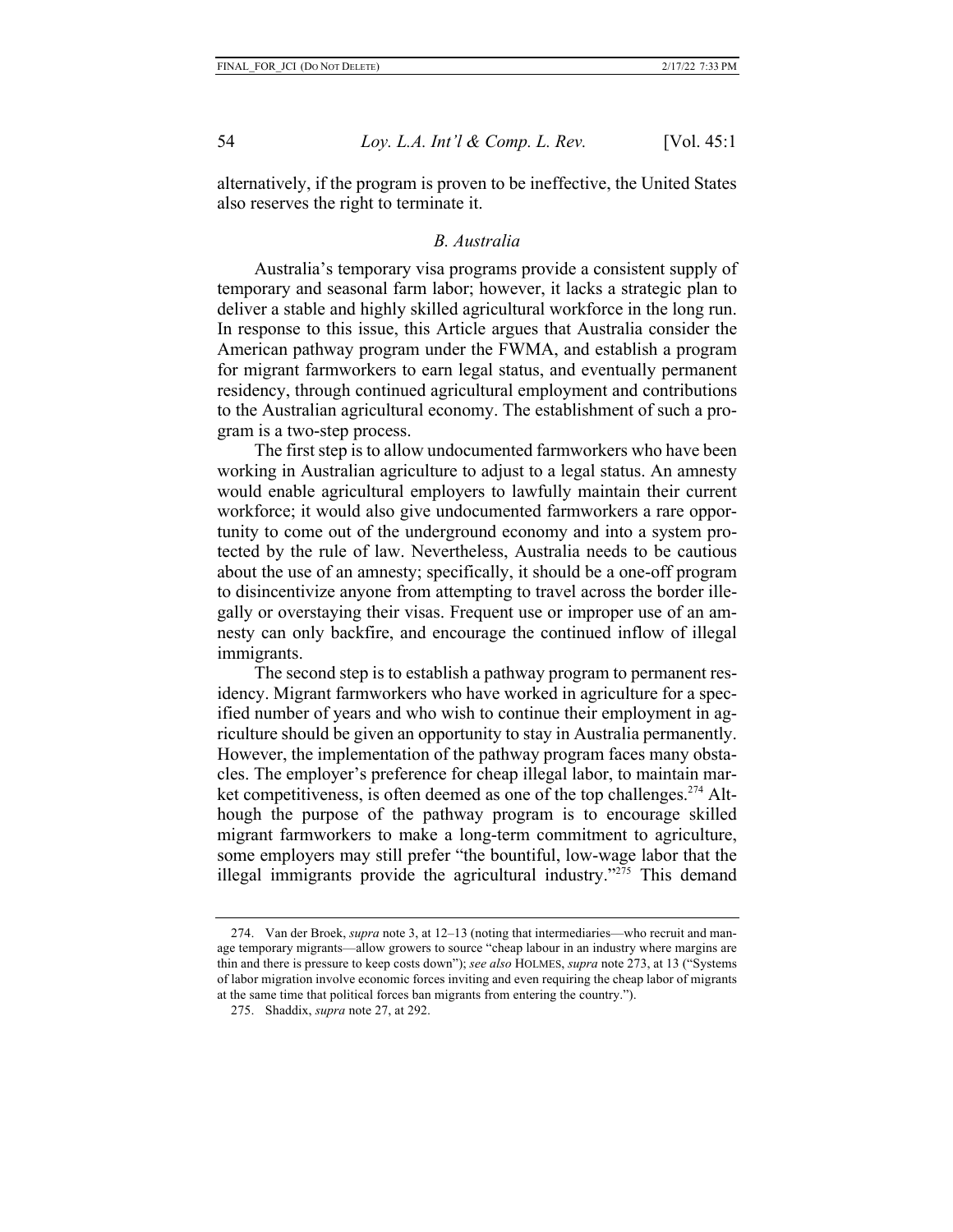alternatively, if the program is proven to be ineffective, the United States also reserves the right to terminate it.

#### *B. Australia*

Australia's temporary visa programs provide a consistent supply of temporary and seasonal farm labor; however, it lacks a strategic plan to deliver a stable and highly skilled agricultural workforce in the long run. In response to this issue, this Article argues that Australia consider the American pathway program under the FWMA, and establish a program for migrant farmworkers to earn legal status, and eventually permanent residency, through continued agricultural employment and contributions to the Australian agricultural economy. The establishment of such a program is a two-step process.

The first step is to allow undocumented farmworkers who have been working in Australian agriculture to adjust to a legal status. An amnesty would enable agricultural employers to lawfully maintain their current workforce; it would also give undocumented farmworkers a rare opportunity to come out of the underground economy and into a system protected by the rule of law. Nevertheless, Australia needs to be cautious about the use of an amnesty; specifically, it should be a one-off program to disincentivize anyone from attempting to travel across the border illegally or overstaying their visas. Frequent use or improper use of an amnesty can only backfire, and encourage the continued inflow of illegal immigrants.

The second step is to establish a pathway program to permanent residency. Migrant farmworkers who have worked in agriculture for a specified number of years and who wish to continue their employment in agriculture should be given an opportunity to stay in Australia permanently. However, the implementation of the pathway program faces many obstacles. The employer's preference for cheap illegal labor, to maintain market competitiveness, is often deemed as one of the top challenges.<sup> $274$ </sup> Although the purpose of the pathway program is to encourage skilled migrant farmworkers to make a long-term commitment to agriculture, some employers may still prefer "the bountiful, low-wage labor that the illegal immigrants provide the agricultural industry."275 This demand

<sup>274.</sup> Van der Broek, *supra* note 3, at 12–13 (noting that intermediaries—who recruit and manage temporary migrants—allow growers to source "cheap labour in an industry where margins are thin and there is pressure to keep costs down"); *see also* HOLMES, *supra* note 273, at 13 ("Systems of labor migration involve economic forces inviting and even requiring the cheap labor of migrants at the same time that political forces ban migrants from entering the country.").

<sup>275.</sup> Shaddix, *supra* note 27, at 292.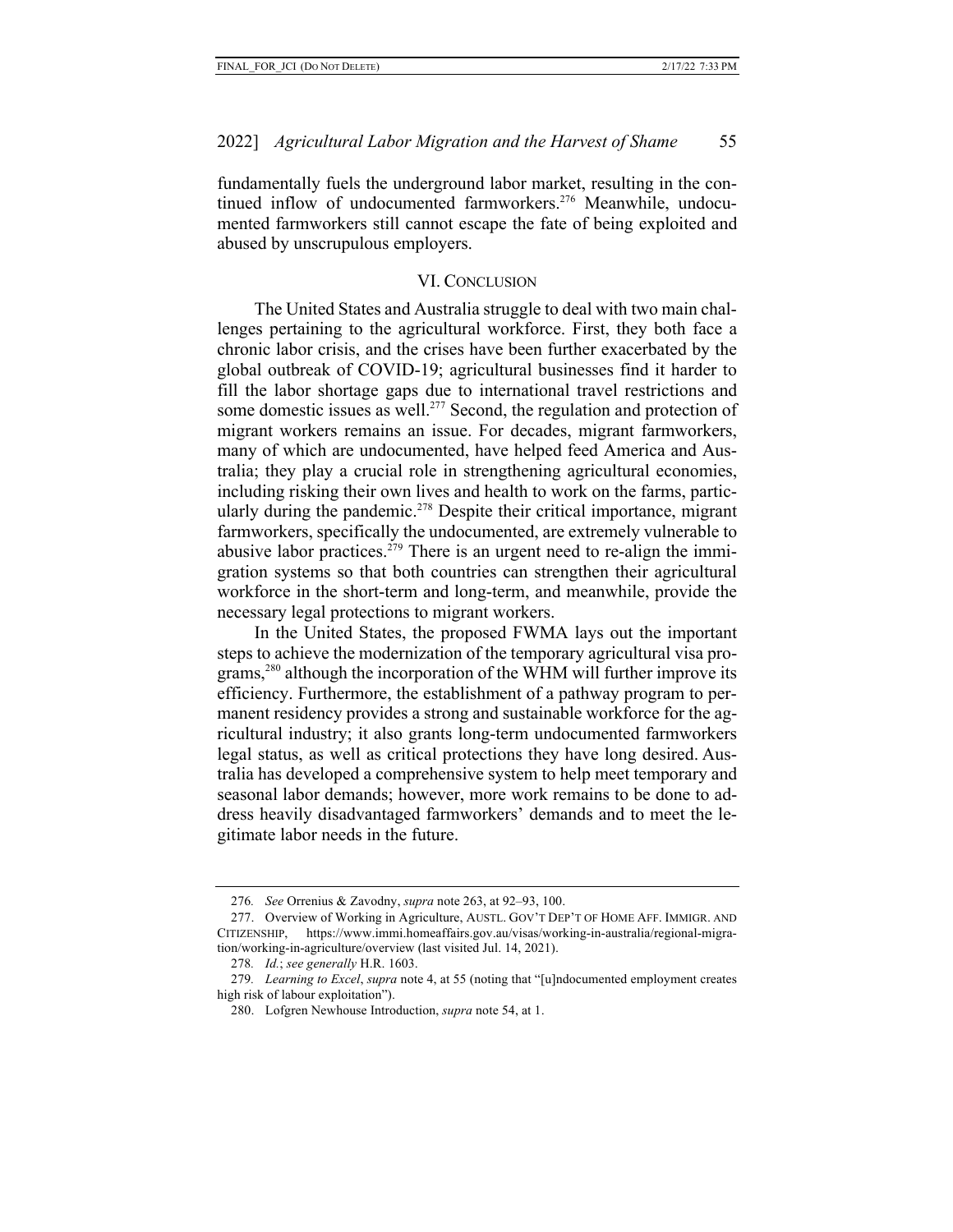fundamentally fuels the underground labor market, resulting in the continued inflow of undocumented farmworkers.<sup>276</sup> Meanwhile, undocumented farmworkers still cannot escape the fate of being exploited and abused by unscrupulous employers.

#### VI. CONCLUSION

The United States and Australia struggle to deal with two main challenges pertaining to the agricultural workforce. First, they both face a chronic labor crisis, and the crises have been further exacerbated by the global outbreak of COVID-19; agricultural businesses find it harder to fill the labor shortage gaps due to international travel restrictions and some domestic issues as well.<sup>277</sup> Second, the regulation and protection of migrant workers remains an issue. For decades, migrant farmworkers, many of which are undocumented, have helped feed America and Australia; they play a crucial role in strengthening agricultural economies, including risking their own lives and health to work on the farms, particularly during the pandemic.<sup>278</sup> Despite their critical importance, migrant farmworkers, specifically the undocumented, are extremely vulnerable to abusive labor practices.<sup> $279$ </sup> There is an urgent need to re-align the immigration systems so that both countries can strengthen their agricultural workforce in the short-term and long-term, and meanwhile, provide the necessary legal protections to migrant workers.

In the United States, the proposed FWMA lays out the important steps to achieve the modernization of the temporary agricultural visa programs,280 although the incorporation of the WHM will further improve its efficiency. Furthermore, the establishment of a pathway program to permanent residency provides a strong and sustainable workforce for the agricultural industry; it also grants long-term undocumented farmworkers legal status, as well as critical protections they have long desired. Australia has developed a comprehensive system to help meet temporary and seasonal labor demands; however, more work remains to be done to address heavily disadvantaged farmworkers' demands and to meet the legitimate labor needs in the future.

<sup>276</sup>*. See* Orrenius & Zavodny, *supra* note 263, at 92–93, 100.

<sup>277.</sup> Overview of Working in Agriculture, AUSTL. GOV'T DEP'T OF HOME AFF. IMMIGR. AND CITIZENSHIP, https://www.immi.homeaffairs.gov.au/visas/working-in-australia/regional-migration/working-in-agriculture/overview (last visited Jul. 14, 2021).

<sup>278</sup>*. Id.*; *see generally* H.R. 1603.

<sup>279</sup>*. Learning to Excel*, *supra* note 4, at 55 (noting that "[u]ndocumented employment creates high risk of labour exploitation").

<sup>280.</sup> Lofgren Newhouse Introduction, *supra* note 54, at 1.